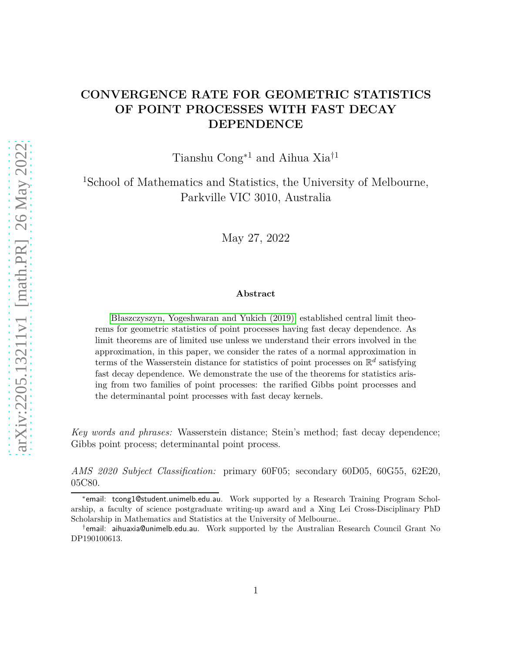## **CONVERGENCE RATE FOR GEOMETRIC STATISTICS OF POINT PROCESSES WITH FAST DECAY DEPENDENCE**

Tianshu Cong∗1 and Aihua Xia†1

<sup>1</sup>School of Mathematics and Statistics, the University of Melbourne, Parkville VIC 3010, Australia

May 27, 2022

#### **Abstract**

[\[Błaszczyszyn, Yogeshwaran and Yukich \(2019\)\]](#page-38-0) established central limit theorems for geometric statistics of point processes having fast decay dependence. As limit theorems are of limited use unless we understand their errors involved in the approximation, in this paper, we consider the rates of a normal approximation in terms of the Wasserstein distance for statistics of point processes on  $\mathbb{R}^d$  satisfying fast decay dependence. We demonstrate the use of the theorems for statistics arising from two families of point processes: the rarified Gibbs point processes and the determinantal point processes with fast decay kernels.

*Key words and phrases:* Wasserstein distance; Stein's method; fast decay dependence; Gibbs point process; determinantal point process.

*AMS 2020 Subject Classification:* primary 60F05; secondary 60D05, 60G55, 62E20, 05C80.

<sup>∗</sup> email: tcong1@student.unimelb.edu.au. Work supported by a Research Training Program Scholarship, a faculty of science postgraduate writing-up award and a Xing Lei Cross-Disciplinary PhD Scholarship in Mathematics and Statistics at the University of Melbourne..

<sup>†</sup> email: aihuaxia@unimelb.edu.au. Work supported by the Australian Research Council Grant No DP190100613.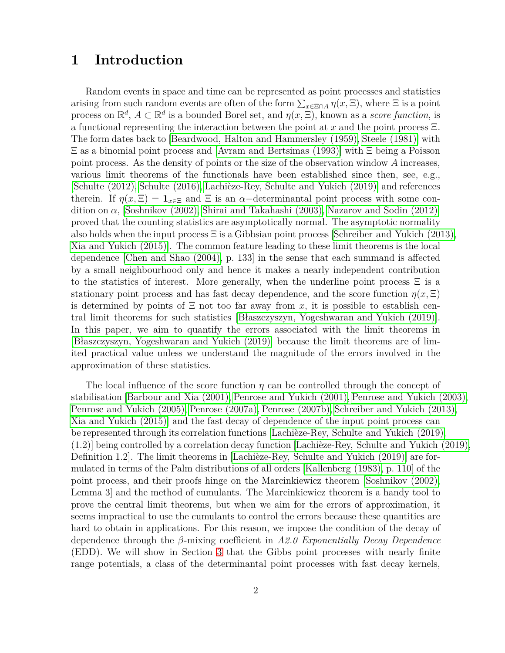## **1 Introduction**

Random events in space and time can be represented as point processes and statistics arising from such random events are often of the form  $\sum_{x \in \Xi \cap A} \eta(x, \Xi)$ , where  $\Xi$  is a point process on  $\mathbb{R}^d$ ,  $A \subset \mathbb{R}^d$  is a bounded Borel set, and  $\eta(x, \Xi)$ , known as a *score function*, is a functional representing the interaction between the point at *x* and the point process Ξ. The form dates back to [\[Beardwood, Halton and Hammersley \(1959\),](#page-38-1) [Steele \(1981\)\]](#page-41-0) with Ξ as a binomial point process and [\[Avram and Bertsimas \(1993\)\]](#page-38-2) with Ξ being a Poisson point process. As the density of points or the size of the observation window *A* increases, various limit theorems of the functionals have been established since then, see, e.g., [\[Schulte \(2012\),](#page-41-1) [Schulte \(2016\),](#page-41-2) [Lachièze-Rey, Schulte and Yukich \(2019\)\]](#page-40-0) and references therein. If  $\eta(x,\Xi) = \mathbf{1}_{x\in \Xi}$  and  $\Xi$  is an  $\alpha$ -determinantal point process with some condition on  $\alpha$ , [\[Soshnikov \(2002\),](#page-41-3) [Shirai and Takahashi \(2003\),](#page-41-4) [Nazarov and Sodin \(2012\)\]](#page-40-1) proved that the counting statistics are asymptotically normal. The asymptotic normality also holds when the input process  $\Xi$  is a Gibbsian point process [\[Schreiber and Yukich \(2013\),](#page-41-5) [Xia and Yukich \(2015\)\]](#page-41-6). The common feature leading to these limit theorems is the local dependence [\[Chen and Shao \(2004\),](#page-39-0) p. 133] in the sense that each summand is affected by a small neighbourhood only and hence it makes a nearly independent contribution to the statistics of interest. More generally, when the underline point process  $\Xi$  is a stationary point process and has fast decay dependence, and the score function  $\eta(x,\Xi)$ is determined by points of  $\Xi$  not too far away from *x*, it is possible to establish central limit theorems for such statistics [\[Błaszczyszyn, Yogeshwaran and Yukich \(2019\)\]](#page-38-0). In this paper, we aim to quantify the errors associated with the limit theorems in [\[Błaszczyszyn, Yogeshwaran and Yukich \(2019\)\]](#page-38-0) because the limit theorems are of limited practical value unless we understand the magnitude of the errors involved in the approximation of these statistics.

The local influence of the score function *η* can be controlled through the concept of stabilisation [\[Barbour and Xia \(2001\),](#page-38-3) [Penrose and Yukich \(2001\),](#page-40-2) [Penrose and Yukich \(2003\),](#page-40-3) [Penrose and Yukich \(2005\),](#page-40-4) [Penrose \(2007a\),](#page-40-5) [Penrose \(2007b\),](#page-40-6) [Schreiber and Yukich \(2013\),](#page-41-5) [Xia and Yukich \(2015\)\]](#page-41-6) and the fast decay of dependence of the input point process can be represented through its correlation functions [\[Lachièze-Rey, Schulte and Yukich \(2019\),](#page-40-0) (1.2)] being controlled by a correlation decay function [\[Lachièze-Rey, Schulte and Yukich \(2019\),](#page-40-0) Definition 1.2]. The limit theorems in [\[Lachièze-Rey, Schulte and Yukich \(2019\)\]](#page-40-0) are formulated in terms of the Palm distributions of all orders [\[Kallenberg \(1983\),](#page-39-1) p. 110] of the point process, and their proofs hinge on the Marcinkiewicz theorem [\[Soshnikov \(2002\),](#page-41-3) Lemma 3] and the method of cumulants. The Marcinkiewicz theorem is a handy tool to prove the central limit theorems, but when we aim for the errors of approximation, it seems impractical to use the cumulants to control the errors because these quantities are hard to obtain in applications. For this reason, we impose the condition of the decay of dependence through the *β*-mixing coefficient in *A2.0 Exponentially Decay Dependence* (EDD). We will show in Section [3](#page-10-0) that the Gibbs point processes with nearly finite range potentials, a class of the determinantal point processes with fast decay kernels,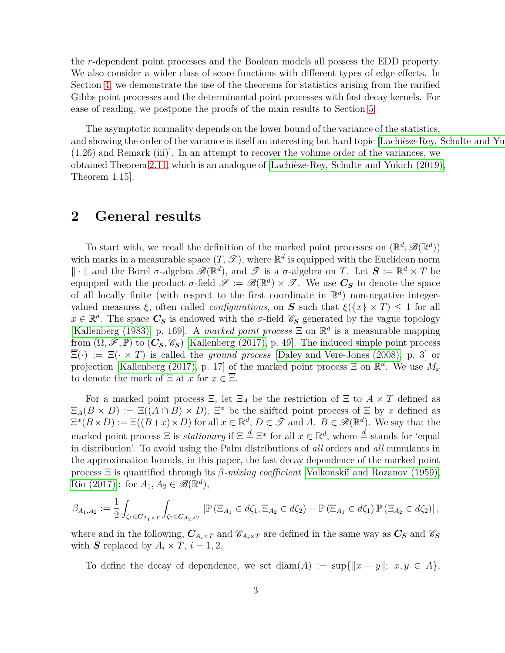the *r*-dependent point processes and the Boolean models all possess the EDD property. We also consider a wider class of score functions with different types of edge effects. In Section [4,](#page-16-0) we demonstrate the use of the theorems for statistics arising from the rarified Gibbs point processes and the determinantal point processes with fast decay kernels. For ease of reading, we postpone the proofs of the main results to Section [5.](#page-20-0)

The asymptotic normality depends on the lower bound of the variance of the statistics, and showing the order of the variance is itself an interesting but hard topic [Lachièze-Rey, Schulte and Yu (1.26) and Remark (iii)]. In an attempt to recover the volume order of the variances, we obtained Theorem 2.11, which is an analogue of [\[Lachièze-Rey, Schulte and Yukich \(2019\),](#page-40-0) Theorem 1.15].

## <span id="page-2-0"></span>**2 General results**

To start with, we recall the definition of the marked point processes on  $(\mathbb{R}^d, \mathscr{B}(\mathbb{R}^d))$ with marks in a measurable space  $(T, \mathscr{T})$ , where  $\mathbb{R}^d$  is equipped with the Euclidean norm  $\|\cdot\|$  and the Borel  $\sigma$ -algebra  $\mathscr{B}(\mathbb{R}^d)$ , and  $\mathscr{T}$  is a  $\sigma$ -algebra on *T*. Let  $\mathbf{S} := \mathbb{R}^d \times T$  be equipped with the product  $\sigma$ -field  $\mathscr{S} := \mathscr{B}(\mathbb{R}^d) \times \mathscr{T}$ . We use  $C_S$  to denote the space of all locally finite (with respect to the first coordinate in  $\mathbb{R}^d$ ) non-negative integervalued measures  $\xi$ , often called *configurations*, on **S** such that  $\xi({x} \times T) \le 1$  for all  $x \in \mathbb{R}^d$ . The space  $C_S$  is endowed with the *σ*-field  $\mathscr{C}_S$  generated by the vague topology [\[Kallenberg \(1983\),](#page-39-1) p. 169]. A *marked point process*  $\Xi$  on  $\mathbb{R}^d$  is a measurable mapping from  $(\Omega, \mathscr{F}, \mathbb{P})$  to  $(\mathcal{C}_S, \mathscr{C}_S)$  [\[Kallenberg \(2017\),](#page-39-2) p. 49]. The induced simple point process  $\overline{\Xi}(\cdot) := \Xi(\cdot \times T)$  is called the *ground process* [\[Daley and Vere-Jones \(2008\),](#page-39-3) p. 3] or projection [\[Kallenberg \(2017\),](#page-39-2) p. 17] of the marked point process  $\Xi$  on  $\mathbb{R}^d$ . We use  $M_x$ to denote the mark of  $\Xi$  at  $x$  for  $x \in \overline{\Xi}$ .

For a marked point process  $\Xi$ , let  $\Xi_A$  be the restriction of  $\Xi$  to  $A \times T$  defined as  $\Xi_A(B \times D) := \Xi((A \cap B) \times D), \Xi^x$  be the shifted point process of  $\Xi$  by x defined as  $\Xi^x(B \times D) := \Xi((B+x) \times D)$  for all  $x \in \mathbb{R}^d$ ,  $D \in \mathcal{F}$  and  $A, B \in \mathscr{B}(\mathbb{R}^d)$ . We say that the marked point process  $\Xi$  is *stationary* if  $\Xi \stackrel{d}{=} \Xi^x$  for all  $x \in \mathbb{R}^d$ , where  $\stackrel{d}{=}$  stands for 'equal in distribution'. To avoid using the Palm distributions of *all* orders and *all* cumulants in the approximation bounds, in this paper, the fast decay dependence of the marked point process Ξ is quantified through its *β-mixing coefficient* [\[Volkonskiˇı and Rozanov \(1959\),](#page-41-7) [Rio \(2017\)\]](#page-41-8): for  $A_1, A_2 \in \mathscr{B}(\mathbb{R}^d)$ ,

$$
\beta_{A_1,A_2} := \frac{1}{2} \int_{\zeta_1 \in C_{A_1 \times T}} \int_{\zeta_2 \in C_{A_2 \times T}} \left| \mathbb{P} \left( \Xi_{A_1} \in d\zeta_1, \Xi_{A_2} \in d\zeta_2 \right) - \mathbb{P} \left( \Xi_{A_1} \in d\zeta_1 \right) \mathbb{P} \left( \Xi_{A_2} \in d\zeta_2 \right) \right|,
$$

where and in the following,  $C_{A_i \times T}$  and  $\mathscr{C}_{A_i \times T}$  are defined in the same way as  $C_S$  and  $\mathscr{C}_S$ with *S* replaced by  $A_i \times T$ ,  $i = 1, 2$ .

To define the decay of dependence, we set  $\text{diam}(A) := \sup\{\|x - y\|; x, y \in A\},\$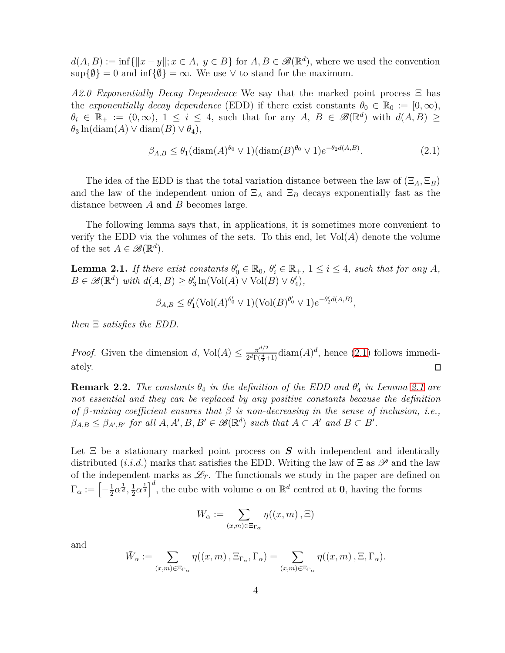$d(A, B) := \inf \{ ||x - y||; x \in A, y \in B \}$  for  $A, B \in \mathscr{B}(\mathbb{R}^d)$ , where we used the convention  $\sup\{\emptyset\}=0$  and  $\inf\{\emptyset\}=\infty$ . We use  $\vee$  to stand for the maximum.

*A2.0 Exponentially Decay Dependence* We say that the marked point process Ξ has the *exponentially decay dependence* (EDD) if there exist constants  $\theta_0 \in \mathbb{R}_0 := [0, \infty)$ ,  $\theta_i \in \mathbb{R}_+ := (0, \infty)$ ,  $1 \leq i \leq 4$ , such that for any *A*,  $B \in \mathscr{B}(\mathbb{R}^d)$  with  $d(A, B) \geq$  $\theta_3$  ln(diam(*A*)  $\vee$  diam(*B*)  $\vee$   $\theta_4$ ),

<span id="page-3-0"></span>
$$
\beta_{A,B} \le \theta_1 (\text{diam}(A)^{\theta_0} \vee 1) (\text{diam}(B)^{\theta_0} \vee 1) e^{-\theta_2 d(A,B)}.
$$
\n(2.1)

The idea of the EDD is that the total variation distance between the law of  $(\Xi_A, \Xi_B)$ and the law of the independent union of  $\Xi_A$  and  $\Xi_B$  decays exponentially fast as the distance between *A* and *B* becomes large.

The following lemma says that, in applications, it is sometimes more convenient to verify the EDD via the volumes of the sets. To this end, let  $Vol(A)$  denote the volume of the set  $A \in \mathscr{B}(\mathbb{R}^d)$ .

<span id="page-3-1"></span>**Lemma 2.1.** *If there exist constants*  $\theta'_0 \in \mathbb{R}_0$ ,  $\theta'_i \in \mathbb{R}_+$ ,  $1 \leq i \leq 4$ , such that for any *A*,  $B \in \mathscr{B}(\mathbb{R}^d)$  *with*  $d(A, B) \ge \theta'_3 \ln(\text{Vol}(A) \vee \text{Vol}(B) \vee \theta'_4)$ *,* 

$$
\beta_{A,B} \leq \theta'_1 (\text{Vol}(A)^{\theta'_0} \vee 1)(\text{Vol}(B)^{\theta'_0} \vee 1)e^{-\theta'_2 d(A,B)},
$$

*then* Ξ *satisfies the EDD.*

*Proof.* Given the dimension *d*, Vol $(A) \leq \frac{\pi^{d/2}}{2^d \Gamma(\frac{d}{2})}$  $\frac{\pi^{d/2}}{2^{d}\Gamma(\frac{d}{2}+1)}\text{diam}(A)^d$ , hence [\(2.1\)](#page-3-0) follows immediately.  $\Box$ 

<span id="page-3-2"></span>**Remark 2.2.** *The constants*  $\theta_4$  *in the definition of the EDD and*  $\theta'_4$  *in Lemma [2.1](#page-3-1) are not essential and they can be replaced by any positive constants because the definition of β-mixing coefficient ensures that β is non-decreasing in the sense of inclusion, i.e.,*  $\beta_{A,B} \leq \beta_{A',B'}$  for all  $A, A', B, B' \in \mathcal{B}(\mathbb{R}^d)$  such that  $A \subset A'$  and  $B \subset B'$ .

Let  $\Xi$  be a stationary marked point process on  $S$  with independent and identically distributed (*i.i.d.*) marks that satisfies the EDD. Writing the law of  $\Xi$  as  $\mathscr P$  and the law of the independent marks as  $\mathcal{L}_T$ . The functionals we study in the paper are defined on  $\Gamma_\alpha := \left[-\frac{1}{2}\right]$  $\frac{1}{2}\alpha^{\frac{1}{d}}, \frac{1}{2}$  $\frac{1}{2}\alpha^{\frac{1}{d}}\Big]^{d}$ , the cube with volume  $\alpha$  on  $\mathbb{R}^{d}$  centred at **0**, having the forms

$$
W_{\alpha} := \sum_{(x,m)\in \Xi_{\Gamma_{\alpha}}} \eta((x,m), \Xi)
$$

and

$$
\bar{W}_{\alpha} := \sum_{(x,m)\in \Xi_{\Gamma_{\alpha}}} \eta((x,m), \Xi_{\Gamma_{\alpha}}, \Gamma_{\alpha}) = \sum_{(x,m)\in \Xi_{\Gamma_{\alpha}}} \eta((x,m), \Xi, \Gamma_{\alpha}).
$$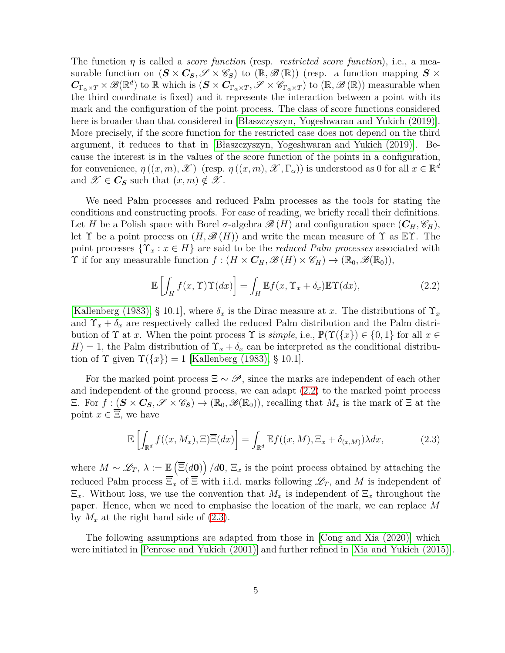The function  $\eta$  is called a *score function* (resp. *restricted score function*), i.e., a measurable function on  $(S \times C_S, \mathscr{S} \times \mathscr{C}_S)$  to  $(\mathbb{R}, \mathscr{B}(\mathbb{R}))$  (resp. a function mapping  $S \times$  $C_{\Gamma_{\alpha} \times T} \times \mathscr{B}(\mathbb{R}^d)$  to R which is  $(S \times C_{\Gamma_{\alpha} \times T}, \mathscr{S} \times \mathscr{C}_{\Gamma_{\alpha} \times T})$  to  $(\mathbb{R}, \mathscr{B}(\mathbb{R}))$  measurable when the third coordinate is fixed) and it represents the interaction between a point with its mark and the configuration of the point process. The class of score functions considered here is broader than that considered in [\[Błaszczyszyn, Yogeshwaran and Yukich \(2019\)\]](#page-38-0). More precisely, if the score function for the restricted case does not depend on the third argument, it reduces to that in [\[Błaszczyszyn, Yogeshwaran](#page-38-0) and Yukich (2019)]. Because the interest is in the values of the score function of the points in a configuration, for convenience,  $\eta((x, m), \mathscr{X})$  (resp.  $\eta((x, m), \mathscr{X}, \Gamma_{\alpha})$ ) is understood as 0 for all  $x \in \mathbb{R}^d$ and  $\mathscr{X} \in \mathbb{C}_{\mathbf{S}}$  such that  $(x, m) \notin \mathscr{X}$ .

We need Palm processes and reduced Palm processes as the tools for stating the conditions and constructing proofs. For ease of reading, we briefly recall their definitions. Let *H* be a Polish space with Borel  $\sigma$ -algebra  $\mathscr{B}(H)$  and configuration space  $(C_H, \mathscr{C}_H)$ , let  $\Upsilon$  be a point process on  $(H, \mathscr{B}(H))$  and write the mean measure of  $\Upsilon$  as  $\mathbb{E}\Upsilon$ . The point processes  $\{Y_x : x \in H\}$  are said to be the *reduced Palm processes* associated with  $\Upsilon$  if for any measurable function  $f : (H \times C_H, \mathcal{B}(H) \times \mathcal{C}_H) \to (\mathbb{R}_0, \mathcal{B}(\mathbb{R}_0)),$ 

<span id="page-4-0"></span>
$$
\mathbb{E}\left[\int_{H} f(x,\Upsilon)\Upsilon(dx)\right] = \int_{H} \mathbb{E}f(x,\Upsilon_{x} + \delta_{x})\mathbb{E}\Upsilon(dx),\tag{2.2}
$$

[\[Kallenberg \(1983\),](#page-39-1) § 10.1], where  $\delta_x$  is the Dirac measure at x. The distributions of  $\Upsilon_x$ and  $\Upsilon_x + \delta_x$  are respectively called the reduced Palm distribution and the Palm distribution of  $\Upsilon$  at *x*. When the point process  $\Upsilon$  is *simple*, i.e.,  $\mathbb{P}(\Upsilon({x}) \in \{0,1\}$  for all  $x \in$  $H$ ) = 1, the Palm distribution of  $\Upsilon_x + \delta_x$  can be interpreted as the conditional distribution of  $\Upsilon$  given  $\Upsilon({x}) = 1$  [\[Kallenberg \(1983\),](#page-39-1) § 10.1].

For the marked point process  $\Xi \sim \mathscr{P}$ , since the marks are independent of each other and independent of the ground process, we can adapt [\(2.2\)](#page-4-0) to the marked point process  $\Xi$ . For *f* : (*S* × *C<sub>S</sub>*,  $\mathscr{S}$  ×  $\mathscr{C}_S$ ) → (ℝ<sub>0</sub>,  $\mathscr{B}(\mathbb{R}_0)$ ), recalling that  $M_x$  is the mark of  $\Xi$  at the point  $x \in \overline{\Xi}$ , we have

<span id="page-4-1"></span>
$$
\mathbb{E}\left[\int_{\mathbb{R}^d} f((x, M_x), \Xi) \overline{\Xi}(dx)\right] = \int_{\mathbb{R}^d} \mathbb{E}f((x, M), \Xi_x + \delta_{(x, M)}) \lambda dx,\tag{2.3}
$$

where  $M \sim \mathscr{L}_T$ ,  $\lambda := \mathbb{E}\left(\overline{\Xi}(d\mathbf{0})\right)/d\mathbf{0}$ ,  $\Xi_x$  is the point process obtained by attaching the reduced Palm process  $\overline{\Xi}_x$  of  $\overline{\Xi}$  with i.i.d. marks following  $\mathscr{L}_T$ , and M is independent of  $\Xi_x$ . Without loss, we use the convention that  $M_x$  is independent of  $\Xi_x$  throughout the paper. Hence, when we need to emphasise the location of the mark, we can replace *M* by  $M_x$  at the right hand side of  $(2.3)$ .

The following assumptions are adapted from those in [\[Cong and Xia \(2020\)\]](#page-39-4) which were initiated in [\[Penrose and Yukich \(2001\)\]](#page-40-2) and further refined in [\[Xia and Yukich \(2015\)\]](#page-41-6).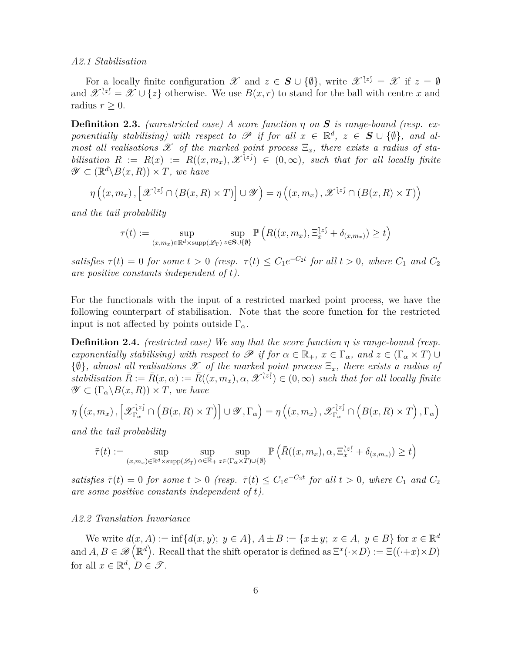#### *A2.1 Stabilisation*

For a locally finite configuration  $\mathscr{X}$  and  $z \in \mathbf{S} \cup \{\emptyset\}$ , write  $\mathscr{X}^{\{z\}} = \mathscr{X}$  if  $z = \emptyset$ and  $\mathscr{X}^{\{z\}} = \mathscr{X} \cup \{z\}$  otherwise. We use  $B(x, r)$  to stand for the ball with centre *x* and radius  $r > 0$ .

<span id="page-5-0"></span>**Definition 2.3.** *(unrestricted case) A score function η on S is range-bound (resp. exponentially stabilising) with respect to*  $\mathscr P$  *if for all*  $x \in \mathbb{R}^d$ ,  $z \in S \cup \{\emptyset\}$ , and al*most all realisations*  $\mathscr X$  *of the marked point process*  $\Xi_x$ *, there exists a radius of stabilisation*  $R := R(x) := R((x, m_x), \mathscr{X}^{\{z\}}) \in (0, \infty)$ *, such that for all locally finite*  $\mathscr{Y} \subset (\mathbb{R}^d \backslash B(x,R)) \times T$ *, we have* 

$$
\eta\left(\left(x,m_x\right),\left[\mathcal{X}^{\{z\}} \cap \left(B(x,R) \times T\right)\right] \cup \mathcal{Y}\right) = \eta\left(\left(x,m_x\right),\mathcal{X}^{\{z\}} \cap \left(B(x,R) \times T\right)\right)
$$

*and the tail probability*

$$
\tau(t) := \sup_{(x,m_x)\in\mathbb{R}^d\times\text{supp}(\mathscr{L}_T)}\sup_{z\in\mathbf{S}\cup\{\emptyset\}}\mathbb{P}\left(R((x,m_x),\Xi_x^{[z]}\,+\,\delta_{(x,m_x)})\geq t\right)
$$

*satisfies*  $\tau(t) = 0$  *for some*  $t > 0$  (resp.  $\tau(t) \leq C_1 e^{-C_2 t}$  *for all*  $t > 0$ *, where*  $C_1$  *and*  $C_2$ *are positive constants independent of t).*

For the functionals with the input of a restricted marked point process, we have the following counterpart of stabilisation. Note that the score function for the restricted input is not affected by points outside  $\Gamma_{\alpha}$ .

<span id="page-5-1"></span>**Definition 2.4.** *(restricted case) We say that the score function η is range-bound (resp. exponentially stabilising) with respect to*  $\mathscr P$  *if for*  $\alpha \in \mathbb{R}_+$ *,*  $x \in \Gamma_\alpha$ *, and*  $z \in (\Gamma_\alpha \times T) \cup$ {∅}*, almost all realisations* <sup>X</sup> *of the marked point process* <sup>Ξ</sup>*x, there exists a radius of*  $stabilisation \ \bar{R} := \bar{R}(x,\alpha) := \bar{R}((x,m_x),\alpha,\mathscr{X}^{\{z\}}) \in (0,\infty) \ \text{such that for all locally finite}$  $\mathscr{Y} \subset (\Gamma_{\alpha} \backslash B(x,R)) \times T$ *, we have* 

$$
\eta\left(\left(x,m_x\right),\left[\mathscr{X}_{\Gamma_\alpha}^{\{z\}}\cap\left(B(x,\bar{R})\times T\right)\right]\cup\mathscr{Y},\Gamma_\alpha\right)=\eta\left(\left(x,m_x\right),\mathscr{X}_{\Gamma_\alpha}^{\{z\}}\cap\left(B(x,\bar{R})\times T\right),\Gamma_\alpha\right)
$$

*and the tail probability*

$$
\bar{\tau}(t) := \sup_{(x,m_x)\in\mathbb{R}^d\times\text{supp}(\mathscr{L}_T)}\sup_{\alpha\in\mathbb{R}_+}\sup_{z\in(\Gamma_\alpha\times T)\cup\{\emptyset\}}\mathbb{P}\left(\bar{R}((x,m_x),\alpha,\Xi_x^{[z]}\,+\,\delta_{(x,m_x)})\geq t\right)
$$

 $satisfies \ \bar{\tau}(t) = 0 \ \text{for some} \ t > 0 \ \text{ (resp. } \ \bar{\tau}(t) \leq C_1 e^{-C_2 t} \ \text{for all} \ t > 0, \ \text{where} \ C_1 \ \text{and} \ C_2$ *are some positive constants independent of t).*

#### *A2.2 Translation Invariance*

We write  $d(x, A) := \inf\{d(x, y); y \in A\}, A \pm B := \{x \pm y; x \in A, y \in B\}$  for  $x \in \mathbb{R}^d$ and  $A, B \in \mathscr{B}(\mathbb{R}^d)$ . Recall that the shift operator is defined as  $\Xi^x(\cdot \times D) := \Xi((\cdot + x) \times D)$ for all  $x \in \mathbb{R}^d$ ,  $D \in \mathcal{T}$ .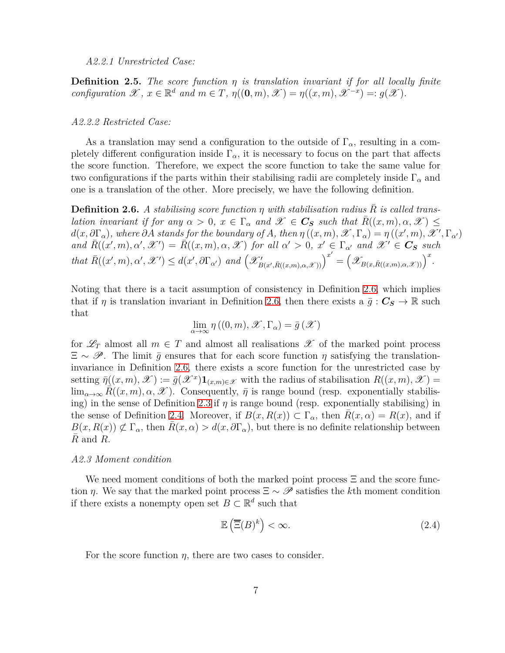#### *A2.2.1 Unrestricted Case:*

<span id="page-6-1"></span>**Definition 2.5.** *The score function η is translation invariant if for all locally finite configuration*  $\mathscr{X}, x \in \mathbb{R}^d$  *and*  $m \in T$ *,*  $\eta((0, m), \mathscr{X}) = \eta((x, m), \mathscr{X}^{-x}) =: g(\mathscr{X})$ *.* 

#### *A2.2.2 Restricted Case:*

As a translation may send a configuration to the outside of Γ*α*, resulting in a completely different configuration inside  $\Gamma_{\alpha}$ , it is necessary to focus on the part that affects the score function. Therefore, we expect the score function to take the same value for two configurations if the parts within their stabilising radii are completely inside Γ*<sup>α</sup>* and one is a translation of the other. More precisely, we have the following definition.

<span id="page-6-0"></span>**Definition 2.6.** A stabilising score function  $\eta$  with stabilisation radius R is called trans*lation invariant if for any*  $\alpha > 0$ ,  $x \in \Gamma_\alpha$  *and*  $\mathscr{X} \in \mathbb{C}_S$  *such that*  $\bar{R}((x, m), \alpha, \mathscr{X}) \leq$  $d(x, \partial \Gamma_{\alpha})$ , where  $\partial A$  stands for the boundary of A, then  $\eta ((x, m), \mathscr{X}, \Gamma_{\alpha}) = \eta ((x', m), \mathscr{X}', \Gamma_{\alpha'})$ and  $\bar{R}((x', m), \alpha', \mathscr{X}') = \bar{R}((x, m), \alpha, \mathscr{X})$  for all  $\alpha' > 0$ ,  $x' \in \Gamma_{\alpha'}$  and  $\mathscr{X}' \in \mathbf{C}_{\mathbf{S}}$  such that  $\overline{R}((x',m),\alpha',\mathscr{X}') \leq d(x',\partial\Gamma_{\alpha'})$  and  $(\mathscr{X}'_{B(x',\overline{R}((x,m),\alpha,\mathscr{X}))})^{x'} = (\mathscr{X}_{B(x,\overline{R}((x,m),\alpha,\mathscr{X}))})^{x}$ .

Noting that there is a tacit assumption of consistency in Definition [2.6,](#page-6-0) which implies that if *η* is translation invariant in Definition [2.6,](#page-6-0) then there exists a  $\bar{g}: C_S \to \mathbb{R}$  such that

$$
\lim_{\alpha \to \infty} \eta ((0, m), \mathscr{X}, \Gamma_{\alpha}) = \bar{g} (\mathscr{X})
$$

for  $\mathscr{L}_T$  almost all  $m \in T$  and almost all realisations  $\mathscr{X}$  of the marked point process  $\Xi \sim \mathscr{P}$ . The limit  $\bar{q}$  ensures that for each score function  $\eta$  satisfying the translationinvariance in Definition [2.6,](#page-6-0) there exists a score function for the unrestricted case by setting  $\bar{\eta}((x,m), \mathscr{X}) := \bar{g}(\mathscr{X}^x) \mathbf{1}_{(x,m)\in \mathscr{X}}$  with the radius of stabilisation  $R((x,m), \mathscr{X}) =$  $\lim_{\alpha\to\infty} R((x,m),\alpha,\mathscr{X})$ . Consequently,  $\bar{\eta}$  is range bound (resp. exponentially stabilis-ing) in the sense of Definition [2.3](#page-5-0) if  $\eta$  is range bound (resp. exponentially stabilising) in the sense of Definition [2.4.](#page-5-1) Moreover, if  $B(x, R(x)) \subset \Gamma_\alpha$ , then  $R(x, \alpha) = R(x)$ , and if  $B(x, R(x)) \not\subset \Gamma_\alpha$ , then  $R(x, \alpha) > d(x, \partial \Gamma_\alpha)$ , but there is no definite relationship between  $R$  and  $R$ .

#### *A2.3 Moment condition*

We need moment conditions of both the marked point process  $\Xi$  and the score function *η*. We say that the marked point process  $\Xi \sim \mathscr{P}$  satisfies the *k*th moment condition if there exists a nonempty open set  $B \subset \mathbb{R}^d$  such that

<span id="page-6-2"></span>
$$
\mathbb{E}\left(\overline{\Xi}(B)^k\right) < \infty. \tag{2.4}
$$

For the score function  $\eta$ , there are two cases to consider.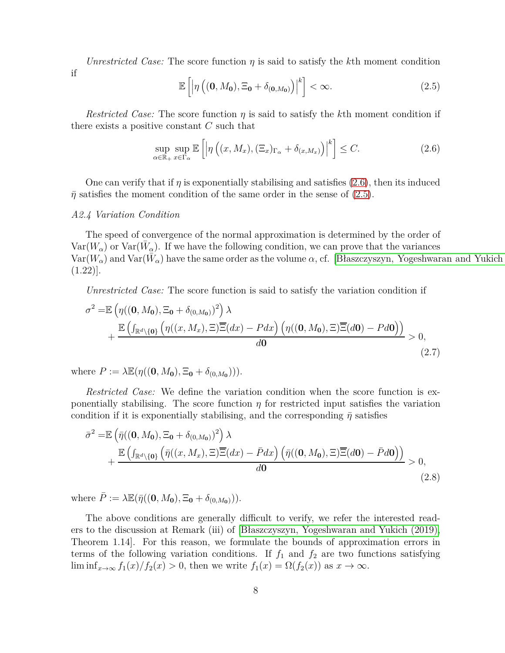*Unrestricted Case:* The score function  $\eta$  is said to satisfy the k<sup>th</sup> moment condition

if

<span id="page-7-1"></span>
$$
\mathbb{E}\left[\left|\eta\left((\mathbf{0},M_{\mathbf{0}}),\Xi_{\mathbf{0}}+\delta_{(\mathbf{0},M_{\mathbf{0}})}\right)\right|^{k}\right]<\infty.
$$
\n(2.5)

*Restricted Case:* The score function *η* is said to satisfy the *k*th moment condition if there exists a positive constant *C* such that

<span id="page-7-2"></span><span id="page-7-0"></span>
$$
\sup_{\alpha \in \mathbb{R}_+} \sup_{x \in \Gamma_\alpha} \mathbb{E}\left[ \left| \eta\left( (x, M_x), (\Xi_x)_{\Gamma_\alpha} + \delta_{(x, M_x)} \right) \right|^k \right] \le C. \tag{2.6}
$$

One can verify that if *η* is exponentially stabilising and satisfies [\(2.6\)](#page-7-0), then its induced  $\bar{\eta}$  satisfies the moment condition of the same order in the sense of [\(2.5\)](#page-7-1).

#### *A2.4 Variation Condition*

The speed of convergence of the normal approximation is determined by the order of  $Var(W_{\alpha})$  or  $Var(\bar{W}_{\alpha})$ . If we have the following condition, we can prove that the variances  $Var(W_\alpha)$  and  $Var(\bar{W}_\alpha)$  have the same order as the volume  $\alpha$ , cf. [Błaszczyszyn, Yogeshwaran and Yukich  $(1.22)$ .

*Unrestricted Case:* The score function is said to satisfy the variation condition if

$$
\sigma^{2} = \mathbb{E}\left(\eta((\mathbf{0},M_{\mathbf{0}}),\Xi_{\mathbf{0}} + \delta_{(0,M_{\mathbf{0}})})^{2}\right)\lambda + \frac{\mathbb{E}\left(\int_{\mathbb{R}^{d}\setminus\{\mathbf{0}\}}\left(\eta((x,M_{x}),\Xi)\overline{\Xi}(dx) - Pdx\right)\left(\eta((\mathbf{0},M_{\mathbf{0}}),\Xi)\overline{\Xi}(d\mathbf{0}) - Pd\mathbf{0}\right)\right)}{d\mathbf{0}} > 0,
$$
\n(2.7)

where  $P := \lambda \mathbb{E}(\eta((0, M_0), \Xi_0 + \delta_{(0, M_0}))).$ 

*Restricted Case:* We define the variation condition when the score function is exponentially stabilising. The score function  $\eta$  for restricted input satisfies the variation condition if it is exponentially stabilising, and the corresponding  $\bar{\eta}$  satisfies

<span id="page-7-3"></span>
$$
\bar{\sigma}^{2} = \mathbb{E}\left(\bar{\eta}((\mathbf{0},M_{\mathbf{0}}),\Xi_{\mathbf{0}} + \delta_{(0,M_{\mathbf{0}})})^{2}\right)\lambda + \frac{\mathbb{E}\left(\int_{\mathbb{R}^{d}\backslash\{\mathbf{0}\}}\left(\bar{\eta}((x,M_{x}),\Xi)\overline{\Xi}(dx) - \bar{P}dx\right)\left(\bar{\eta}((\mathbf{0},M_{\mathbf{0}}),\Xi)\overline{\Xi}(d\mathbf{0}) - \bar{P}d\mathbf{0}\right)\right)}{d\mathbf{0}} > 0,
$$
\n(2.8)

where  $\overline{P} := \lambda \mathbb{E}(\overline{\eta}((0, M_0), \Xi_0 + \delta_{(0, M_0)})).$ 

The above conditions are generally difficult to verify, we refer the interested readers to the discussion at Remark (iii) of [\[Błaszczyszyn, Yogeshwaran and Yukich \(2019\),](#page-38-0) Theorem 1.14]. For this reason, we formulate the bounds of approximation errors in terms of the following variation conditions. If  $f_1$  and  $f_2$  are two functions satisfying lim inf<sub>*x*→∞</sub>  $f_1(x)/f_2(x) > 0$ , then we write  $f_1(x) = \Omega(f_2(x))$  as  $x \to \infty$ .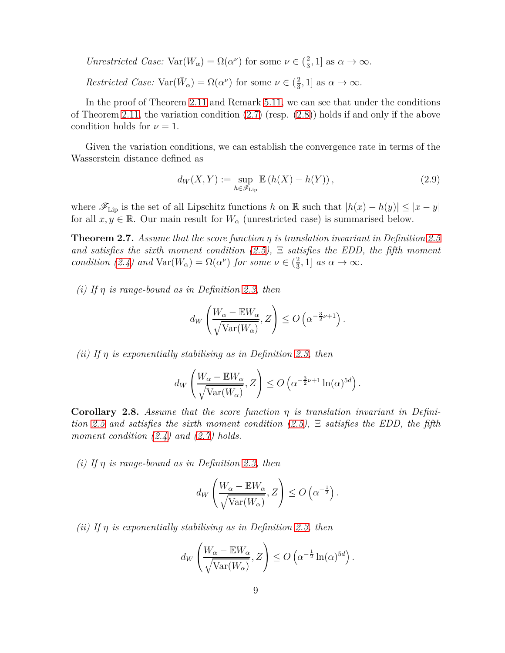*Unrestricted Case:*  $Var(W_\alpha) = \Omega(\alpha^\nu)$  for some  $\nu \in \left(\frac{2}{3}\right)$  $\frac{2}{3}$ , 1] as  $\alpha \to \infty$ .

*Restricted Case:*  $Var(\bar{W}_{\alpha}) = \Omega(\alpha^{\nu})$  for some  $\nu \in (\frac{2}{3})$  $\frac{2}{3}$ , 1] as  $\alpha \to \infty$ .

In the proof of Theorem 2.11 and Remark [5.11,](#page-32-0) we can see that under the conditions of Theorem 2.11, the variation condition [\(2.7\)](#page-7-2) (resp. [\(2.8\)](#page-7-3)) holds if and only if the above condition holds for  $\nu = 1$ .

Given the variation conditions, we can establish the convergence rate in terms of the Wasserstein distance defined as

<span id="page-8-0"></span>
$$
d_W(X,Y) := \sup_{h \in \mathscr{F}_{\text{Lip}}} \mathbb{E}\left(h(X) - h(Y)\right),\tag{2.9}
$$

where  $\mathscr{F}_{\text{Lip}}$  is the set of all Lipschitz functions *h* on R such that  $|h(x) - h(y)| \leq |x - y|$ for all  $x, y \in \mathbb{R}$ . Our main result for  $W_\alpha$  (unrestricted case) is summarised below.

<span id="page-8-1"></span>**Theorem 2.7.** *Assume that the score function η is translation invariant in Definition [2.5](#page-6-1) and satisfies the sixth moment condition [\(2.5\)](#page-7-1),* Ξ *satisfies the EDD, the fifth moment condition* [\(2.4\)](#page-6-2) *and*  $\text{Var}(W_\alpha) = \Omega(\alpha^\nu)$  *for some*  $\nu \in \left(\frac{2}{3}\right)$  $\frac{2}{3}$ , 1] *as*  $\alpha \to \infty$ .

*(i) If η is range-bound as in Definition [2.3,](#page-5-0) then*

$$
d_W\left(\frac{W_{\alpha} - \mathbb{E}W_{\alpha}}{\sqrt{\text{Var}(W_{\alpha})}}, Z\right) \leq O\left(\alpha^{-\frac{3}{2}\nu + 1}\right).
$$

*(ii) If η is exponentially stabilising as in Definition [2.3,](#page-5-0) then*

$$
d_W\left(\frac{W_{\alpha} - \mathbb{E}W_{\alpha}}{\sqrt{\text{Var}(W_{\alpha})}}, Z\right) \leq O\left(\alpha^{-\frac{3}{2}\nu + 1}\ln(\alpha)^{5d}\right).
$$

<span id="page-8-2"></span>**Corollary 2.8.** *Assume that the score function η is translation invariant in Definition [2.5](#page-6-1) and satisfies the sixth moment condition [\(2.5\)](#page-7-1),* Ξ *satisfies the EDD, the fifth moment condition [\(2.4\)](#page-6-2) and [\(2.7\)](#page-7-2) holds.*

*(i) If η is range-bound as in Definition [2.3,](#page-5-0) then*

$$
d_W\left(\frac{W_{\alpha} - \mathbb{E}W_{\alpha}}{\sqrt{\text{Var}(W_{\alpha})}}, Z\right) \leq O\left(\alpha^{-\frac{1}{2}}\right).
$$

*(ii) If η is exponentially stabilising as in Definition [2.3,](#page-5-0) then*

$$
d_W\left(\frac{W_{\alpha} - \mathbb{E}W_{\alpha}}{\sqrt{\text{Var}(W_{\alpha})}}, Z\right) \leq O\left(\alpha^{-\frac{1}{2}}\ln(\alpha)^{5d}\right).
$$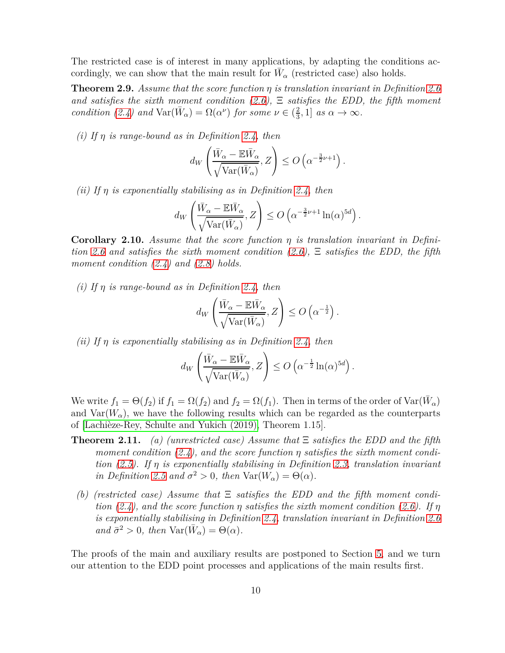The restricted case is of interest in many applications, by adapting the conditions accordingly, we can show that the main result for  $\bar{W}_{\alpha}$  (restricted case) also holds.

<span id="page-9-0"></span>**Theorem 2.9.** *Assume that the score function η is translation invariant in Definition [2.6](#page-6-0) and satisfies the sixth moment condition [\(2.6\)](#page-7-0),* Ξ *satisfies the EDD, the fifth moment condition [\(2.4\)](#page-6-2) and*  $\text{Var}(\bar{W}_\alpha) = \Omega(\alpha^\nu)$  *for some*  $\nu \in (\frac{2}{3})$  $\frac{2}{3}$ , 1] *as*  $\alpha \to \infty$ .

*(i) If η is range-bound as in Definition [2.4,](#page-5-1) then*

$$
d_W\left(\frac{\bar{W}_{\alpha} - \mathbb{E}\bar{W}_{\alpha}}{\sqrt{\text{Var}(\bar{W}_{\alpha})}}, Z\right) \leq O\left(\alpha^{-\frac{3}{2}\nu + 1}\right).
$$

*(ii) If η is exponentially stabilising as in Definition [2.4,](#page-5-1) then*

$$
d_W\left(\frac{\bar{W}_{\alpha} - \mathbb{E}\bar{W}_{\alpha}}{\sqrt{\text{Var}(\bar{W}_{\alpha})}}, Z\right) \leq O\left(\alpha^{-\frac{3}{2}\nu + 1}\ln(\alpha)^{5d}\right).
$$

<span id="page-9-1"></span>**Corollary 2.10.** *Assume that the score function η is translation invariant in Definition [2.6](#page-6-0) and satisfies the sixth moment condition [\(2.6\)](#page-7-0),* Ξ *satisfies the EDD, the fifth moment condition [\(2.4\)](#page-6-2) and [\(2.8\)](#page-7-3) holds.*

*(i) If η is range-bound as in Definition [2.4,](#page-5-1) then*

$$
d_W\left(\frac{\bar{W}_{\alpha} - \mathbb{E}\bar{W}_{\alpha}}{\sqrt{\text{Var}(\bar{W}_{\alpha})}}, Z\right) \leq O\left(\alpha^{-\frac{1}{2}}\right).
$$

*(ii) If η is exponentially stabilising as in Definition [2.4,](#page-5-1) then*

$$
d_W\left(\frac{\bar{W}_{\alpha} - \mathbb{E}\bar{W}_{\alpha}}{\sqrt{\text{Var}(\bar{W}_{\alpha})}}, Z\right) \leq O\left(\alpha^{-\frac{1}{2}}\ln(\alpha)^{5d}\right).
$$

We write  $f_1 = \Theta(f_2)$  if  $f_1 = \Omega(f_2)$  and  $f_2 = \Omega(f_1)$ . Then in terms of the order of  $\text{Var}(\bar{W}_\alpha)$ and  $Var(W_\alpha)$ , we have the following results which can be regarded as the counterparts of [\[Lachièze-Rey, Schulte and Yukich \(2019\),](#page-40-0) Theorem 1.15].

- **Theorem 2.11.** *(a) (unrestricted case) Assume that* Ξ *satisfies the EDD and the fifth moment condition [\(2.4\)](#page-6-2), and the score function η satisfies the sixth moment condition [\(2.5\)](#page-7-1). If η is exponentially stabilising in Definition [2.3,](#page-5-0) translation invariant in Definition* [2.5](#page-6-1) *and*  $\sigma^2 > 0$ *, then*  $\text{Var}(W_\alpha) = \Theta(\alpha)$ *.* 
	- *(b) (restricted case) Assume that* Ξ *satisfies the EDD and the fifth moment condition* [\(2.4\)](#page-6-2), and the score function  $\eta$  satisfies the sixth moment condition [\(2.6\)](#page-7-0). If  $\eta$ *is exponentially stabilising in Definition [2.4,](#page-5-1) translation invariant in Definition [2.6](#page-6-0)*  $and \bar{\sigma}^2 > 0$ , then  $\text{Var}(\bar{W}_\alpha) = \Theta(\alpha)$ .

The proofs of the main and auxiliary results are postponed to Section [5,](#page-20-0) and we turn our attention to the EDD point processes and applications of the main results first.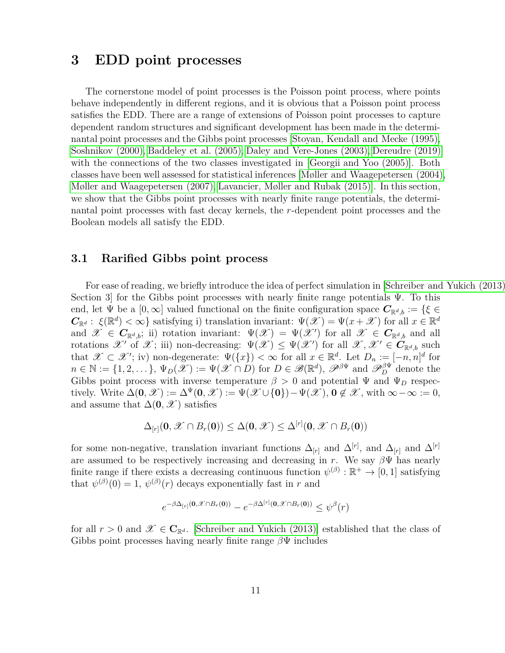## <span id="page-10-0"></span>**3 EDD point processes**

The cornerstone model of point processes is the Poisson point process, where points behave independently in different regions, and it is obvious that a Poisson point process satisfies the EDD. There are a range of extensions of Poisson point processes to capture dependent random structures and significant development has been made in the determinantal point processes and the Gibbs point processes [\[Stoyan, Kendall and Mecke \(1995\),](#page-41-9) [Soshnikov \(2000\),](#page-41-10) [Baddeley et al. \(2005\),](#page-38-4) [Daley and Vere-Jones \(2003\),](#page-39-5) [Dereudre \(2019\)\]](#page-39-6) with the connections of the two classes investigated in [\[Georgii and Yoo \(2005\)\]](#page-39-7). Both classes have been well assessed for statistical inferences [\[Møller and Waagepetersen \(2004\),](#page-40-7) [Møller and Waagepetersen \(2007\),](#page-40-8) [Lavancier, Møller and Rubak \(2015\)\]](#page-40-9). In this section, we show that the Gibbs point processes with nearly finite range potentials, the determinantal point processes with fast decay kernels, the *r*-dependent point processes and the Boolean models all satisfy the EDD.

### **3.1 Rarified Gibbs point process**

For ease of reading, we briefly introduce the idea of perfect simulation in Schreiber and Yukich (2013) Section 3 for the Gibbs point processes with nearly finite range potentials  $\Psi$ . To this end, let  $\Psi$  be a  $[0,\infty]$  valued functional on the finite configuration space  $C_{\mathbb{R}^d,b} := \{ \xi \in$  $C_{\mathbb{R}^d}: \xi(\mathbb{R}^d) < \infty$  satisfying i) translation invariant:  $\Psi(\mathscr{X}) = \Psi(x + \mathscr{X})$  for all  $x \in \mathbb{R}^d$ and  $\mathscr{X} \in C_{\mathbb{R}^d,b}$ ; ii) rotation invariant:  $\Psi(\mathscr{X}) = \Psi(\mathscr{X})$  for all  $\mathscr{X} \in C_{\mathbb{R}^d,b}$  and all rotations  $\mathscr{X}'$  of  $\mathscr{X}$ ; iii) non-decreasing:  $\Psi(\mathscr{X}) \leq \Psi(\mathscr{X}')$  for all  $\mathscr{X}, \mathscr{X}' \in C_{\mathbb{R}^{d},b}$  such that  $\mathscr{X} \subset \mathscr{X}'$ ; iv) non-degenerate:  $\Psi({x}) < \infty$  for all  $x \in \mathbb{R}^d$ . Let  $D_n := [-n, n]^d$  for  $n \in \mathbb{N} := \{1, 2, \dots\}, \Psi_D(\mathscr{X}) := \Psi(\mathscr{X} \cap D)$  for  $D \in \mathscr{B}(\mathbb{R}^d)$ ,  $\mathscr{P}^{\beta\Psi}$  and  $\mathscr{P}^{\beta\Psi}_D$  denote the Gibbs point process with inverse temperature  $\beta > 0$  and potential  $\Psi$  and  $\Psi_D$  respectively. Write  $\Delta(\mathbf{0}, \mathscr{X}) := \Delta^{\Psi}(\mathbf{0}, \mathscr{X}) := \Psi(\mathscr{X} \cup \{\mathbf{0}\}) - \Psi(\mathscr{X}), \mathbf{0} \notin \mathscr{X}$ , with  $\infty - \infty := 0$ , and assume that  $\Delta(\mathbf{0}, \mathscr{X})$  satisfies

$$
\Delta_{[r]}(\mathbf{0},\mathscr{X}\cap B_r(\mathbf{0}))\leq \Delta(\mathbf{0},\mathscr{X})\leq \Delta^{[r]}(\mathbf{0},\mathscr{X}\cap B_r(\mathbf{0}))
$$

for some non-negative, translation invariant functions  $\Delta_{[r]}$  and  $\Delta^{[r]}$ , and  $\Delta_{[r]}$  and  $\Delta^{[r]}$ are assumed to be respectively increasing and decreasing in *r*. We say  $\beta\Psi$  has nearly finite range if there exists a decreasing continuous function  $\psi^{(\beta)} : \mathbb{R}^+ \to [0,1]$  satisfying that  $\psi^{(\beta)}(0) = 1$ ,  $\psi^{(\beta)}(r)$  decays exponentially fast in *r* and

$$
e^{-\beta \Delta_{[r]}(\mathbf{0}, \mathscr{X} \cap B_r(\mathbf{0}))} - e^{-\beta \Delta^{[r]}(\mathbf{0}, \mathscr{X} \cap B_r(\mathbf{0}))} \leq \psi^{\beta}(r)
$$

for all  $r > 0$  and  $\mathscr{X} \in \mathbb{C}_{\mathbb{R}^d}$ . [\[Schreiber and Yukich \(2013\)\]](#page-41-5) established that the class of Gibbs point processes having nearly finite range *β*Ψ includes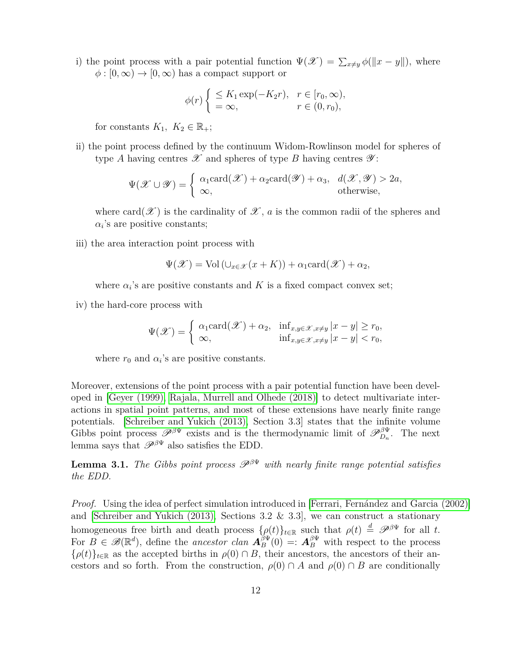i) the point process with a pair potential function  $\Psi(\mathscr{X}) = \sum_{x \neq y} \phi(||x - y||)$ , where  $\phi: [0, \infty) \to [0, \infty)$  has a compact support or

$$
\phi(r)\begin{cases} \leq K_1 \exp(-K_2 r), & r \in [r_0, \infty), \\ = \infty, & r \in (0, r_0), \end{cases}
$$

for constants  $K_1, K_2 \in \mathbb{R}_+$ ;

ii) the point process defined by the continuum Widom-Rowlinson model for spheres of type *A* having centres  $\mathscr X$  and spheres of type *B* having centres  $\mathscr Y$ :

$$
\Psi(\mathscr{X} \cup \mathscr{Y}) = \begin{cases} \alpha_1 \text{card}(\mathscr{X}) + \alpha_2 \text{card}(\mathscr{Y}) + \alpha_3, & d(\mathscr{X}, \mathscr{Y}) > 2a, \\ \infty, & \text{otherwise,} \end{cases}
$$

where card( $\mathscr X$ ) is the cardinality of  $\mathscr X$ , *a* is the common radii of the spheres and  $\alpha_i$ 's are positive constants;

iii) the area interaction point process with

$$
\Psi(\mathscr{X}) = \text{Vol}(\cup_{x \in \mathscr{X}} (x + K)) + \alpha_1 \text{card}(\mathscr{X}) + \alpha_2,
$$

where  $\alpha_i$ 's are positive constants and  $K$  is a fixed compact convex set;

iv) the hard-core process with

$$
\Psi(\mathscr{X}) = \begin{cases} \alpha_1 \text{card}(\mathscr{X}) + \alpha_2, & \inf_{x,y \in \mathscr{X}, x \neq y} |x - y| \ge r_0, \\ \infty, & \inf_{x,y \in \mathscr{X}, x \neq y} |x - y| < r_0, \end{cases}
$$

where  $r_0$  and  $\alpha_i$ 's are positive constants.

Moreover, extensions of the point process with a pair potential function have been developed in [\[Geyer \(1999\),](#page-39-8) [Rajala, Murrell and Olhede \(2018\)\]](#page-40-10) to detect multivariate interactions in spatial point patterns, and most of these extensions have nearly finite range potentials. [\[Schreiber and Yukich \(2013\),](#page-41-5) Section 3.3] states that the infinite volume Gibbs point process  $\mathscr{P}^{\beta\Psi}$  exists and is the thermodynamic limit of  $\mathscr{P}_{D_n}^{\beta\Psi}$ . The next lemma says that  $\mathscr{P}^{\beta\Psi}$  also satisfies the EDD.

<span id="page-11-0"></span>**Lemma 3.1.** *The Gibbs point process*  $\mathscr{P}^{\beta\Psi}$  *with nearly finite range potential satisfies the EDD.*

*Proof.* Using the idea of perfect simulation introduced in [\[Ferrari, Fernández and Garcia \(2002\)\]](#page-39-9) and [\[Schreiber and Yukich \(2013\),](#page-41-5) Sections 3.2  $\&$  3.3], we can construct a stationary homogeneous free birth and death process  $\{\rho(t)\}_{t\in\mathbb{R}}$  such that  $\rho(t) \stackrel{d}{=} \mathscr{P}^{\beta\Psi}$  for all *t*. For  $B \in \mathscr{B}(\mathbb{R}^d)$ , define the *ancestor clan*  $\mathbf{A}_{B}^{\beta\Psi}(0) =: \mathbf{A}_{B}^{\beta\Psi}$  with respect to the process  ${\rho(t)}_{t\in\mathbb{R}}$  as the accepted births in  $\rho(0) \cap B$ , their ancestors, the ancestors of their ancestors and so forth. From the construction,  $\rho(0) \cap A$  and  $\rho(0) \cap B$  are conditionally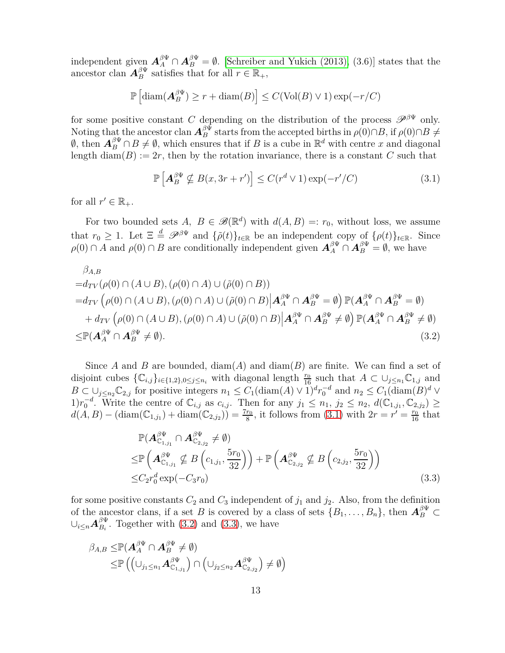independent given  $A_A^{\beta\Psi} \cap A_B^{\beta\Psi} = \emptyset$ . [\[Schreiber and Yukich \(2013\),](#page-41-5) (3.6)] states that the ancestor clan  $A_B^{\beta \Psi}$  satisfies that for all  $r \in \mathbb{R}_+$ ,

$$
\mathbb{P}\left[\text{diam}(\mathbf{A}_{B}^{\beta\Psi})\geq r+\text{diam}(B)\right]\leq C(\text{Vol}(B)\vee 1)\exp(-r/C)
$$

for some positive constant *C* depending on the distribution of the process  $\mathscr{P}^{\beta\Psi}$  only. Noting that the ancestor clan  $\mathbf{A}_{B}^{\beta\Psi}$  starts from the accepted births in  $\rho(0)\cap B$ , if  $\rho(0)\cap B\neq 0$  $\emptyset$ , then  $\mathbf{A}_{B}^{\beta\Psi} \cap B \neq \emptyset$ , which ensures that if *B* is a cube in  $\mathbb{R}^{d}$  with centre *x* and diagonal length  $\text{diam}(B) := 2r$ , then by the rotation invariance, there is a constant *C* such that

<span id="page-12-0"></span>
$$
\mathbb{P}\left[\mathbf{A}_{B}^{\beta\Psi}\nsubseteq B(x,3r+r')\right] \leq C(r^d \vee 1)\exp(-r'/C) \tag{3.1}
$$

for all  $r' \in \mathbb{R}_+$ .

For two bounded sets  $A, B \in \mathscr{B}(\mathbb{R}^d)$  with  $d(A, B) =: r_0$ , without loss, we assume that  $r_0 \geq 1$ . Let  $\Xi \stackrel{d}{=} \mathscr{P}^{\beta \Psi}$  and  $\{\tilde{\rho}(t)\}_{t \in \mathbb{R}}$  be an independent copy of  $\{\rho(t)\}_{t \in \mathbb{R}}$ . Since  $\rho(0) \cap A$  and  $\rho(0) \cap B$  are conditionally independent given  $\mathbf{A}_{A}^{\beta\Psi} \cap \mathbf{A}_{B}^{\beta\Psi} = \emptyset$ , we have

$$
\beta_{A,B} \n= d_{TV}(\rho(0) \cap (A \cup B), (\rho(0) \cap A) \cup (\tilde{\rho}(0) \cap B)) \n= d_{TV}(\rho(0) \cap (A \cup B), (\rho(0) \cap A) \cup (\tilde{\rho}(0) \cap B) | A_A^{\beta\Psi} \cap A_B^{\beta\Psi} = \emptyset) \mathbb{P}(A_A^{\beta\Psi} \cap A_B^{\beta\Psi} = \emptyset) \n+ d_{TV}(\rho(0) \cap (A \cup B), (\rho(0) \cap A) \cup (\tilde{\rho}(0) \cap B) | A_A^{\beta\Psi} \cap A_B^{\beta\Psi} \neq \emptyset) \mathbb{P}(A_A^{\beta\Psi} \cap A_B^{\beta\Psi} \neq \emptyset) \n\leq \mathbb{P}(A_A^{\beta\Psi} \cap A_B^{\beta\Psi} \neq \emptyset).
$$
\n(3.2)

Since *A* and *B* are bounded, diam(*A*) and diam(*B*) are finite. We can find a set of disjoint cubes  $\{C_{i,j}\}_{i\in\{1,2\},0\leq j\leq n_i}$  with diagonal length  $\frac{r_0}{16}$  such that  $A\subset\cup_{j\leq n_1}\mathbb{C}_{1,j}$  and  $B \subset \bigcup_{j \leq n_2} \mathbb{C}_{2,j}$  for positive integers  $n_1 \leq C_1(\text{diam}(A) \vee 1)^d r_0^{-d}$  and  $n_2 \leq C_1(\text{diam}(B)^d \vee 1)$ 1) $r_0^{-d}$ . Write the centre of  $\mathbb{C}_{i,j}$  as  $c_{i,j}$ . Then for any  $j_1 \leq n_1, j_2 \leq n_2, d(\mathbb{C}_{1,j_1}, \mathbb{C}_{2,j_2})$  ≥  $d(A, B) - (\text{diam}(\mathbb{C}_{1,j_1}) + \text{diam}(\mathbb{C}_{2,j_2})) = \frac{7r_0}{8}$ , it follows from [\(3.1\)](#page-12-0) with  $2r = r' = \frac{r_0}{16}$  that

<span id="page-12-2"></span><span id="page-12-1"></span>
$$
\mathbb{P}(A_{\mathbb{C}_{1,j_1}}^{\beta\Psi} \cap A_{\mathbb{C}_{2,j_2}}^{\beta\Psi} \neq \emptyset)
$$
\n
$$
\leq \mathbb{P}\left(A_{\mathbb{C}_{1,j_1}}^{\beta\Psi} \nsubseteq B\left(c_{1,j_1}, \frac{5r_0}{32}\right)\right) + \mathbb{P}\left(A_{\mathbb{C}_{2,j_2}}^{\beta\Psi} \nsubseteq B\left(c_{2,j_2}, \frac{5r_0}{32}\right)\right)
$$
\n
$$
\leq C_2 r_0^d \exp(-C_3 r_0)
$$
\n(3.3)

for some positive constants  $C_2$  and  $C_3$  independent of  $j_1$  and  $j_2$ . Also, from the definition of the ancestor clans, if a set *B* is covered by a class of sets  $\{B_1, \ldots, B_n\}$ , then  $\mathbf{A}_{B}^{\beta\Psi} \subset$  $\cup_{i\le n} A_{B_i}^{\beta\Psi}$  $B_{B_i}^{\mu}$ . Together with [\(3.2\)](#page-12-1) and [\(3.3\)](#page-12-2), we have

$$
\beta_{A,B} \leq \mathbb{P}(\mathbf{A}_{A}^{\beta\Psi} \cap \mathbf{A}_{B}^{\beta\Psi} \neq \emptyset)
$$
  

$$
\leq \mathbb{P}((\cup_{j_1 \leq n_1} \mathbf{A}_{\mathbb{C}_{1,j_1}}^{\beta\Psi}) \cap (\cup_{j_2 \leq n_2} \mathbf{A}_{\mathbb{C}_{2,j_2}}^{\beta\Psi}) \neq \emptyset)
$$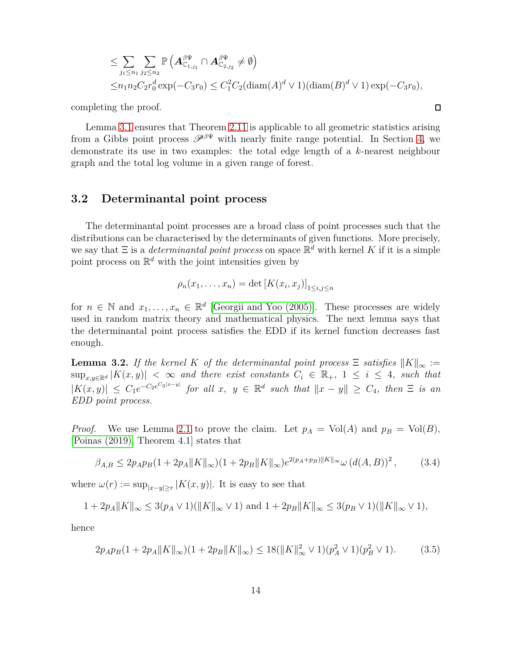$$
\leq \sum_{j_1 \leq n_1} \sum_{j_2 \leq n_2} \mathbb{P}\left( \mathbf{A}_{\mathbb{C}_{1,j_1}}^{\beta \Psi} \cap \mathbf{A}_{\mathbb{C}_{2,j_2}}^{\beta \Psi} \neq \emptyset \right)
$$
  
 
$$
\leq n_1 n_2 C_2 r_0^d \exp(-C_3 r_0) \leq C_1^2 C_2 (\text{diam}(A)^d \vee 1) (\text{diam}(B)^d \vee 1) \exp(-C_3 r_0),
$$

 $\Box$ 

completing the proof.

Lemma [3.1](#page-11-0) ensures that Theorem 2.11 is applicable to all geometric statistics arising from a Gibbs point process  $\mathscr{P}^{\beta\Psi}$  with nearly finite range potential. In Section [4,](#page-16-0) we demonstrate its use in two examples: the total edge length of a *k*-nearest neighbour graph and the total log volume in a given range of forest.

### **3.2 Determinantal point process**

The determinantal point processes are a broad class of point processes such that the distributions can be characterised by the determinants of given functions. More precisely, we say that  $\Xi$  is a *determinantal point process* on space  $\mathbb{R}^d$  with kernel *K* if it is a simple point process on  $\mathbb{R}^d$  with the joint intensities given by

<span id="page-13-0"></span>
$$
\rho_n(x_1,\ldots,x_n)=\det\left[K(x_i,x_j)\right]_{1\leq i,j\leq n}
$$

for  $n \in \mathbb{N}$  and  $x_1, \ldots, x_n \in \mathbb{R}^d$  [\[Georgii and Yoo \(2005\)\]](#page-39-7). These processes are widely used in random matrix theory and mathematical physics. The next lemma says that the determinantal point process satisfies the EDD if its kernel function decreases fast enough.

<span id="page-13-2"></span>**Lemma 3.2.** *If the kernel K of the determinantal point process*  $\Xi$  *satisfies*  $||K||_{\infty}$  :=  $\sup_{x,y\in\mathbb{R}^d} |K(x,y)| < \infty$  and there exist constants  $C_i \in \mathbb{R}_+$ ,  $1 \leq i \leq 4$ , such that  $|K(x, y)| \leq C_1 e^{-C_2 e^{C_3|x-y|}}$  for all  $x, y \in \mathbb{R}^d$  such that  $||x - y|| \geq C_4$ , then  $\Xi$  is an *EDD point process.*

*Proof.* We use Lemma [2.1](#page-3-1) to prove the claim. Let  $p_A = Vol(A)$  and  $p_B = Vol(B)$ , [\[Poinas \(2019\),](#page-40-11) Theorem 4.1] states that

$$
\beta_{A,B} \le 2p_A p_B (1 + 2p_A ||K||_{\infty}) (1 + 2p_B ||K||_{\infty}) e^{2(p_A + p_B)||K||_{\infty}} \omega (d(A,B))^2, \qquad (3.4)
$$

where  $\omega(r) := \sup_{|x-y| \ge r} |K(x, y)|$ . It is easy to see that

$$
1 + 2p_A ||K||_{\infty} \le 3(p_A \vee 1)(||K||_{\infty} \vee 1) \text{ and } 1 + 2p_B ||K||_{\infty} \le 3(p_B \vee 1)(||K||_{\infty} \vee 1),
$$

hence

<span id="page-13-1"></span>
$$
2p_A p_B (1 + 2p_A ||K||_{\infty}) (1 + 2p_B ||K||_{\infty}) \le 18(||K||_{\infty}^2 \vee 1)(p_A^2 \vee 1)(p_B^2 \vee 1). \tag{3.5}
$$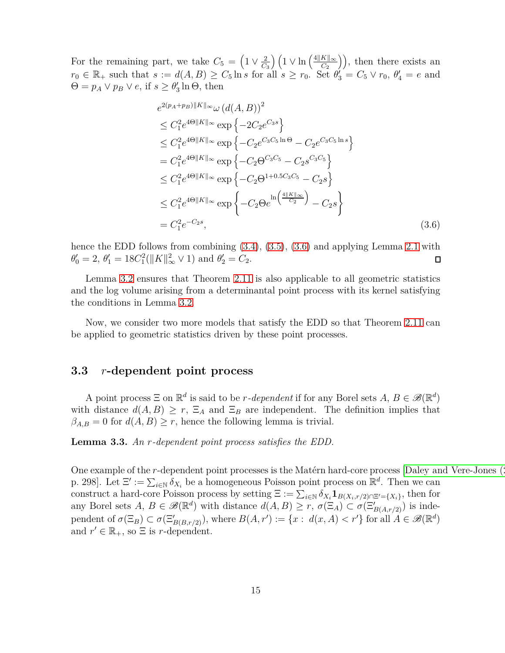For the remaining part, we take  $C_5 = \left(1 \vee \frac{2}{C_5}\right)$  $\frac{2}{C_3}\left(1 \vee \ln\left(\frac{4||K||_{\infty}}{C_2}\right)\right)$ , then there exists an  $r_0 \in \mathbb{R}_+$  such that  $s := d(A, B) \ge C_5 \ln s$  for all  $s \ge r_0$ . Set  $\theta'_3 = C_5 \vee r_0$ ,  $\theta'_4 = e$  and  $\Theta = p_A \vee p_B \vee e$ , if  $s \geq \theta'_3 \ln \Theta$ , then

<span id="page-14-0"></span>
$$
e^{2(p_A+p_B)||K||_{\infty}}\omega (d(A,B))^2
$$
  
\n
$$
\leq C_1^2 e^{4\Theta||K||_{\infty}} \exp \{-2C_2 e^{C_3 s}\}
$$
  
\n
$$
\leq C_1^2 e^{4\Theta||K||_{\infty}} \exp \{-C_2 e^{C_3 C_5 \ln \Theta} - C_2 e^{C_3 C_5 \ln s}\}
$$
  
\n
$$
= C_1^2 e^{4\Theta||K||_{\infty}} \exp \{-C_2 \Theta^{C_3 C_5} - C_2 s^{C_3 C_5}\}
$$
  
\n
$$
\leq C_1^2 e^{4\Theta||K||_{\infty}} \exp \{-C_2 \Theta^{1+0.5 C_3 C_5} - C_2 s\}
$$
  
\n
$$
\leq C_1^2 e^{4\Theta||K||_{\infty}} \exp \{-C_2 \Theta e^{\ln \left(\frac{4||K||_{\infty}}{C_2}\right)} - C_2 s\}
$$
  
\n
$$
= C_1^2 e^{-C_2 s}, \qquad (3.6)
$$

hence the EDD follows from combining  $(3.4)$ ,  $(3.5)$ ,  $(3.6)$  and applying Lemma [2.1](#page-3-1) with  $\theta'_0 = 2, \ \theta'_1 = 18C_1^2(||K||^2_{\infty} \vee 1)$  and  $\theta'_2 = C_2$ .  $\Box$ 

Lemma [3.2](#page-13-2) ensures that Theorem 2.11 is also applicable to all geometric statistics and the log volume arising from a determinantal point process with its kernel satisfying the conditions in Lemma [3.2.](#page-13-2)

Now, we consider two more models that satisfy the EDD so that Theorem 2.11 can be applied to geometric statistics driven by these point processes.

### **3.3** *r***-dependent point process**

A point process  $\Xi$  on  $\mathbb{R}^d$  is said to be *r-dependent* if for any Borel sets  $A, B \in \mathscr{B}(\mathbb{R}^d)$ with distance  $d(A, B) \geq r$ ,  $\Xi_A$  and  $\Xi_B$  are independent. The definition implies that  $\beta_{A,B} = 0$  for  $d(A,B) \geq r$ , hence the following lemma is trivial.

**Lemma 3.3.** *An r-dependent point process satisfies the EDD.*

One example of the *r*-dependent point processes is the Matérn hard-core process [Daley and Vere-Jones (2003) p. 298]. Let  $\Xi' := \sum_{i \in \mathbb{N}} \delta_{X_i}$  be a homogeneous Poisson point process on  $\mathbb{R}^d$ . Then we can construct a hard-core Poisson process by setting  $\Xi := \sum_{i \in \mathbb{N}} \delta_{X_i} \mathbf{1}_{B(X_i, r/2) \cap \Xi' = \{X_i\}}$ , then for any Borel sets  $A, B \in \mathscr{B}(\mathbb{R}^d)$  with distance  $d(A, B) \geq r$ ,  $\sigma(\Xi_A) \subset \sigma(\Xi'_{B(A, r/2)})$  is independent of  $\sigma(\Xi_B) \subset \sigma(\Xi'_{B(B,r/2)})$ , where  $B(A, r') := \{x : d(x, A) < r'\}$  for all  $A \in \mathscr{B}(\mathbb{R}^d)$ and  $r' \in \mathbb{R}_+$ , so  $\Xi$  is *r*-dependent.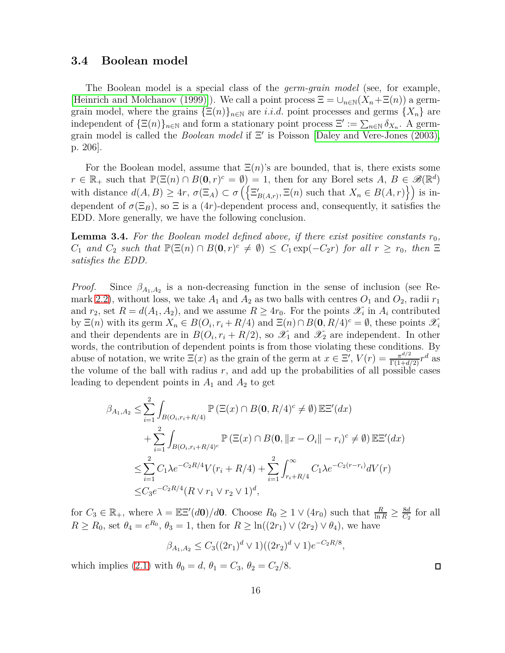### **3.4 Boolean model**

The Boolean model is a special class of the *germ-grain model* (see, for example, [\[Heinrich and Molchanov \(1999\)\]](#page-39-10)). We call a point process  $\Xi = \cup_{n\in\mathbb{N}} (X_n + \Xi(n))$  a germgrain model, where the grains  $\{\Xi(n)\}_{n\in\mathbb{N}}$  are *i.i.d.* point processes and germs  $\{X_n\}$  are independent of  ${\Xi(n)}_{n\in\mathbb{N}}$  and form a stationary point process  $\Xi' := \sum_{n\in\mathbb{N}} \delta_{X_n}$ . A germgrain model is called the *Boolean model* if Ξ ′ is Poisson [\[Daley and Vere-Jones \(2003\),](#page-39-5) p. 206].

For the Boolean model, assume that  $\Xi(n)$ 's are bounded, that is, there exists some  $r \in \mathbb{R}_+$  such that  $\mathbb{P}(\Xi(n) \cap B(0,r)^c = \emptyset) = 1$ , then for any Borel sets  $A, B \in \mathscr{B}(\mathbb{R}^d)$ with distance  $d(A, B) \ge 4r$ ,  $\sigma(\Xi_A) \subset \sigma\left(\left\{\Xi'_{B(A,r)}, \Xi(n) \text{ such that } X_n \in B(A, r)\right\}\right)$  is independent of  $\sigma(\Xi_B)$ , so  $\Xi$  is a  $(4r)$ -dependent process and, consequently, it satisfies the EDD. More generally, we have the following conclusion.

**Lemma 3.4.** For the Boolean model defined above, if there exist positive constants  $r_0$ ,  $C_1$  *and*  $C_2$  *such that*  $\mathbb{P}(\Xi(n) \cap B(\mathbf{0}, r)^c \neq \emptyset) \leq C_1 \exp(-C_2 r)$  *for all*  $r \geq r_0$ *, then*  $\Xi$ *satisfies the EDD.*

*Proof.* Since  $\beta_{A_1,A_2}$  is a non-decreasing function in the sense of inclusion (see Re-mark [2.2\)](#page-3-2), without loss, we take  $A_1$  and  $A_2$  as two balls with centres  $O_1$  and  $O_2$ , radii  $r_1$ and  $r_2$ , set  $R = d(A_1, A_2)$ , and we assume  $R \ge 4r_0$ . For the points  $\mathscr{X}_i$  in  $A_i$  contributed by  $\Xi(n)$  with its germ  $X_n \in B(O_i, r_i + R/4)$  and  $\Xi(n) \cap B(\mathbf{0}, R/4)^c = \emptyset$ , these points  $\mathcal{X}_i$ and their dependents are in  $B(O_i, r_i + R/2)$ , so  $\mathscr{X}_1$  and  $\mathscr{X}_2$  are independent. In other words, the contribution of dependent points is from those violating these conditions. By abuse of notation, we write  $\Xi(x)$  as the grain of the germ at  $x \in \Xi'$ ,  $V(r) = \frac{\pi^{d/2}}{\Gamma(1+d/2)} r^d$  as the volume of the ball with radius  $r$ , and add up the probabilities of all possible cases leading to dependent points in  $A_1$  and  $A_2$  to get

$$
\beta_{A_1, A_2} \leq \sum_{i=1}^{2} \int_{B(O_i, r_i + R/4)} \mathbb{P}(\Xi(x) \cap B(0, R/4)^c \neq \emptyset) \mathbb{E}(\alpha) + \sum_{i=1}^{2} \int_{B(O_i, r_i + R/4)^c} \mathbb{P}(\Xi(x) \cap B(0, \|x - O_i\| - r_i)^c \neq \emptyset) \mathbb{E}(\alpha) \n\leq \sum_{i=1}^{2} C_1 \lambda e^{-C_2 R/4} V(r_i + R/4) + \sum_{i=1}^{2} \int_{r_i + R/4}^{\infty} C_1 \lambda e^{-C_2 (r - r_i)} dV(r) \n\leq C_3 e^{-C_2 R/4} (R \vee r_1 \vee r_2 \vee 1)^d,
$$

for  $C_3 \in \mathbb{R}_+$ , where  $\lambda = \mathbb{E} \mathbb{E}'(d\mathbf{0})/d\mathbf{0}$ . Choose  $R_0 \geq 1 \vee (4r_0)$  such that  $\frac{R}{\ln R} \geq \frac{8d}{C_2}$  $\frac{8d}{C_2}$  for all *R*  $\geq$  *R*<sub>0</sub>, set  $\theta_4 = e^{R_0}$ ,  $\theta_3 = 1$ , then for  $R \geq \ln((2r_1) \vee (2r_2) \vee \theta_4)$ , we have

$$
\beta_{A_1,A_2} \leq C_3((2r_1)^d \vee 1)((2r_2)^d \vee 1)e^{-C_2R/8},
$$

which implies [\(2.1\)](#page-3-0) with  $\theta_0 = d$ ,  $\theta_1 = C_3$ ,  $\theta_2 = C_2/8$ .

 $\Box$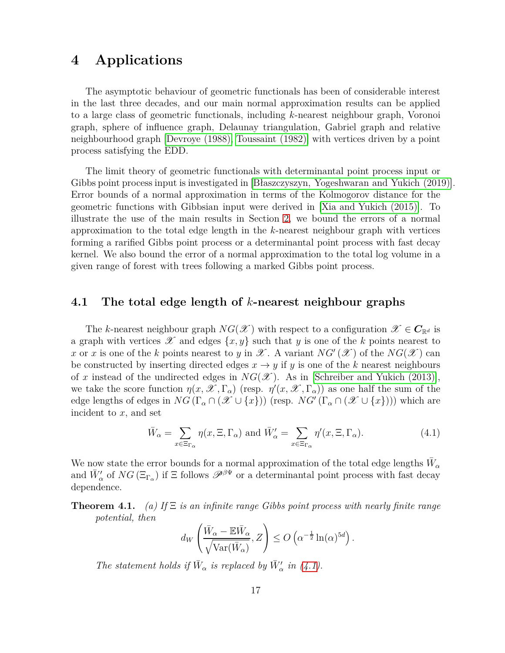## <span id="page-16-0"></span>**4 Applications**

The asymptotic behaviour of geometric functionals has been of considerable interest in the last three decades, and our main normal approximation results can be applied to a large class of geometric functionals, including *k*-nearest neighbour graph, Voronoi graph, sphere of influence graph, Delaunay triangulation, Gabriel graph and relative neighbourhood graph [\[Devroye \(1988\),](#page-39-11) [Toussaint \(1982\)\]](#page-41-11) with vertices driven by a point process satisfying the EDD.

The limit theory of geometric functionals with determinantal point process input or Gibbs point process input is investigated in [\[Błaszczyszyn, Yogeshwaran and Yukich \(2019\)\]](#page-38-0). Error bounds of a normal approximation in terms of the Kolmogorov distance for the geometric functions with Gibbsian input were derived in [\[Xia and Yukich \(2015\)\]](#page-41-6). To illustrate the use of the main results in Section [2,](#page-2-0) we bound the errors of a normal approximation to the total edge length in the *k*-nearest neighbour graph with vertices forming a rarified Gibbs point process or a determinantal point process with fast decay kernel. We also bound the error of a normal approximation to the total log volume in a given range of forest with trees following a marked Gibbs point process.

### **4.1 The total edge length of** *k***-nearest neighbour graphs**

The *k*-nearest neighbour graph  $NG(\mathscr{X})$  with respect to a configuration  $\mathscr{X} \in C_{\mathbb{R}^d}$  is a graph with vertices  $\mathscr X$  and edges  $\{x, y\}$  such that *y* is one of the *k* points nearest to *x* or *x* is one of the *k* points nearest to *y* in  $\mathscr X$ . A variant  $NG'(\mathscr X)$  of the  $NG(\mathscr X)$  can be constructed by inserting directed edges  $x \rightarrow y$  if *y* is one of the *k* nearest neighbours of *x* instead of the undirected edges in  $NG(\mathscr{X})$ . As in [\[Schreiber and Yukich \(2013\)\]](#page-41-5), we take the score function  $\eta(x, \mathscr{X}, \Gamma_\alpha)$  (resp.  $\eta'(x, \mathscr{X}, \Gamma_\alpha)$ ) as one half the sum of the edge lengths of edges in  $NG(\Gamma_\alpha \cap (\mathscr{X} \cup \{x\}))$  (resp.  $NG'(\Gamma_\alpha \cap (\mathscr{X} \cup \{x\}))$ ) which are incident to *x*, and set

<span id="page-16-1"></span>
$$
\bar{W}_{\alpha} = \sum_{x \in \Xi_{\Gamma_{\alpha}}} \eta(x, \Xi, \Gamma_{\alpha}) \text{ and } \bar{W}'_{\alpha} = \sum_{x \in \Xi_{\Gamma_{\alpha}}} \eta'(x, \Xi, \Gamma_{\alpha}). \tag{4.1}
$$

We now state the error bounds for a normal approximation of the total edge lengths  $\bar{W}_{\alpha}$ and  $\bar{W}'_{\alpha}$  of  $NG(\Xi_{\Gamma_{\alpha}})$  if  $\Xi$  follows  $\mathscr{P}^{\beta\Psi}$  or a determinantal point process with fast decay dependence.

**Theorem 4.1.** *(a) If* Ξ *is an infinite range Gibbs point process with nearly finite range potential, then*

$$
d_W\left(\frac{\bar{W}_{\alpha} - \mathbb{E}\bar{W}_{\alpha}}{\sqrt{\text{Var}(\bar{W}_{\alpha})}}, Z\right) \leq O\left(\alpha^{-\frac{1}{2}}\ln(\alpha)^{5d}\right).
$$

*The statement holds if*  $\bar{W}_{\alpha}$  *is replaced by*  $\bar{W}'_{\alpha}$  *in* [\(4.1\)](#page-16-1)*.*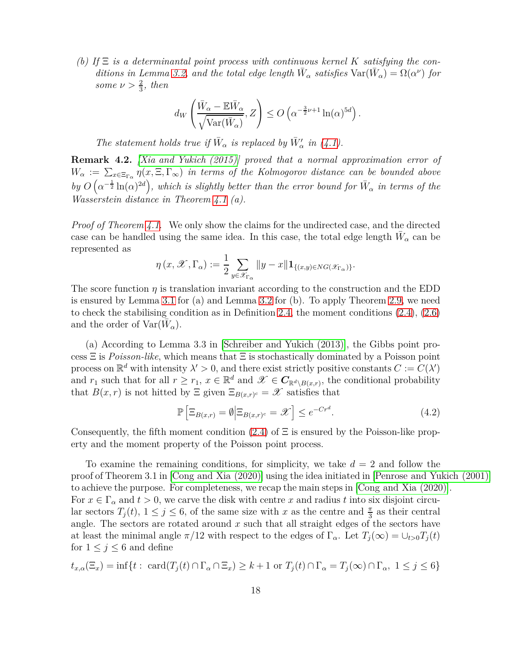(b) If  $\Xi$  *is a determinantal point process with continuous kernel K satisfying the con-ditions in Lemma [3.2,](#page-13-2) and the total edge length*  $\bar{W}_{\alpha}$  *satisfies*  $Var(\bar{W}_{\alpha}) = \Omega(\alpha^{\nu})$  for *some*  $\nu > \frac{2}{3}$ *, then* 

$$
d_W\left(\frac{\bar{W}_{\alpha} - \mathbb{E}\bar{W}_{\alpha}}{\sqrt{\text{Var}(\bar{W}_{\alpha})}}, Z\right) \leq O\left(\alpha^{-\frac{3}{2}\nu + 1}\ln(\alpha)^{5d}\right).
$$

*The statement holds true if*  $\bar{W}_{\alpha}$  *is replaced by*  $\bar{W}'_{\alpha}$  *in* [\(4.1\)](#page-16-1)*.* 

**Remark 4.2.** *[\[Xia and Yukich \(2015\)\]](#page-41-6) proved that a normal approximation error of*  $W_\alpha := \sum_{x \in \Xi_{\Gamma_\alpha}} \eta(x,\Xi,\Gamma_\infty)$  *in terms of the Kolmogorov distance can be bounded above by*  $O\left(\alpha^{-\frac{1}{2}}\ln(\alpha)^{2d}\right)$ , which is slightly better than the error bound for  $\bar{W}_{\alpha}$  in terms of the *Wasserstein distance in Theorem 4.1 (a).*

*Proof of Theorem 4.1.* We only show the claims for the undirected case, and the directed case can be handled using the same idea. In this case, the total edge length  $\bar{W}_{\alpha}$  can be represented as

$$
\eta(x, \mathscr{X}, \Gamma_{\alpha}) := \frac{1}{2} \sum_{y \in \mathscr{X}_{\Gamma_{\alpha}}} \|y - x\| \mathbf{1}_{\{(x, y) \in NG(\mathscr{X}_{\Gamma_{\alpha}})\}}.
$$

The score function *η* is translation invariant according to the construction and the EDD is ensured by Lemma [3.1](#page-11-0) for (a) and Lemma [3.2](#page-13-2) for (b). To apply Theorem [2.9,](#page-9-0) we need to check the stabilising condition as in Definition [2.4,](#page-5-1) the moment conditions [\(2.4\)](#page-6-2), [\(2.6\)](#page-7-0) and the order of  $\text{Var}(\bar{W}_\alpha)$ .

(a) According to Lemma 3*.*3 in [\[Schreiber and Yukich \(2013\)\]](#page-41-5), the Gibbs point process Ξ is *Poisson-like*, which means that Ξ is stochastically dominated by a Poisson point process on  $\mathbb{R}^d$  with intensity  $\lambda' > 0$ , and there exist strictly positive constants  $C := C(\lambda')$ and  $r_1$  such that for all  $r \geq r_1$ ,  $x \in \mathbb{R}^d$  and  $\mathscr{X} \in \mathbb{C}_{\mathbb{R}^d \setminus B(x,r)}$ , the conditional probability that  $B(x, r)$  is not hitted by  $\Xi$  given  $\Xi_{B(x,r)^c} = \mathscr{X}$  satisfies that

<span id="page-17-0"></span>
$$
\mathbb{P}\left[\Xi_{B(x,r)}=\emptyset \middle| \Xi_{B(x,r)^c}=\mathcal{X}\right] \leq e^{-Cr^d}.\tag{4.2}
$$

Consequently, the fifth moment condition  $(2.4)$  of  $\Xi$  is ensured by the Poisson-like property and the moment property of the Poisson point process.

To examine the remaining conditions, for simplicity, we take *d* = 2 and follow the proof of Theorem 3.1 in [\[Cong and Xia \(2020\)\]](#page-39-4) using the idea initiated in [\[Penrose and Yukich \(2001\)\]](#page-40-2) to achieve the purpose. For completeness, we recap the main steps in [\[Cong and Xia \(2020\)\]](#page-39-4). For  $x \in \Gamma_\alpha$  and  $t > 0$ , we carve the disk with centre x and radius t into six disjoint circular sectors  $T_j(t)$ ,  $1 \leq j \leq 6$ , of the same size with *x* as the centre and  $\frac{\pi}{3}$  as their central angle. The sectors are rotated around *x* such that all straight edges of the sectors have at least the minimal angle  $\pi/12$  with respect to the edges of  $\Gamma_\alpha$ . Let  $T_i(\infty) = \bigcup_{t>0} T_i(t)$ for  $1 \leq j \leq 6$  and define

$$
t_{x,\alpha}(\Xi_x) = \inf\{t : \ \operatorname{card}(T_j(t) \cap \Gamma_\alpha \cap \Xi_x) \ge k+1 \text{ or } T_j(t) \cap \Gamma_\alpha = T_j(\infty) \cap \Gamma_\alpha, \ 1 \le j \le 6\}
$$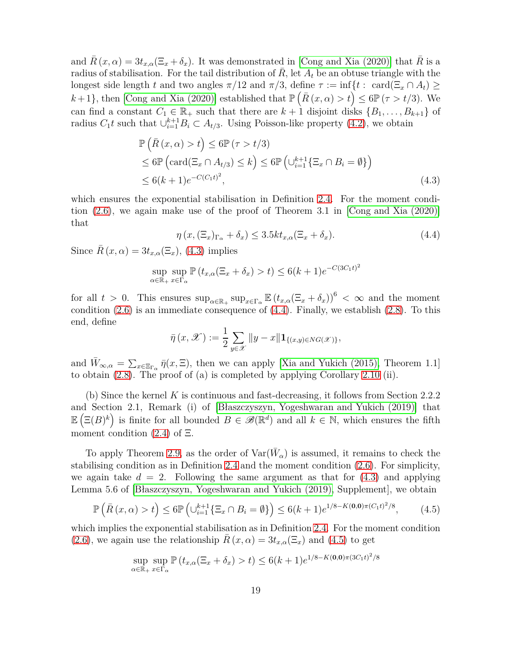and  $\bar{R}(x, \alpha) = 3t_{x,\alpha}(\Xi_x + \delta_x)$ . It was demonstrated in [\[Cong and Xia \(2020\)\]](#page-39-4) that  $\bar{R}$  is a radius of stabilisation. For the tail distribution of  $R$ , let  $A_t$  be an obtuse triangle with the longest side length *t* and two angles  $\pi/12$  and  $\pi/3$ , define  $\tau := \inf\{t : \text{ card}(\Xi_x \cap A_t) \ge$ *k* + 1, then [\[Cong and Xia \(2020\)\]](#page-39-4) established that  $\mathbb{P}(\bar{R}(x, \alpha) > t) \le 6\mathbb{P}(\tau > t/3)$ . We can find a constant  $C_1 \in \mathbb{R}_+$  such that there are  $k + 1$  disjoint disks  $\{B_1, \ldots, B_{k+1}\}\$  of radius  $C_1 t$  such that  $\bigcup_{i=1}^{k+1} B_i \subset A_{t/3}$ . Using Poisson-like property [\(4.2\)](#page-17-0), we obtain

$$
\mathbb{P}\left(\bar{R}\left(x,\alpha\right)>t\right)\leq 6\mathbb{P}\left(\tau>t/3\right)
$$
\n
$$
\leq 6\mathbb{P}\left(\text{card}(\Xi_x\cap A_{t/3})\leq k\right)\leq 6\mathbb{P}\left(\cup_{i=1}^{k+1}\{\Xi_x\cap B_i=\emptyset\}\right)
$$
\n
$$
\leq 6(k+1)e^{-C(C_1t)^2},\tag{4.3}
$$

which ensures the exponential stabilisation in Definition [2.4.](#page-5-1) For the moment condition [\(2.6\)](#page-7-0), we again make use of the proof of Theorem 3.1 in [\[Cong and Xia \(2020\)\]](#page-39-4) that

<span id="page-18-1"></span><span id="page-18-0"></span>
$$
\eta(x, (\Xi_x)_{\Gamma_\alpha} + \delta_x) \le 3.5kt_{x,\alpha}(\Xi_x + \delta_x). \tag{4.4}
$$

Since  $\bar{R}(x, \alpha) = 3t_{x,\alpha}(\Xi_x)$ , [\(4.3\)](#page-18-0) implies

$$
\sup_{\alpha \in \mathbb{R}_+} \sup_{x \in \Gamma_\alpha} \mathbb{P}\left(t_{x,\alpha}(\Xi_x + \delta_x) > t\right) \le 6(k+1)e^{-C(3C_1t)^2}
$$

for all  $t > 0$ . This ensures  $\sup_{\alpha \in \mathbb{R}_+} \sup_{x \in \Gamma_\alpha} \mathbb{E} (t_{x,\alpha}(\Xi_x + \delta_x))^6 < \infty$  and the moment condition  $(2.6)$  is an immediate consequence of  $(4.4)$ . Finally, we establish  $(2.8)$ . To this end, define

$$
\bar{\eta}(x,\mathscr{X}) := \frac{1}{2} \sum_{y \in \mathscr{X}} \|y - x\| \mathbf{1}_{\{(x,y) \in NG(\mathscr{X})\}},
$$

and  $\bar{W}_{\infty,\alpha} = \sum_{x \in \Xi_{\Gamma_{\alpha}}} \bar{\eta}(x,\Xi)$ , then we can apply [\[Xia and Yukich \(2015\),](#page-41-6) Theorem 1.1] to obtain [\(2.8\)](#page-7-3). The proof of (a) is completed by applying Corollary [2.10](#page-9-1) (ii).

(b) Since the kernel *K* is continuous and fast-decreasing, it follows from Section 2.2.2 and Section 2.1, Remark (i) of [\[Błaszczyszyn, Yogeshwaran and Yukich \(2019\)\]](#page-38-0) that  $\mathbb{E}(\Xi(B)^k)$  is finite for all bounded  $B \in \mathscr{B}(\mathbb{R}^d)$  and all  $k \in \mathbb{N}$ , which ensures the fifth moment condition  $(2.4)$  of  $\Xi$ .

To apply Theorem [2.9,](#page-9-0) as the order of  $\text{Var}(\bar{W}_{\alpha})$  is assumed, it remains to check the stabilising condition as in Definition [2.4](#page-5-1) and the moment condition [\(2.6\)](#page-7-0). For simplicity, we again take  $d = 2$ . Following the same argument as that for  $(4.3)$  and applying Lemma 5.6 of [\[Błaszczyszyn, Yogeshwaran and Yukich \(2019\),](#page-38-0) Supplement], we obtain

$$
\mathbb{P}\left(\bar{R}\left(x,\alpha\right)>t\right)\leq 6\mathbb{P}\left(\cup_{i=1}^{k+1}\left\{\Xi_x\cap B_i=\emptyset\right\}\right)\leq 6(k+1)e^{1/8-K(\mathbf{0},\mathbf{0})\pi\left(C_1t\right)^2/8},\tag{4.5}
$$

which implies the exponential stabilisation as in Definition [2.4.](#page-5-1) For the moment condition [\(2.6\)](#page-7-0), we again use the relationship  $R(x, \alpha) = 3t_{x,\alpha}(\Xi_x)$  and [\(4.5\)](#page-18-2) to get

<span id="page-18-2"></span>
$$
\sup_{\alpha \in \mathbb{R}_+} \sup_{x \in \Gamma_\alpha} \mathbb{P}\left(t_{x,\alpha}(\Xi_x + \delta_x) > t\right) \le 6(k+1)e^{1/8 - K(0,0)\pi (3C_1t)^2/8}
$$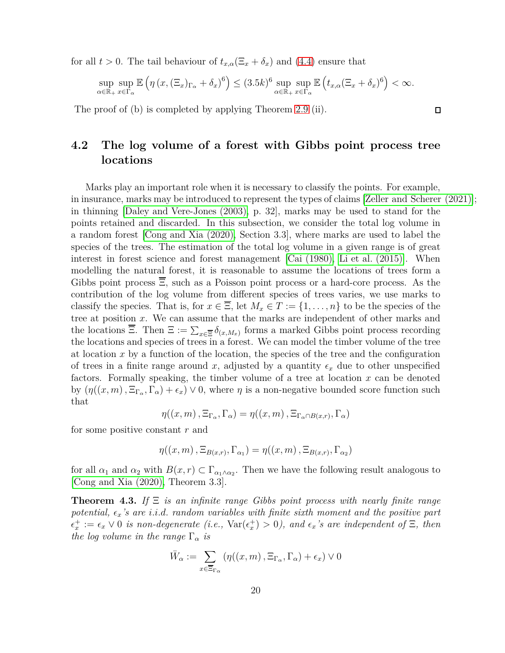for all  $t > 0$ . The tail behaviour of  $t_{x,\alpha}(\Xi_x + \delta_x)$  and [\(4.4\)](#page-18-1) ensure that

$$
\sup_{\alpha \in \mathbb{R}_+} \sup_{x \in \Gamma_\alpha} \mathbb{E}\left(\eta\left(x, (\Xi_x)_{\Gamma_\alpha} + \delta_x\right)^6\right) \le (3.5k)^6 \sup_{\alpha \in \mathbb{R}_+} \sup_{x \in \Gamma_\alpha} \mathbb{E}\left(t_{x,\alpha}(\Xi_x + \delta_x)^6\right) < \infty.
$$

The proof of (b) is completed by applying Theorem [2.9](#page-9-0) (ii).

## **4.2 The log volume of a forest with Gibbs point process tree locations**

Marks play an important role when it is necessary to classify the points. For example, in insurance, marks may be introduced to represent the types of claims [\[Zeller and Scherer \(2021\)\]](#page-41-12); in thinning [\[Daley and Vere-Jones \(2003\),](#page-39-5) p. 32], marks may be used to stand for the points retained and discarded. In this subsection, we consider the total log volume in a random forest [\[Cong and Xia \(2020\),](#page-39-4) Section 3*.*3], where marks are used to label the species of the trees. The estimation of the total log volume in a given range is of great interest in forest science and forest management [\[Cai \(1980\),](#page-39-12) [Li et al. \(2015\)\]](#page-40-12). When modelling the natural forest, it is reasonable to assume the locations of trees form a Gibbs point process  $\overline{\Xi}$ , such as a Poisson point process or a hard-core process. As the contribution of the log volume from different species of trees varies, we use marks to classify the species. That is, for  $x \in \overline{\Xi}$ , let  $M_x \in T := \{1, \ldots, n\}$  to be the species of the tree at position *x*. We can assume that the marks are independent of other marks and the locations Ξ. Then  $\Xi := \sum_{x \in \overline{\Xi}} \delta_{(x,M_x)}$  forms a marked Gibbs point process recording the locations and species of trees in a forest. We can model the timber volume of the tree at location *x* by a function of the location, the species of the tree and the configuration of trees in a finite range around x, adjusted by a quantity  $\epsilon_x$  due to other unspecified factors. Formally speaking, the timber volume of a tree at location *x* can be denoted by  $(\eta((x,m), \Xi_{\Gamma_\alpha}, \Gamma_\alpha) + \epsilon_x) \vee 0$ , where  $\eta$  is a non-negative bounded score function such that

$$
\eta((x,m), \Xi_{\Gamma_{\alpha}}, \Gamma_{\alpha}) = \eta((x,m), \Xi_{\Gamma_{\alpha} \cap B(x,r)}, \Gamma_{\alpha})
$$

for some positive constant *r* and

$$
\eta((x,m), \Xi_{B(x,r)}, \Gamma_{\alpha_1}) = \eta((x,m), \Xi_{B(x,r)}, \Gamma_{\alpha_2})
$$

for all  $\alpha_1$  and  $\alpha_2$  with  $B(x, r) \subset \Gamma_{\alpha_1 \wedge \alpha_2}$ . Then we have the following result analogous to [\[Cong and Xia \(2020\),](#page-39-4) Theorem 3*.*3].

**Theorem 4.3.** *If* Ξ *is an infinite range Gibbs point process with nearly finite range potential, ǫx's are i.i.d. random variables with finite sixth moment and the positive part*  $\epsilon_x^+ := \epsilon_x \vee 0$  *is non-degenerate* (*i.e.*,  $\text{Var}(\epsilon_x^+) > 0$ ), and  $\epsilon_x$ 's are independent of  $\Xi$ , then *the log volume in the range*  $\Gamma_{\alpha}$  *is* 

$$
\bar{W}_{\alpha} := \sum_{x \in \overline{\Xi}_{\Gamma_{\alpha}}} \left( \eta((x, m), \Xi_{\Gamma_{\alpha}}, \Gamma_{\alpha}) + \epsilon_x \right) \vee 0
$$

 $\Box$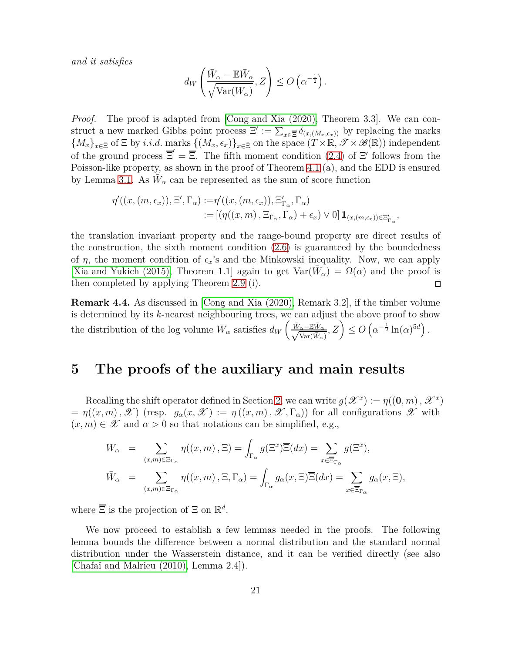*and it satisfies*

$$
d_W\left(\frac{\bar{W}_{\alpha} - \mathbb{E}\bar{W}_{\alpha}}{\sqrt{\text{Var}(\bar{W}_{\alpha})}}, Z\right) \leq O\left(\alpha^{-\frac{1}{2}}\right).
$$

*Proof.* The proof is adapted from [\[Cong and Xia \(2020\),](#page-39-4) Theorem 3*.*3]. We can construct a new marked Gibbs point process  $\Xi' := \sum_{x \in \overline{\Xi}} \delta_{(x,(M_x,\epsilon_x))}$  by replacing the marks  ${M_x}_{x \in \bar{z}}$  of  $\Xi$  by *i.i.d.* marks  ${(M_x, \epsilon_x)}_{x \in \bar{z}}$  on the space  $(T \times \mathbb{R}, \mathcal{T} \times \mathcal{B}(\mathbb{R}))$  independent of the ground process  $\overline{\Xi}' = \overline{\Xi}$ . The fifth moment condition [\(2.4\)](#page-6-2) of  $\Xi'$  follows from the Poisson-like property, as shown in the proof of Theorem 4.1 (a), and the EDD is ensured by Lemma [3.1.](#page-11-0) As  $\bar{W}_{\alpha}$  can be represented as the sum of score function

$$
\eta'((x,(m,\epsilon_x)),\Xi',\Gamma_\alpha):=\eta'((x,(m,\epsilon_x)),\Xi'_{\Gamma_\alpha},\Gamma_\alpha)
$$
  
:=
$$
[(\eta((x,m),\Xi_{\Gamma_\alpha},\Gamma_\alpha)+\epsilon_x)\vee 0] \mathbf{1}_{(x,(m,\epsilon_x))\in\Xi'_{\Gamma_\alpha}},
$$

the translation invariant property and the range-bound property are direct results of the construction, the sixth moment condition  $(2.6)$  is guaranteed by the boundedness of  $\eta$ , the moment condition of  $\epsilon_x$ 's and the Minkowski inequality. Now, we can apply [\[Xia and Yukich \(2015\),](#page-41-6) Theorem 1.1] again to get  $Var(\bar{W}_{\alpha}) = \Omega(\alpha)$  and the proof is then completed by applying Theorem [2.9](#page-9-0) (i).  $\Box$ 

**Remark 4.4.** As discussed in [\[Cong and Xia \(2020\),](#page-39-4) Remark 3*.*2], if the timber volume is determined by its *k*-nearest neighbouring trees, we can adjust the above proof to show the distribution of the log volume  $\bar{W}_{\alpha}$  satisfies  $d_W\left(\frac{\bar{W}_{\alpha} - \mathbb{E}\bar{W}_{\alpha}}{\sqrt{\text{Var}(\bar{W}_{\alpha})}}, Z\right) \leq O\left(\alpha^{-\frac{1}{2}}\ln(\alpha)^{5d}\right)$ .

### <span id="page-20-0"></span>**5 The proofs of the auxiliary and main results**

Recalling the shift operator defined in Section [2,](#page-2-0) we can write  $g(\mathscr{X}^x) := \eta((\mathbf{0}, m), \mathscr{X}^x)$  $= \eta((x, m), \mathscr{X})$  (resp.  $g_{\alpha}(x, \mathscr{X}) := \eta((x, m), \mathscr{X}, \Gamma_{\alpha})$ ) for all configurations  $\mathscr{X}$  with  $(x, m) \in \mathcal{X}$  and  $\alpha > 0$  so that notations can be simplified, e.g.,

$$
W_{\alpha} = \sum_{(x,m)\in \Xi_{\Gamma_{\alpha}}} \eta((x,m), \Xi) = \int_{\Gamma_{\alpha}} g(\Xi^x) \overline{\Xi}(dx) = \sum_{x \in \overline{\Xi}_{\Gamma_{\alpha}}} g(\Xi^x),
$$
  

$$
\bar{W}_{\alpha} = \sum_{(x,m)\in \Xi_{\Gamma_{\alpha}}} \eta((x,m), \Xi, \Gamma_{\alpha}) = \int_{\Gamma_{\alpha}} g_{\alpha}(x, \Xi) \overline{\Xi}(dx) = \sum_{x \in \overline{\Xi}_{\Gamma_{\alpha}}} g_{\alpha}(x, \Xi),
$$

where  $\overline{\Xi}$  is the projection of  $\Xi$  on  $\mathbb{R}^d$ .

We now proceed to establish a few lemmas needed in the proofs. The following lemma bounds the difference between a normal distribution and the standard normal distribution under the Wasserstein distance, and it can be verified directly (see also [\[Chafaï and Malrieu \(2010\),](#page-39-13) Lemma 2.4]).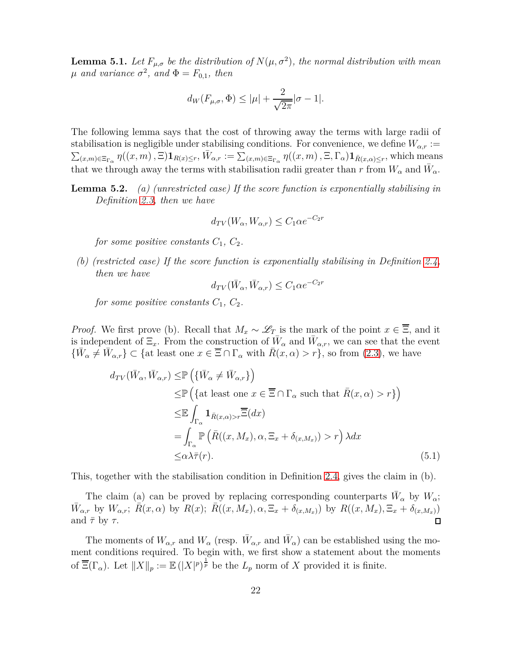<span id="page-21-1"></span>**Lemma 5.1.** *Let*  $F_{\mu,\sigma}$  *be the distribution of*  $N(\mu,\sigma^2)$ *, the normal distribution with mean*  $\mu$  *and variance*  $\sigma^2$ *, and*  $\Phi = F_{0,1}$ *, then* 

$$
d_W(F_{\mu,\sigma}, \Phi) \le |\mu| + \frac{2}{\sqrt{2\pi}} |\sigma - 1|.
$$

The following lemma says that the cost of throwing away the terms with large radii of stabilisation is negligible under stabilising conditions. For convenience, we define  $W_{\alpha,r}$  :=  $\sum_{(x,m)\in\Xi_{\Gamma_{\alpha}}} \eta((x,m),\Xi) \mathbf{1}_{R(x)\leq r},\overline{W}_{\alpha,r} := \sum_{(x,m)\in\Xi_{\Gamma_{\alpha}}} \eta((x,m),\Xi,\Gamma_{\alpha}) \mathbf{1}_{\overline{R}(x,\alpha)\leq r}$ , which means that we through away the terms with stabilisation radii greater than *r* from  $W_{\alpha}$  and  $\bar{W}_{\alpha}$ .

**Lemma 5.2.** *(a) (unrestricted case) If the score function is exponentially stabilising in Definition [2.3,](#page-5-0) then we have*

$$
d_{TV}(W_{\alpha}, W_{\alpha,r}) \le C_1 \alpha e^{-C_2 r}
$$

*for some positive constants*  $C_1$ ,  $C_2$ .

*(b) (restricted case) If the score function is exponentially stabilising in Definition [2.4,](#page-5-1) then we have*

<span id="page-21-0"></span>
$$
d_{TV}(\bar{W}_{\alpha}, \bar{W}_{\alpha,r}) \le C_1 \alpha e^{-C_2 r}
$$

*for some positive constants*  $C_1$ ,  $C_2$ .

*Proof.* We first prove (b). Recall that  $M_x \sim \mathscr{L}_T$  is the mark of the point  $x \in \overline{\Xi}$ , and it is independent of  $\Xi_x$ . From the construction of  $\bar{W}_\alpha$  and  $\bar{W}_{\alpha,r}$ , we can see that the event  ${\overline{W}}_{\alpha} \neq {\overline{W}}_{\alpha,r}$  ⊂ {at least one  $x \in \overline{\Xi} \cap \Gamma_{\alpha}$  with  $\overline{R}(x,\alpha) > r$ }, so from [\(2.3\)](#page-4-1), we have

$$
d_{TV}(\bar{W}_{\alpha}, \bar{W}_{\alpha,r}) \leq \mathbb{P}\left(\{\bar{W}_{\alpha} \neq \bar{W}_{\alpha,r}\}\right)
$$
  
\n
$$
\leq \mathbb{P}\left(\{\text{at least one } x \in \overline{\Xi} \cap \Gamma_{\alpha} \text{ such that } \bar{R}(x,\alpha) > r\}\right)
$$
  
\n
$$
\leq \mathbb{E}\int_{\Gamma_{\alpha}} \mathbf{1}_{\bar{R}(x,\alpha)>r} \overline{\Xi}(dx)
$$
  
\n
$$
= \int_{\Gamma_{\alpha}} \mathbb{P}\left(\bar{R}((x,M_x), \alpha, \Xi_x + \delta_{(x,M_x)}) > r\right) \lambda dx
$$
  
\n
$$
\leq \alpha \lambda \bar{\tau}(r).
$$
 (5.1)

This, together with the stabilisation condition in Definition [2.4,](#page-5-1) gives the claim in (b).

The claim (a) can be proved by replacing corresponding counterparts  $\bar{W}_{\alpha}$  by  $W_{\alpha}$ ;  $\bar{W}_{\alpha,r}$  by  $W_{\alpha,r}$ ;  $\bar{R}(x,\alpha)$  by  $R(x)$ ;  $\bar{R}((x,M_x),\alpha,\Xi_x+\delta_{(x,M_x)})$  by  $R((x,M_x),\Xi_x+\delta_{(x,M_x)})$ and  $\bar{\tau}$  by  $\tau$ .  $\Box$ 

The moments of  $W_{\alpha,r}$  and  $W_{\alpha}$  (resp.  $\bar{W}_{\alpha,r}$  and  $\bar{W}_{\alpha}$ ) can be established using the moment conditions required. To begin with, we first show a statement about the moments of  $\overline{\Xi}(\Gamma_\alpha)$ . Let  $||X||_p := \mathbb{E}(|X|^p)^{\frac{1}{p}}$  be the  $L_p$  norm of X provided it is finite.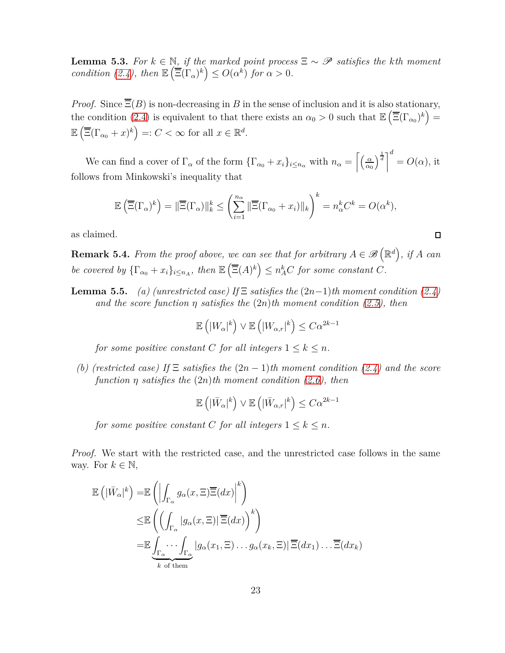<span id="page-22-0"></span>**Lemma 5.3.** *For*  $k \in \mathbb{N}$ , *if the marked point process*  $\Xi \sim \mathscr{P}$  *satisfies the kth moment condition* [\(2.4\)](#page-6-2), then  $\mathbb{E}\left(\overline{\Xi}(\Gamma_\alpha)^k\right) \leq O(\alpha^k)$  for  $\alpha > 0$ .

*Proof.* Since  $\overline{\Xi}(B)$  is non-decreasing in *B* in the sense of inclusion and it is also stationary, the condition [\(2.4\)](#page-6-2) is equivalent to that there exists an  $\alpha_0 > 0$  such that  $\mathbb{E}(\overline{\Xi}(\Gamma_{\alpha_0})^k) =$  $\mathbb{E}\left(\overline{\Xi}(\Gamma_{\alpha_0}+x)^k\right) =: C < \infty$  for all  $x \in \mathbb{R}^d$ .

We can find a cover of  $\Gamma_{\alpha}$  of the form  $\{\Gamma_{\alpha_0} + x_i\}_{i \leq n_{\alpha}}$  with  $n_{\alpha} = \left[\frac{\alpha}{\alpha_0}\right]$ *α*<sup>0</sup>  $\left[\frac{1}{d}\right]^d$  $= O(\alpha)$ , it follows from Minkowski's inequality that

$$
\mathbb{E}\left(\overline{\Xi}(\Gamma_{\alpha})^k\right) = \|\overline{\Xi}(\Gamma_{\alpha})\|_{k}^k \le \left(\sum_{i=1}^{n_{\alpha}} \|\overline{\Xi}(\Gamma_{\alpha_0} + x_i)\|_{k}\right)^k = n_{\alpha}^k C^k = O(\alpha^k),
$$

as claimed.

<span id="page-22-1"></span>**Remark 5.4.** *From the proof above, we can see that for arbitrary*  $A \in \mathscr{B}(\mathbb{R}^d)$ *, if A can be covered by*  ${\{\Gamma_{\alpha_0} + x_i\}}_{i \leq n_A}$ , then  $\mathbb{E}(\overline{\Xi}(A)^k) \leq n_A^k C$  for some constant C.

 $\Box$ 

**Lemma 5.5.** *(a) (unrestricted case)* If  $\Xi$  *satisfies the*  $(2n-1)$ *th moment condition*  $(2.4)$ *and the score function η satisfies the* (2*n*)*th moment condition [\(2.5\)](#page-7-1), then*

$$
\mathbb{E}\left(\left|W_{\alpha}\right|^{k}\right) \vee \mathbb{E}\left(\left|W_{\alpha,r}\right|^{k}\right) \leq C\alpha^{2k-1}
$$

*for some positive constant C for all integers*  $1 \leq k \leq n$ *.* 

*(b) (restricted case) If* Ξ *satisfies the* (2*n* − 1)*th moment condition [\(2.4\)](#page-6-2) and the score function η satisfies the* (2*n*)*th moment condition [\(2.6\)](#page-7-0), then*

$$
\mathbb{E}\left(|\bar{W}_{\alpha}|^{k}\right) \vee \mathbb{E}\left(|\bar{W}_{\alpha,r}|^{k}\right) \leq C\alpha^{2k-1}
$$

*for some positive constant C for all integers*  $1 \leq k \leq n$ *.* 

*Proof.* We start with the restricted case, and the unrestricted case follows in the same way. For  $k \in \mathbb{N}$ ,

$$
\mathbb{E}\left(|\bar{W}_{\alpha}|^{k}\right) = \mathbb{E}\left(\left|\int_{\Gamma_{\alpha}} g_{\alpha}(x,\Xi)\overline{\Xi}(dx)\right|^{k}\right)
$$
  
\n
$$
\leq \mathbb{E}\left(\left(\int_{\Gamma_{\alpha}} |g_{\alpha}(x,\Xi)|\overline{\Xi}(dx)\right)^{k}\right)
$$
  
\n
$$
= \mathbb{E}\underbrace{\int_{\Gamma_{\alpha}}\cdots\int_{\Gamma_{\alpha}}|g_{\alpha}(x_{1},\Xi)\cdots g_{\alpha}(x_{k},\Xi)|\overline{\Xi}(dx_{1})\cdots\overline{\Xi}(dx_{k})}_{k \text{ of them}}
$$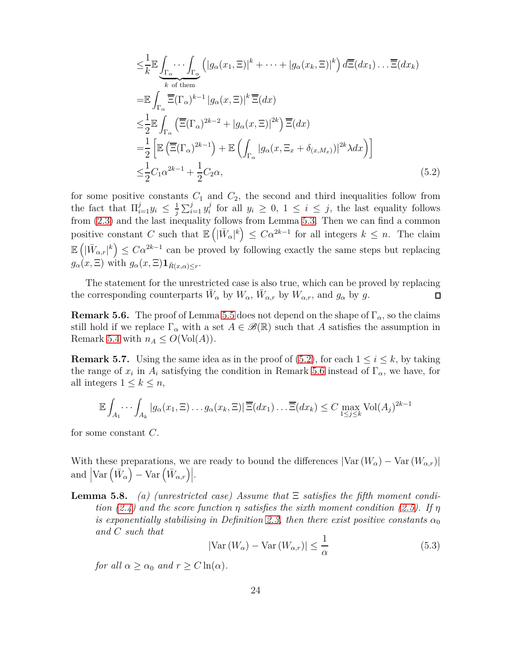<span id="page-23-0"></span>
$$
\leq \frac{1}{k} \mathbb{E} \underbrace{\int_{\Gamma_{\alpha}} \cdots \int_{\Gamma_{\alpha}} \left( |g_{\alpha}(x_1, \Xi)|^{k} + \cdots + |g_{\alpha}(x_k, \Xi)|^{k} \right) d\overline{\Xi}(dx_1) \cdots \overline{\Xi}(dx_k)}_{k \text{ of them}}
$$
\n
$$
= \mathbb{E} \int_{\Gamma_{\alpha}} \overline{\Xi}(\Gamma_{\alpha})^{k-1} |g_{\alpha}(x, \Xi)|^{k} \overline{\Xi}(dx)
$$
\n
$$
\leq \frac{1}{2} \mathbb{E} \int_{\Gamma_{\alpha}} \left( \overline{\Xi}(\Gamma_{\alpha})^{2k-2} + |g_{\alpha}(x, \Xi)|^{2k} \right) \overline{\Xi}(dx)
$$
\n
$$
= \frac{1}{2} \left[ \mathbb{E} \left( \overline{\Xi}(\Gamma_{\alpha})^{2k-1} \right) + \mathbb{E} \left( \int_{\Gamma_{\alpha}} |g_{\alpha}(x, \Xi_x + \delta_{(x, M_x)})|^{2k} \lambda dx \right) \right]
$$
\n
$$
\leq \frac{1}{2} C_1 \alpha^{2k-1} + \frac{1}{2} C_2 \alpha,
$$
\n(5.2)

for some positive constants  $C_1$  and  $C_2$ , the second and third inequalities follow from the fact that  $\prod_{i=1}^{j} y_i \leq \frac{1}{j}$  $\frac{1}{j} \sum_{i=1}^{j} y_i^j$  $y_i$ <sup>*i*</sup> for all  $y_i \geq 0$ ,  $1 \leq i \leq j$ , the last equality follows from [\(2.3\)](#page-4-1) and the last inequality follows from Lemma [5.3.](#page-22-0) Then we can find a common positive constant *C* such that  $\mathbb{E}(|\bar{W}_{\alpha}|^k) \leq C\alpha^{2k-1}$  for all integers  $k \leq n$ . The claim  $\mathbb{E}(|\bar{W}_{\alpha,r}|^k) \leq C\alpha^{2k-1}$  can be proved by following exactly the same steps but replacing  $g_{\alpha}(x,\Xi)$  with  $g_{\alpha}(x,\Xi) \mathbf{1}_{\bar{R}(x,\alpha)\leq r}$ .

The statement for the unrestricted case is also true, which can be proved by replacing the corresponding counterparts  $\bar{W}_{\alpha}$  by  $W_{\alpha}$ ,  $\bar{W}_{\alpha,r}$  by  $W_{\alpha,r}$ , and  $g_{\alpha}$  by  $g$ .  $\Box$ 

<span id="page-23-1"></span>**Remark 5.6.** The proof of Lemma 5.5 does not depend on the shape of  $\Gamma_{\alpha}$ , so the claims still hold if we replace  $\Gamma_{\alpha}$  with a set  $A \in \mathscr{B}(\mathbb{R})$  such that A satisfies the assumption in Remark [5.4](#page-22-1) with  $n_A \leq O(\text{Vol}(A)).$ 

<span id="page-23-3"></span>**Remark 5.7.** Using the same idea as in the proof of [\(5.2\)](#page-23-0), for each  $1 \leq i \leq k$ , by taking the range of  $x_i$  in  $A_i$  satisfying the condition in Remark [5.6](#page-23-1) instead of  $\Gamma_\alpha$ , we have, for all integers  $1 \leq k \leq n$ ,

$$
\mathbb{E}\int_{A_1}\cdots\int_{A_k}|g_{\alpha}(x_1,\Xi)\ldots g_{\alpha}(x_k,\Xi)|\overline{\Xi}(dx_1)\ldots\overline{\Xi}(dx_k)\leq C\max_{1\leq j\leq k}\mathrm{Vol}(A_j)^{2k-1}
$$

for some constant *C*.

With these preparations, we are ready to bound the differences  $|\text{Var}(W_{\alpha}) - \text{Var}(W_{\alpha,r})|$ and  $\left|\text{Var}\left(\bar{W}_{\alpha}\right) - \text{Var}\left(\bar{W}_{\alpha,r}\right)\right|$ .

**Lemma 5.8.** *(a) (unrestricted case) Assume that* Ξ *satisfies the fifth moment condition* [\(2.4\)](#page-6-2) and the score function  $\eta$  satisfies the sixth moment condition [\(2.5\)](#page-7-1). If  $\eta$ *is exponentially stabilising in Definition* [2.3,](#page-5-0) *then there exist positive constants*  $\alpha_0$ *and C such that*

<span id="page-23-2"></span>
$$
\left|\text{Var}\left(W_{\alpha}\right) - \text{Var}\left(W_{\alpha,r}\right)\right| \le \frac{1}{\alpha} \tag{5.3}
$$

*for all*  $\alpha \geq \alpha_0$  *and*  $r \geq C \ln(\alpha)$ *.*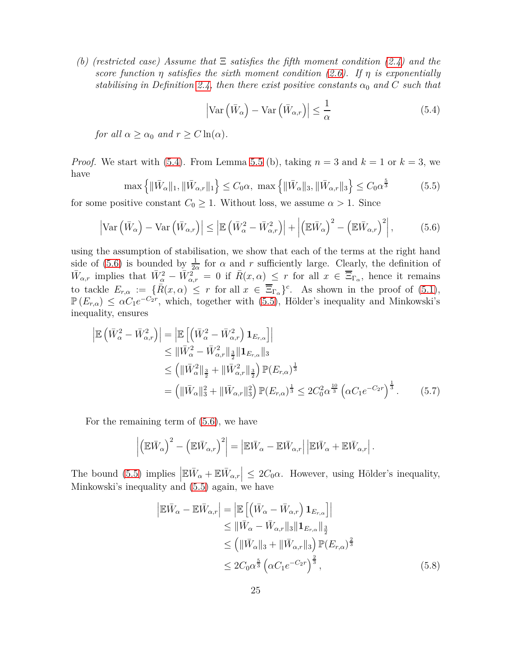*(b) (restricted case) Assume that* Ξ *satisfies the fifth moment condition [\(2.4\)](#page-6-2) and the score function η satisfies the sixth moment condition [\(2.6\)](#page-7-0). If η is exponentially stabilising in Definition [2.4,](#page-5-1)* then there exist positive constants  $\alpha_0$  and C such that

<span id="page-24-0"></span>
$$
\left| \text{Var}\left(\bar{W}_{\alpha}\right) - \text{Var}\left(\bar{W}_{\alpha,r}\right) \right| \leq \frac{1}{\alpha} \tag{5.4}
$$

*for all*  $\alpha \geq \alpha_0$  *and*  $r \geq C \ln(\alpha)$ *.* 

*Proof.* We start with [\(5.4\)](#page-24-0). From Lemma 5.5 (b), taking  $n = 3$  and  $k = 1$  or  $k = 3$ , we have

<span id="page-24-2"></span>
$$
\max\left\{\|\bar{W}_{\alpha}\|_{1}, \|\bar{W}_{\alpha,r}\|_{1}\right\} \leq C_{0}\alpha, \ \max\left\{\|\bar{W}_{\alpha}\|_{3}, \|\bar{W}_{\alpha,r}\|_{3}\right\} \leq C_{0}\alpha^{\frac{5}{3}}\tag{5.5}
$$

for some positive constant  $C_0 \geq 1$ . Without loss, we assume  $\alpha > 1$ . Since

<span id="page-24-1"></span>
$$
\left| \text{Var}\left(\bar{W}_{\alpha}\right) - \text{Var}\left(\bar{W}_{\alpha,r}\right) \right| \le \left| \mathbb{E}\left(\bar{W}_{\alpha}^2 - \bar{W}_{\alpha,r}^2\right) \right| + \left| \left(\mathbb{E}\bar{W}_{\alpha}\right)^2 - \left(\mathbb{E}\bar{W}_{\alpha,r}\right)^2 \right|, \tag{5.6}
$$

using the assumption of stabilisation, we show that each of the terms at the right hand side of [\(5.6\)](#page-24-1) is bounded by  $\frac{1}{2\alpha}$  for  $\alpha$  and  $r$  sufficiently large. Clearly, the definition of  $\bar{W}_{\alpha,r}$  implies that  $\bar{W}^2_{\alpha} - \bar{W}^2_{\alpha,r} = 0$  if  $\bar{R}(x,\alpha) \leq r$  for all  $x \in \overline{\Xi}_{\Gamma_{\alpha}},$  hence it remains to tackle  $E_{r,\alpha} := \{\overline{R}(x,\alpha) \leq r \text{ for all } x \in \overline{\Xi}_{\Gamma_{\alpha}}\}^c$ . As shown in the proof of [\(5.1\)](#page-21-0),  $\mathbb{P}(E_{r,\alpha}) \leq \alpha C_1 e^{-C_2 r}$ , which, together with [\(5.5\)](#page-24-2), Hölder's inequality and Minkowski's inequality, ensures

$$
\begin{split}\n\left| \mathbb{E} \left( \bar{W}_{\alpha}^{2} - \bar{W}_{\alpha,r}^{2} \right) \right| &= \left| \mathbb{E} \left[ \left( \bar{W}_{\alpha}^{2} - \bar{W}_{\alpha,r}^{2} \right) \mathbf{1}_{E_{r,\alpha}} \right] \right| \\
&\leq \|\bar{W}_{\alpha}^{2} - \bar{W}_{\alpha,r}^{2} \|_{\frac{3}{2}} \|\mathbf{1}_{E_{r,\alpha}}\|_{3} \\
&\leq \left( \|\bar{W}_{\alpha}^{2} \|_{\frac{3}{2}} + \|\bar{W}_{\alpha,r}^{2} \|_{\frac{3}{2}} \right) \mathbb{P}(E_{r,\alpha})^{\frac{1}{3}} \\
&= \left( \|\bar{W}_{\alpha} \|_{3}^{2} + \|\bar{W}_{\alpha,r} \|_{3}^{2} \right) \mathbb{P}(E_{r,\alpha})^{\frac{1}{3}} \leq 2C_{0}^{2} \alpha^{\frac{10}{3}} \left( \alpha C_{1} e^{-C_{2}r} \right)^{\frac{1}{3}}.\n\end{split} \tag{5.7}
$$

For the remaining term of [\(5.6\)](#page-24-1), we have

$$
\left| \left( \mathbb{E} \bar{W}_{\alpha} \right)^2 - \left( \mathbb{E} \bar{W}_{\alpha,r} \right)^2 \right| = \left| \mathbb{E} \bar{W}_{\alpha} - \mathbb{E} \bar{W}_{\alpha,r} \right| \left| \mathbb{E} \bar{W}_{\alpha} + \mathbb{E} \bar{W}_{\alpha,r} \right|.
$$

The bound [\(5.5\)](#page-24-2) implies  $|\mathbb{E}\bar{W}_{\alpha} + \mathbb{E}\bar{W}_{\alpha,r}| \leq 2C_0\alpha$ . However, using Hölder's inequality, Minkowski's inequality and [\(5.5\)](#page-24-2) again, we have

<span id="page-24-4"></span><span id="page-24-3"></span>
$$
\left| \mathbb{E} \bar{W}_{\alpha} - \mathbb{E} \bar{W}_{\alpha,r} \right| = \left| \mathbb{E} \left[ \left( \bar{W}_{\alpha} - \bar{W}_{\alpha,r} \right) \mathbf{1}_{E_{r,\alpha}} \right] \right|
$$
  
\n
$$
\leq \left| \left| \bar{W}_{\alpha} - \bar{W}_{\alpha,r} \right| \right| \mathbf{1}_{E_{r,\alpha}} \left| \frac{3}{2} \right|
$$
  
\n
$$
\leq \left( \left\| \bar{W}_{\alpha} \right\|_{3} + \left\| \bar{W}_{\alpha,r} \right\|_{3} \right) \mathbb{P} (E_{r,\alpha})^{\frac{2}{3}}
$$
  
\n
$$
\leq 2C_0 \alpha^{\frac{5}{3}} \left( \alpha C_1 e^{-C_2 r} \right)^{\frac{2}{3}}, \tag{5.8}
$$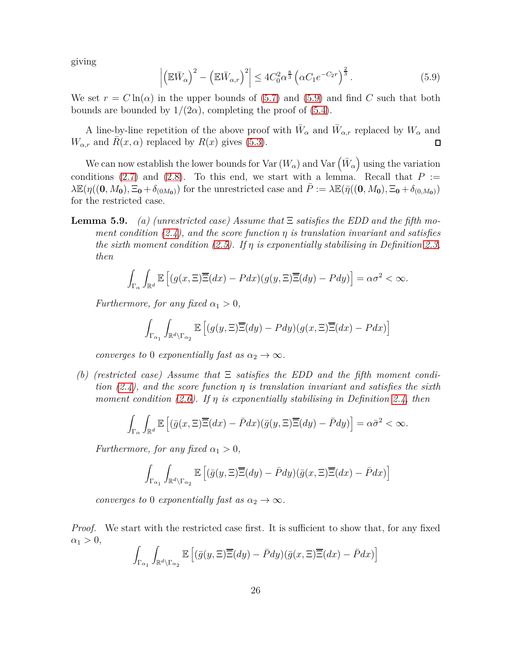giving

<span id="page-25-0"></span>
$$
\left| \left( \mathbb{E} \bar{W}_{\alpha} \right)^2 - \left( \mathbb{E} \bar{W}_{\alpha,r} \right)^2 \right| \le 4C_0^2 \alpha^{\frac{8}{3}} \left( \alpha C_1 e^{-C_2 r} \right)^{\frac{2}{3}}.
$$
\n(5.9)

We set  $r = C \ln(\alpha)$  in the upper bounds of [\(5.7\)](#page-24-3) and [\(5.9\)](#page-25-0) and find C such that both bounds are bounded by  $1/(2\alpha)$ , completing the proof of [\(5.4\)](#page-24-0).

A line-by-line repetition of the above proof with  $\bar{W}_{\alpha}$  and  $\bar{W}_{\alpha,r}$  replaced by  $W_{\alpha}$  and *W*<sub>*α,r*</sub> and *R*(*x*, *α*) replaced by *R*(*x*) gives [\(5.3\)](#page-23-2).  $\Box$ 

We can now establish the lower bounds for Var  $(W_{\alpha})$  and Var  $(\bar{W}_{\alpha})$  using the variation conditions [\(2.7\)](#page-7-2) and [\(2.8\)](#page-7-3). To this end, we start with a lemma. Recall that  $P :=$  $\lambda \mathbb{E}(\eta((0, M_0), \Xi_0 + \delta_{(0M_0)})$  for the unrestricted case and  $P := \lambda \mathbb{E}(\bar{\eta}((0, M_0), \Xi_0 + \delta_{(0, M_0)})$ for the restricted case.

**Lemma 5.9.** *(a) (unrestricted case) Assume that* Ξ *satisfies the EDD and the fifth moment condition [\(2.4\)](#page-6-2), and the score function η is translation invariant and satisfies the sixth moment condition [\(2.5\)](#page-7-1). If η is exponentially stabilising in Definition [2.3,](#page-5-0) then*

$$
\int_{\Gamma_{\alpha}} \int_{\mathbb{R}^d} \mathbb{E}\left[ (g(x,\Xi)\overline{\Xi}(dx) - Pdx)(g(y,\Xi)\overline{\Xi}(dy) - Pdy) \right] = \alpha\sigma^2 < \infty.
$$

*Furthermore, for any fixed*  $\alpha_1 > 0$ *,* 

$$
\int_{\Gamma_{\alpha_1}} \int_{\mathbb{R}^d \setminus \Gamma_{\alpha_2}} \mathbb{E}\left[ (g(y,\Xi)\overline{\Xi}(dy) - Pdy)(g(x,\Xi)\overline{\Xi}(dx) - Pdx) \right]
$$

*converges to* 0 *exponentially fast as*  $\alpha_2 \rightarrow \infty$ *.* 

*(b) (restricted case) Assume that* Ξ *satisfies the EDD and the fifth moment condition [\(2.4\)](#page-6-2), and the score function η is translation invariant and satisfies the sixth moment condition [\(2.6\)](#page-7-0). If η is exponentially stabilising in Definition [2.4,](#page-5-1) then*

$$
\int_{\Gamma_{\alpha}} \int_{\mathbb{R}^d} \mathbb{E} \left[ (\bar{g}(x,\Xi)\overline{\Xi}(dx) - \bar{P}dx)(\bar{g}(y,\Xi)\overline{\Xi}(dy) - \bar{P}dy) \right] = \alpha \bar{\sigma}^2 < \infty.
$$

*Furthermore, for any fixed*  $\alpha_1 > 0$ ,

$$
\int_{\Gamma_{\alpha_1}} \int_{\mathbb{R}^d \setminus \Gamma_{\alpha_2}} \mathbb{E}\left[ (\bar{g}(y,\Xi)\overline{\Xi}(dy) - \bar{P}dy)(\bar{g}(x,\Xi)\overline{\Xi}(dx) - \bar{P}dx) \right]
$$

*converges to* 0 *exponentially fast as*  $\alpha_2 \rightarrow \infty$ *.* 

*Proof.* We start with the restricted case first. It is sufficient to show that, for any fixed  $\alpha_1 > 0$ ,

$$
\int_{\Gamma_{\alpha_1}} \int_{\mathbb{R}^d \setminus \Gamma_{\alpha_2}} \mathbb{E}\left[ (\bar{g}(y,\Xi)\overline{\Xi}(dy) - \bar{P}dy)(\bar{g}(x,\Xi)\overline{\Xi}(dx) - \bar{P}dx) \right]
$$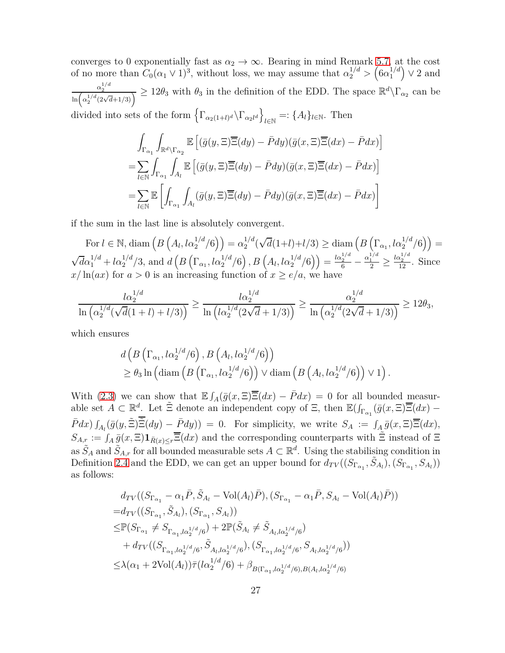converges to 0 exponentially fast as  $\alpha_2 \to \infty$ . Bearing in mind Remark [5.7,](#page-23-3) at the cost of no more than  $C_0(\alpha_1 \vee 1)^3$ , without loss, we may assume that  $\alpha_2^{1/d} > (\alpha_1^{1/d}$  $\binom{1/d}{1} \vee 2$  and  $\frac{\alpha_2^{1/d}}{\ln(\alpha_2^{1/d}(2\sqrt{d}+1/3))} \ge 12\theta_3$  with  $\theta_3$  in the definition of the EDD. The space  $\mathbb{R}^d\setminus\Gamma_{\alpha_2}$  can be

divided into sets of the form  $\left\{ \Gamma_{\alpha_2(1+l)^d} \backslash \Gamma_{\alpha_2 l^d} \right\}$  $l \in \mathbb{N}$  =: { $A_l$ } $l \in \mathbb{N}$ . Then

$$
\int_{\Gamma_{\alpha_1}} \int_{\mathbb{R}^d \setminus \Gamma_{\alpha_2}} \mathbb{E}\left[ (\bar{g}(y, \Xi) \overline{\Xi}(dy) - \bar{P}dy)(\bar{g}(x, \Xi) \overline{\Xi}(dx) - \bar{P}dx) \right]
$$
\n
$$
= \sum_{l \in \mathbb{N}} \int_{\Gamma_{\alpha_1}} \int_{A_l} \mathbb{E}\left[ (\bar{g}(y, \Xi) \overline{\Xi}(dy) - \bar{P}dy)(\bar{g}(x, \Xi) \overline{\Xi}(dx) - \bar{P}dx) \right]
$$
\n
$$
= \sum_{l \in \mathbb{N}} \mathbb{E}\left[ \int_{\Gamma_{\alpha_1}} \int_{A_l} (\bar{g}(y, \Xi) \overline{\Xi}(dy) - \bar{P}dy)(\bar{g}(x, \Xi) \overline{\Xi}(dx) - \bar{P}dx) \right]
$$

if the sum in the last line is absolutely convergent.

For  $l \in \mathbb{N}$ , diam  $(B\left(A_l, l\alpha_2^{1/d}/6\right)) = \alpha_2^{1/d}$  $\frac{1}{2}$ <sup>*d*</sup>( $\sqrt{d}(1+l)+l/3$ ) ≥ diam $\left(B\left(\Gamma_{\alpha_1}, l\alpha_2^{1/d}/6\right)\right)$  =  $\sqrt{d\alpha_1}^{1/d} + l\alpha_2^{1/d}/3$ , and  $d\left(B\left(\Gamma_{\alpha_1}, l\alpha_2^{1/d}/6\right), B\left(A_l, l\alpha_2^{1/d}/6\right)\right) = \frac{l\alpha_2^{1/d}}{6} - \frac{\alpha_1^{1/d}}{2} \ge$  $rac{\log^{1/d}}{12}$ . Since  $x/\ln(ax)$  for  $a > 0$  is an increasing function of  $x \ge e/a$ , we have

$$
\frac{l\alpha_2^{1/d}}{\ln\left(\alpha_2^{1/d}(\sqrt{d}(1+l)+l/3)\right)}\geq \frac{l\alpha_2^{1/d}}{\ln\left(l\alpha_2^{1/d}(2\sqrt{d}+1/3)\right)}\geq \frac{\alpha_2^{1/d}}{\ln\left(\alpha_2^{1/d}(2\sqrt{d}+1/3)\right)}\geq 12\theta_3,
$$

which ensures

$$
d\left(B\left(\Gamma_{\alpha_1}, l\alpha_2^{1/d}/6\right), B\left(A_l, l\alpha_2^{1/d}/6\right)\right) \geq \theta_3 \ln\left(\text{diam}\left(B\left(\Gamma_{\alpha_1}, l\alpha_2^{1/d}/6\right)\right) \vee \text{diam}\left(B\left(A_l, l\alpha_2^{1/d}/6\right)\right) \vee 1\right).
$$

With [\(2.3\)](#page-4-1) we can show that  $\mathbb{E} \int_A(\bar{g}(x,\Xi)\overline{\Xi}(dx) - \bar{P}dx) = 0$  for all bounded measurable set  $A \subset \mathbb{R}^d$ . Let  $\tilde{\Xi}$  denote an independent copy of  $\Xi$ , then  $\mathbb{E}(\int_{\Gamma_{\alpha_1}} (\bar{g}(x,\Xi)\overline{\Xi}(dx))$  $\overline{P}dx$ )  $\int_{A_l} (\overline{g}(y, \tilde{\Xi}) \overline{\tilde{\Xi}}(dy) - \overline{P}dy)$  = 0. For simplicity, we write  $S_A := \int_A \overline{g}(x, \Xi) \overline{\Xi}(dx)$ ,  $S_{A,r} := \int_A \overline{g}(x,\Xi) \mathbf{1}_{\overline{R}(x)\leq r} \overline{\Xi}(dx)$  and the corresponding counterparts with  $\tilde{\Xi}$  instead of  $\Xi$ as  $\tilde{S}_A$  and  $\tilde{S}_{A,r}$  for all bounded measurable sets  $A \subset \mathbb{R}^d$ . Using the stabilising condition in Definition [2.4](#page-5-1) and the EDD, we can get an upper bound for  $d_{TV}((S_{\Gamma_{\alpha_1}}, \tilde{S}_{A_l}), (S_{\Gamma_{\alpha_1}}, S_{A_l}))$ as follows:

$$
d_{TV}((S_{\Gamma_{\alpha_1}} - \alpha_1 \bar{P}, \tilde{S}_{A_l} - \text{Vol}(A_l)\bar{P}), (S_{\Gamma_{\alpha_1}} - \alpha_1 \bar{P}, S_{A_l} - \text{Vol}(A_l)\bar{P}))
$$
  
\n
$$
= d_{TV}((S_{\Gamma_{\alpha_1}}, \tilde{S}_{A_l}), (S_{\Gamma_{\alpha_1}}, S_{A_l}))
$$
  
\n
$$
\leq \mathbb{P}(S_{\Gamma_{\alpha_1}} \neq S_{\Gamma_{\alpha_1}, l\alpha_2^{1/d}/6} + 2\mathbb{P}(\tilde{S}_{A_l} \neq \tilde{S}_{A_l, l\alpha_2^{1/d}/6})
$$
  
\n
$$
+ d_{TV}((S_{\Gamma_{\alpha_1}, l\alpha_2^{1/d}/6}, \tilde{S}_{A_l, l\alpha_2^{1/d}/6}), (S_{\Gamma_{\alpha_1}, l\alpha_2^{1/d}/6}, S_{A_l, l\alpha_2^{1/d}/6}))
$$
  
\n
$$
\leq \lambda(\alpha_1 + 2\text{Vol}(A_l))\bar{\tau}(l\alpha_2^{1/d}/6) + \beta_{B(\Gamma_{\alpha_1}, l\alpha_2^{1/d}/6), B(A_l, l\alpha_2^{1/d}/6)}
$$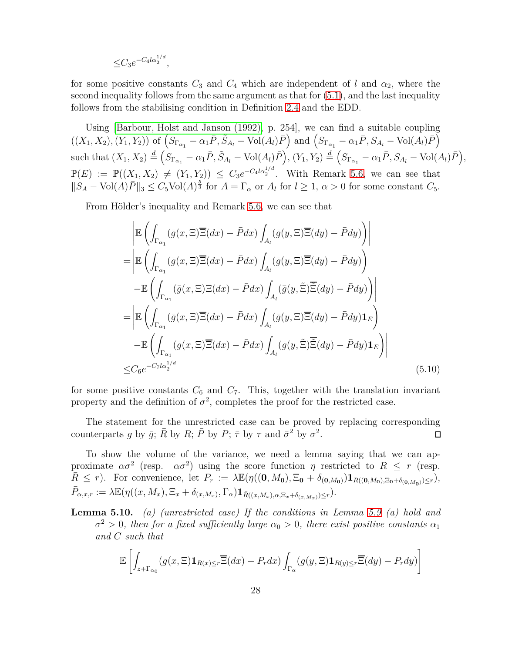$$
\leq C_3 e^{-C_4 l \alpha_2^{1/d}},
$$

for some positive constants  $C_3$  and  $C_4$  which are independent of *l* and  $\alpha_2$ , where the second inequality follows from the same argument as that for [\(5.1\)](#page-21-0), and the last inequality follows from the stabilising condition in Definition [2.4](#page-5-1) and the EDD.

Using [\[Barbour, Holst and Janson \(1992\),](#page-38-5) p. 254], we can find a suitable coupling  $((X_1, X_2), (Y_1, Y_2))$  of  $(S_{\Gamma_{\alpha_1}} - \alpha_1 \overline{P}, \widetilde{S}_{A_l} - \text{Vol}(A_l) \overline{P})$  and  $(S_{\Gamma_{\alpha_1}} - \alpha_1 \overline{P}, S_{A_l} - \text{Vol}(A_l) \overline{P})$ such that  $(X_1, X_2) \stackrel{d}{=} (S_{\Gamma_{\alpha_1}} - \alpha_1 \bar{P}, \tilde{S}_{A_l} - \text{Vol}(A_l) \bar{P}), (Y_1, Y_2) \stackrel{d}{=} (S_{\Gamma_{\alpha_1}} - \alpha_1 \bar{P}, S_{A_l} - \text{Vol}(A_l) \bar{P}),$  $\mathbb{P}(E) := \mathbb{P}((X_1, X_2) \neq (Y_1, Y_2) \leq C_3 e^{-C_4 l \alpha_2^{1/d}}$ . With Remark [5.6,](#page-23-1) we can see that  $||S_A - \text{Vol}(A)\overline{P}||_3 \leq C_5 \text{Vol}(A)^{\frac{5}{3}}$  for  $A = \Gamma_\alpha$  or  $A_l$  for  $l \geq 1$ ,  $\alpha > 0$  for some constant  $C_5$ .

From Hölder's inequality and Remark [5.6,](#page-23-1) we can see that

<span id="page-27-0"></span>
$$
\mathbb{E}\left(\int_{\Gamma_{\alpha_1}}(\bar{g}(x,\Xi)\overline{\Xi}(dx)-\bar{P}dx)\int_{A_l}(\bar{g}(y,\Xi)\overline{\Xi}(dy)-\bar{P}dy)\right) \n= \left|\mathbb{E}\left(\int_{\Gamma_{\alpha_1}}(\bar{g}(x,\Xi)\overline{\Xi}(dx)-\bar{P}dx)\int_{A_l}(\bar{g}(y,\Xi)\overline{\Xi}(dy)-\bar{P}dy)\right)\right| \n- \mathbb{E}\left(\int_{\Gamma_{\alpha_1}}(\bar{g}(x,\Xi)\overline{\Xi}(dx)-\bar{P}dx)\int_{A_l}(\bar{g}(y,\widetilde{\Xi})\overline{\widetilde{\Xi}}(dy)-\bar{P}dy)\right) \n= \left|\mathbb{E}\left(\int_{\Gamma_{\alpha_1}}(\bar{g}(x,\Xi)\overline{\Xi}(dx)-\bar{P}dx)\int_{A_l}(\bar{g}(y,\Xi)\overline{\Xi}(dy)-\bar{P}dy)\mathbf{1}_E\right)\right| \n- \mathbb{E}\left(\int_{\Gamma_{\alpha_1}}(\bar{g}(x,\Xi)\overline{\Xi}(dx)-\bar{P}dx)\int_{A_l}(\bar{g}(y,\widetilde{\Xi})\overline{\widetilde{\Xi}}(dy)-\bar{P}dy)\mathbf{1}_E\right) \n\leq C_6e^{-C_7l\alpha_2^{1/d}} \tag{5.10}
$$

for some positive constants  $C_6$  and  $C_7$ . This, together with the translation invariant property and the definition of  $\bar{\sigma}^2$ , completes the proof for the restricted case.

The statement for the unrestricted case can be proved by replacing corresponding counterparts *g* by  $\bar{g}$ ;  $\bar{R}$  by  $R$ ;  $\bar{P}$  by  $P$ ;  $\bar{\tau}$  by  $\tau$  and  $\bar{\sigma}^2$  by  $\sigma^2$ .  $\Box$ 

To show the volume of the variance, we need a lemma saying that we can approximate  $\alpha \sigma^2$  (resp.  $\alpha \bar{\sigma}^2$ ) using the score function *η* restricted to  $R \leq r$  (resp.  $\overline{R} \leq r$ . For convenience, let  $P_r := \lambda \mathbb{E}(\eta((0, M_0), \Xi_0 + \delta_{(0, M_0)}) \mathbf{1}_{R((0, M_0), \Xi_0 + \delta_{(0, M_0)}) \leq r}),$  $\bar{P}_{\alpha,x,r} := \lambda \mathbb{E}(\eta((x,M_x),\Xi_x+\delta_{(x,M_x)},\Gamma_\alpha)\mathbf{1}_{\bar{R}((x,M_x),\alpha,\Xi_x+\delta_{(x,M_x)})\leq r}).$ 

**Lemma 5.10.** *(a) (unrestricted case) If the conditions in Lemma 5.9 (a) hold and*  $\sigma^2 > 0$ , then for a fixed sufficiently large  $\alpha_0 > 0$ , there exist positive constants  $\alpha_1$ *and C such that*

$$
\mathbb{E}\left[\int_{z+\Gamma_{\alpha_0}}(g(x,\Xi)\mathbf{1}_{R(x)\leq r}\overline{\Xi}(dx)-P_rdx)\int_{\Gamma_{\alpha}}(g(y,\Xi)\mathbf{1}_{R(y)\leq r}\overline{\Xi}(dy)-P_rdy)\right]
$$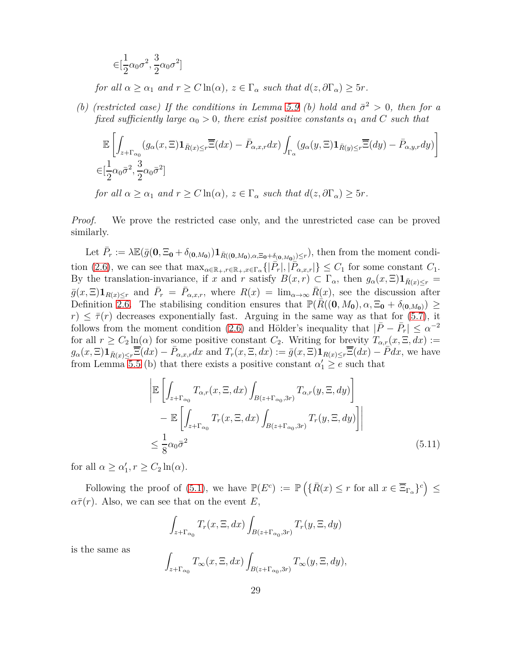$$
\in [\frac{1}{2}\alpha_0\sigma^2, \frac{3}{2}\alpha_0\sigma^2]
$$

*for all*  $\alpha \geq \alpha_1$  *and*  $r \geq C \ln(\alpha)$ *,*  $z \in \Gamma_\alpha$  *such that*  $d(z, \partial \Gamma_\alpha) \geq 5r$ *.* 

*(b)* (restricted case) If the conditions in Lemma 5.9 (b) hold and  $\bar{\sigma}^2 > 0$ , then for a *fixed sufficiently large*  $\alpha_0 > 0$ *, there exist positive constants*  $\alpha_1$  *and C such that* 

$$
\mathbb{E}\left[\int_{z+\Gamma_{\alpha_0}}(g_{\alpha}(x,\Xi)\mathbf{1}_{\bar{R}(x)\leq r}\overline{\Xi}(dx)-\bar{P}_{\alpha,x,r}dx)\int_{\Gamma_{\alpha}}(g_{\alpha}(y,\Xi)\mathbf{1}_{\bar{R}(y)\leq r}\overline{\Xi}(dy)-\bar{P}_{\alpha,y,r}dy)\right]
$$
\n
$$
\in[\frac{1}{2}\alpha_0\bar{\sigma}^2,\frac{3}{2}\alpha_0\bar{\sigma}^2]
$$

*for all*  $\alpha \geq \alpha_1$  *and*  $r \geq C \ln(\alpha)$ ,  $z \in \Gamma_\alpha$  *such that*  $d(z, \partial \Gamma_\alpha) \geq 5r$ .

*Proof.* We prove the restricted case only, and the unrestricted case can be proved similarly.

Let  $\bar{P}_r := \lambda \mathbb{E}(\bar{g}(\mathbf{0}, \Xi_{\mathbf{0}} + \delta_{(\mathbf{0},M_{\mathbf{0}})}) \mathbf{1}_{\bar{R}((\mathbf{0},M_{\mathbf{0}}),\alpha,\Xi_{\mathbf{0}} + \delta_{(\mathbf{0},M_{\mathbf{0}})}) \leq r}),$  then from the moment condi-tion [\(2.6\)](#page-7-0), we can see that  $\max_{\alpha \in \mathbb{R}_+, r \in \mathbb{R}_+, x \in \Gamma_\alpha} \{|\overline{P}_r|, |\overline{P}_{\alpha,x,r}|\} \leq C_1$  for some constant  $C_1$ . By the translation-invariance, if *x* and *r* satisfy  $B(x,r) \subset \Gamma_\alpha$ , then  $g_\alpha(x,\Xi) \mathbf{1}_{\bar{R}(x) \leq r} =$  $\bar{g}(x,\Xi)$ **1**<sub>*R*(*x*)≤*r*</sub> and  $\bar{P}_r = \bar{P}_{\alpha,x,r}$ , where  $R(x) = \lim_{\alpha \to \infty} R(x)$ , see the discussion after Definition [2.6.](#page-6-0) The stabilising condition ensures that  $\mathbb{P}(R((0, M_0), \alpha, \Xi_0 + \delta_{(0, M_0)}) \geq$  $r \leq \bar{\tau}(r)$  decreases exponentially fast. Arguing in the same way as that for [\(5.7\)](#page-24-3), it follows from the moment condition [\(2.6\)](#page-7-0) and Hölder's inequality that  $|\bar{P} - \bar{P}_r| \leq \alpha^{-2}$ for all  $r \ge C_2 \ln(\alpha)$  for some positive constant  $C_2$ . Writing for brevity  $T_{\alpha,r}(x,\Xi,dx) :=$  $g_{\alpha}(x,\Xi)\mathbf{1}_{\bar{R}(x)\leq r}\overline{\Xi}(dx)-\bar{P}_{\alpha,x,r}dx$  and  $T_r(x,\Xi,dx):=\bar{g}(x,\Xi)\mathbf{1}_{R(x)\leq r}\overline{\Xi}(dx)-\bar{P}dx$ , we have from Lemma 5.5 (b) that there exists a positive constant  $\alpha'_1 \ge e$  such that

$$
\left| \mathbb{E} \left[ \int_{z + \Gamma_{\alpha_0}} T_{\alpha, r}(x, \Xi, dx) \int_{B(z + \Gamma_{\alpha_0}, 3r)} T_{\alpha, r}(y, \Xi, dy) \right] - \mathbb{E} \left[ \int_{z + \Gamma_{\alpha_0}} T_r(x, \Xi, dx) \int_{B(z + \Gamma_{\alpha_0}, 3r)} T_r(y, \Xi, dy) \right] \right|
$$
  

$$
\leq \frac{1}{8} \alpha_0 \bar{\sigma}^2
$$
(5.11)

for all  $\alpha \geq \alpha'_1, r \geq C_2 \ln(\alpha)$ .

Following the proof of [\(5.1\)](#page-21-0), we have  $\mathbb{P}(E^c) := \mathbb{P}(\{\bar{R}(x) \leq r \text{ for all } x \in \overline{\Xi}_{\Gamma_\alpha}\}^c) \leq$  $\alpha \bar{\tau}(r)$ . Also, we can see that on the event *E*,

<span id="page-28-0"></span>
$$
\int_{z+\Gamma_{\alpha_0}} T_r(x,\Xi,dx) \int_{B(z+\Gamma_{\alpha_0},3r)} T_r(y,\Xi,dy)
$$

is the same as

$$
\int_{z+\Gamma_{\alpha_0}} T_{\infty}(x,\Xi,dx) \int_{B(z+\Gamma_{\alpha_0},3r)} T_{\infty}(y,\Xi,dy),
$$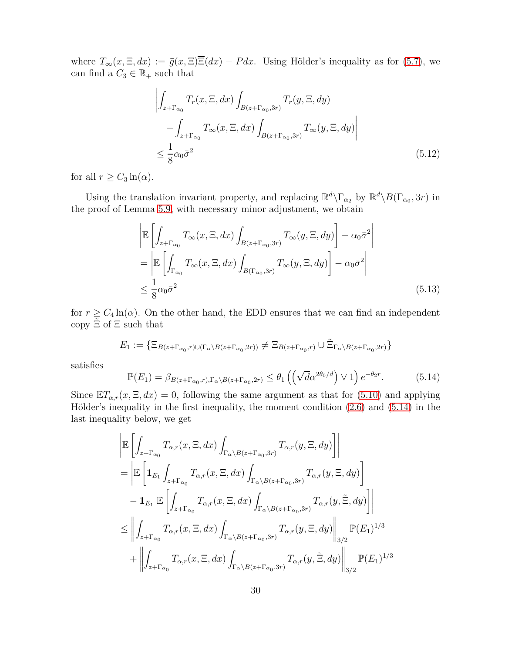where  $T_{\infty}(x,\Xi,dx) := \bar{g}(x,\Xi)\overline{\Xi}(dx) - \bar{P}dx$ . Using Hölder's inequality as for [\(5.7\)](#page-24-3), we can find a  $C_3 \in \mathbb{R}_+$  such that

<span id="page-29-1"></span>
$$
\left| \int_{z + \Gamma_{\alpha_0}} T_r(x, \Xi, dx) \int_{B(z + \Gamma_{\alpha_0}, 3r)} T_r(y, \Xi, dy) - \int_{z + \Gamma_{\alpha_0}} T_{\infty}(x, \Xi, dx) \int_{B(z + \Gamma_{\alpha_0}, 3r)} T_{\infty}(y, \Xi, dy) \right|
$$
\n
$$
\leq \frac{1}{8} \alpha_0 \bar{\sigma}^2
$$
\n(5.12)

for all  $r \geq C_3 \ln(\alpha)$ .

Using the translation invariant property, and replacing  $\mathbb{R}^d\backslash\Gamma_{\alpha_2}$  by  $\mathbb{R}^d\backslash B(\Gamma_{\alpha_0}, 3r)$  in the proof of Lemma 5.9, with necessary minor adjustment, we obtain

<span id="page-29-2"></span>
$$
\begin{split} &\left| \mathbb{E} \left[ \int_{z + \Gamma_{\alpha_0}} T_{\infty}(x, \Xi, dx) \int_{B(z + \Gamma_{\alpha_0}, 3r)} T_{\infty}(y, \Xi, dy) \right] - \alpha_0 \bar{\sigma}^2 \right| \\ &= \left| \mathbb{E} \left[ \int_{\Gamma_{\alpha_0}} T_{\infty}(x, \Xi, dx) \int_{B(\Gamma_{\alpha_0}, 3r)} T_{\infty}(y, \Xi, dy) \right] - \alpha_0 \bar{\sigma}^2 \right| \\ &\leq \frac{1}{8} \alpha_0 \bar{\sigma}^2 \end{split} \tag{5.13}
$$

for  $r \ge C_4 \ln(\alpha)$ . On the other hand, the EDD ensures that we can find an independent copy  $\Xi$  of  $\Xi$  such that

$$
E_1 := \{ \Xi_{B(z+\Gamma_{\alpha_0},r) \cup (\Gamma_{\alpha} \setminus B(z+\Gamma_{\alpha_0},2r))} \neq \Xi_{B(z+\Gamma_{\alpha_0},r)} \cup \tilde{\Xi}_{\Gamma_{\alpha} \setminus B(z+\Gamma_{\alpha_0},2r)} \}
$$

satisfies

<span id="page-29-0"></span>
$$
\mathbb{P}(E_1) = \beta_{B(z + \Gamma_{\alpha_0}, r), \Gamma_{\alpha} \setminus B(z + \Gamma_{\alpha_0}, 2r)} \leq \theta_1 \left( \left( \sqrt{d} \alpha^{2\theta_0/d} \right) \vee 1 \right) e^{-\theta_2 r}.
$$
 (5.14)

Since  $\mathbb{E}T_{\alpha,r}(x,\Xi,dx) = 0$ , following the same argument as that for [\(5.10\)](#page-27-0) and applying Hölder's inequality in the first inequality, the moment condition [\(2.6\)](#page-7-0) and [\(5.14\)](#page-29-0) in the last inequality below, we get

$$
\begin{split}\n&\left|\mathbb{E}\left[\int_{z+\Gamma_{\alpha_{0}}}T_{\alpha,r}(x,\Xi,dx)\int_{\Gamma_{\alpha}\setminus B(z+\Gamma_{\alpha_{0}},3r)}T_{\alpha,r}(y,\Xi,dy)\right]\right| \\
&=\left|\mathbb{E}\left[\mathbf{1}_{E_{1}}\int_{z+\Gamma_{\alpha_{0}}}T_{\alpha,r}(x,\Xi,dx)\int_{\Gamma_{\alpha}\setminus B(z+\Gamma_{\alpha_{0}},3r)}T_{\alpha,r}(y,\Xi,dy)\right]\right. \\
&\left.-\mathbf{1}_{E_{1}}\mathbb{E}\left[\int_{z+\Gamma_{\alpha_{0}}}T_{\alpha,r}(x,\Xi,dx)\int_{\Gamma_{\alpha}\setminus B(z+\Gamma_{\alpha_{0}},3r)}T_{\alpha,r}(y,\widetilde{\Xi},dy)\right]\right| \\
&\leq\left\|\int_{z+\Gamma_{\alpha_{0}}}T_{\alpha,r}(x,\Xi,dx)\int_{\Gamma_{\alpha}\setminus B(z+\Gamma_{\alpha_{0}},3r)}T_{\alpha,r}(y,\Xi,dy)\right\|_{3/2}\mathbb{P}(E_{1})^{1/3} \\
&+\left\|\int_{z+\Gamma_{\alpha_{0}}}T_{\alpha,r}(x,\Xi,dx)\int_{\Gamma_{\alpha}\setminus B(z+\Gamma_{\alpha_{0}},3r)}T_{\alpha,r}(y,\widetilde{\Xi},dy)\right\|_{3/2}\mathbb{P}(E_{1})^{1/3}\n\end{split}
$$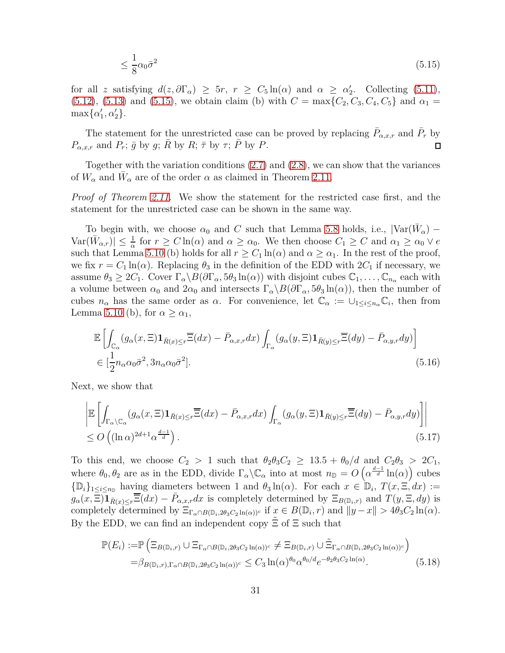<span id="page-30-0"></span>
$$
\leq \frac{1}{8} \alpha_0 \bar{\sigma}^2 \tag{5.15}
$$

for all *z* satisfying  $d(z, \partial \Gamma_\alpha) \ge 5r$ ,  $r \ge C_5 \ln(\alpha)$  and  $\alpha \ge \alpha'_2$ . Collecting [\(5.11\)](#page-28-0),  $(5.12)$ ,  $(5.13)$  and  $(5.15)$ , we obtain claim (b) with  $C = \max\{C_2, C_3, C_4, C_5\}$  and  $\alpha_1 =$  $\max\{\alpha'_1,\alpha'_2\}.$ 

The statement for the unrestricted case can be proved by replacing  $\bar{P}_{\alpha,x,r}$  and  $\bar{P}_r$  by  $P_{\alpha,x,r}$  and  $P_r$ ;  $\bar{g}$  by  $g$ ;  $\bar{R}$  by  $R$ ;  $\bar{\tau}$  by  $\tau$ ;  $\bar{P}$  by  $P$ .  $\Box$ 

Together with the variation conditions [\(2.7\)](#page-7-2) and [\(2.8\)](#page-7-3), we can show that the variances of  $W_{\alpha}$  and  $\bar{W}_{\alpha}$  are of the order  $\alpha$  as claimed in Theorem 2.11.

*Proof of Theorem 2.11.* We show the statement for the restricted case first, and the statement for the unrestricted case can be shown in the same way.

To begin with, we choose  $\alpha_0$  and *C* such that Lemma 5.8 holds, i.e.,  $|\text{Var}(\bar{W}_\alpha) - \bar{W}_\alpha|$  $Var(\bar{W}_{\alpha,r}) \leq \frac{1}{\alpha}$  for  $r \geq C \ln(\alpha)$  and  $\alpha \geq \alpha_0$ . We then choose  $C_1 \geq C$  and  $\alpha_1 \geq \alpha_0 \vee e$ such that Lemma 5.10 (b) holds for all  $r \geq C_1 \ln(\alpha)$  and  $\alpha \geq \alpha_1$ . In the rest of the proof, we fix  $r = C_1 \ln(\alpha)$ . Replacing  $\theta_3$  in the definition of the EDD with  $2C_1$  if necessary, we assume  $\theta_3 \geq 2C_1$ . Cover  $\Gamma_\alpha \backslash B(\partial \Gamma_\alpha, 5\theta_3 \ln(\alpha))$  with disjoint cubes  $\mathbb{C}_1, \ldots, \mathbb{C}_{n_\alpha}$  each with a volume between  $\alpha_0$  and  $2\alpha_0$  and intersects  $\Gamma_\alpha \setminus B(\partial \Gamma_\alpha, 5\theta_3 \ln(\alpha))$ , then the number of cubes  $n_{\alpha}$  has the same order as  $\alpha$ . For convenience, let  $\mathbb{C}_{\alpha} := \cup_{1 \leq i \leq n_{\alpha}} \mathbb{C}_{i}$ , then from Lemma 5.10 (b), for  $\alpha \geq \alpha_1$ ,

<span id="page-30-3"></span>
$$
\mathbb{E}\left[\int_{\mathbb{C}_{\alpha}}(g_{\alpha}(x,\Xi)\mathbf{1}_{\bar{R}(x)\leq r}\overline{\Xi}(dx)-\bar{P}_{\alpha,x,r}dx)\int_{\Gamma_{\alpha}}(g_{\alpha}(y,\Xi)\mathbf{1}_{\bar{R}(y)\leq r}\overline{\Xi}(dy)-\bar{P}_{\alpha,y,r}dy)\right]
$$
\n
$$
\in[\frac{1}{2}n_{\alpha}\alpha_{0}\bar{\sigma}^{2},3n_{\alpha}\alpha_{0}\bar{\sigma}^{2}].
$$
\n(5.16)

Next, we show that

<span id="page-30-2"></span>
$$
\left| \mathbb{E} \left[ \int_{\Gamma_{\alpha} \setminus \mathbb{C}_{\alpha}} (g_{\alpha}(x, \Xi) \mathbf{1}_{\bar{R}(x) \le r} \overline{\Xi}(dx) - \bar{P}_{\alpha, x, r} dx) \int_{\Gamma_{\alpha}} (g_{\alpha}(y, \Xi) \mathbf{1}_{\bar{R}(y) \le r} \overline{\Xi}(dy) - \bar{P}_{\alpha, y, r} dy) \right] \right|
$$
  
 
$$
\le O\left( (\ln \alpha)^{2d+1} \alpha^{\frac{d-1}{d}} \right). \tag{5.17}
$$

To this end, we choose  $C_2 > 1$  such that  $\theta_2 \theta_3 C_2 \geq 13.5 + \theta_0/d$  and  $C_2 \theta_3 > 2C_1$ , where  $\theta_0, \theta_2$  are as in the EDD, divide  $\Gamma_\alpha \backslash \mathbb{C}_\alpha$  into at most  $n_{\mathbb{D}} = O\left(\alpha^{\frac{d-1}{d}} \ln(\alpha)\right)$  cubes  ${\{\mathbb{D}_i\}}_1 \leq i \leq n_\mathbb{D}$  having diameters between 1 and  $\theta_3 \ln(\alpha)$ . For each  $x \in \mathbb{D}_i$ ,  $T(x, \Xi, dx) :=$  $g_{\alpha}(x,\Xi)$ **1** $_{\bar{R}(x)\leq r}$  $\overline{\Xi}(dx) - P_{\alpha,x,r}dx$  is completely determined by  $\Xi_{B(\mathbb{D}_i,r)}$  and  $T(y,\Xi,dy)$  is completely determined by  $\Xi_{\Gamma_\alpha \cap B(\mathbb{D}_i, 2\theta_3 C_2 \ln(\alpha))^c}$  if  $x \in B(\mathbb{D}_i, r)$  and  $||y - x|| > 4\theta_3 C_2 \ln(\alpha)$ . By the EDD, we can find an independent copy  $\Xi$  of  $\Xi$  such that

<span id="page-30-1"></span>
$$
\mathbb{P}(E_i) := \mathbb{P}\left(\Xi_{B(\mathbb{D}_i,r)} \cup \Xi_{\Gamma_\alpha \cap B(\mathbb{D}_i,2\theta_3 C_2 \ln(\alpha))^c} \neq \Xi_{B(\mathbb{D}_i,r)} \cup \tilde{\Xi}_{\Gamma_\alpha \cap B(\mathbb{D}_i,2\theta_3 C_2 \ln(\alpha))^c}\right)
$$
  
=  $\beta_{B(\mathbb{D}_i,r),\Gamma_\alpha \cap B(\mathbb{D}_i,2\theta_3 C_2 \ln(\alpha))^c} \leq C_3 \ln(\alpha)^{\theta_0} \alpha^{\theta_0/d} e^{-\theta_2 \theta_3 C_2 \ln(\alpha)}. \tag{5.18}$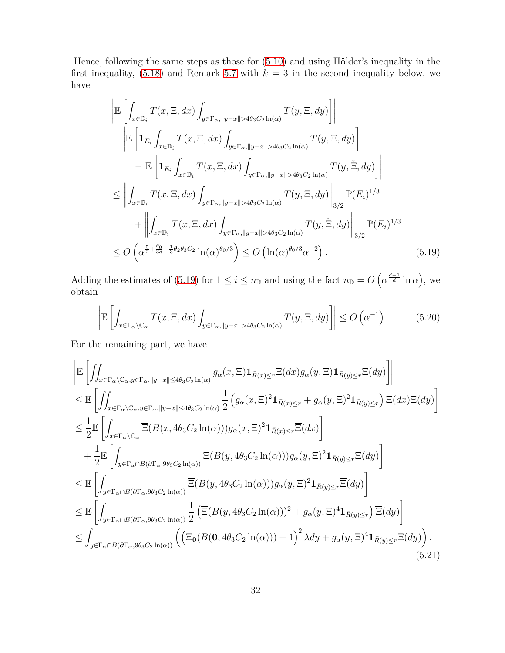Hence, following the same steps as those for [\(5.10\)](#page-27-0) and using Hölder's inequality in the first inequality,  $(5.18)$  and Remark [5.7](#page-23-3) with  $k = 3$  in the second inequality below, we have

$$
\begin{split}\n&\left|\mathbb{E}\left[\int_{x\in\mathbb{D}_{i}}T(x,\Xi,dx)\int_{y\in\Gamma_{\alpha},\|y-x\|>4\theta_{3}C_{2}\ln(\alpha)}T(y,\Xi,dy)\right]\right| \\
&=\left|\mathbb{E}\left[\mathbf{1}_{E_{i}}\int_{x\in\mathbb{D}_{i}}T(x,\Xi,dx)\int_{y\in\Gamma_{\alpha},\|y-x\|>4\theta_{3}C_{2}\ln(\alpha)}T(y,\Xi,dy)\right]\right. \\
&\left.-\mathbb{E}\left[\mathbf{1}_{E_{i}}\int_{x\in\mathbb{D}_{i}}T(x,\Xi,dx)\int_{y\in\Gamma_{\alpha},\|y-x\|>4\theta_{3}C_{2}\ln(\alpha)}T(y,\widetilde{\Xi},dy)\right]\right| \\
&\leq\left|\int_{x\in\mathbb{D}_{i}}T(x,\Xi,dx)\int_{y\in\Gamma_{\alpha},\|y-x\|>4\theta_{3}C_{2}\ln(\alpha)}T(y,\Xi,dy)\right|\right|_{3/2}\mathbb{P}(E_{i})^{1/3} \\
&\quad+\left|\int_{x\in\mathbb{D}_{i}}T(x,\Xi,dx)\int_{y\in\Gamma_{\alpha},\|y-x\|>4\theta_{3}C_{2}\ln(\alpha)}T(y,\widetilde{\Xi},dy)\right|\right|_{3/2}\mathbb{P}(E_{i})^{1/3} \\
&\leq O\left(\alpha^{\frac{5}{2}+\frac{\theta_{0}}{3d}-\frac{1}{3}\theta_{2}\theta_{3}C_{2}}\ln(\alpha)^{\theta_{0}/3}\right)\leq O\left(\ln(\alpha)^{\theta_{0}/3}\alpha^{-2}\right). \n\end{split} \tag{5.19}
$$

Adding the estimates of [\(5.19\)](#page-31-0) for  $1 \leq i \leq n_{\mathbb{D}}$  and using the fact  $n_{\mathbb{D}} = O\left(\alpha^{\frac{d-1}{d}}\ln \alpha\right)$ , we obtain

<span id="page-31-2"></span><span id="page-31-0"></span>
$$
\left| \mathbb{E} \left[ \int_{x \in \Gamma_\alpha \setminus \mathbb{C}_\alpha} T(x, \Xi, dx) \int_{y \in \Gamma_\alpha, ||y - x|| > 4\theta_3 C_2 \ln(\alpha)} T(y, \Xi, dy) \right] \right| \le O\left(\alpha^{-1}\right). \tag{5.20}
$$

For the remaining part, we have

<span id="page-31-1"></span>
$$
\begin{split}\n&\left|\mathbb{E}\left[\iint_{x\in\Gamma_{\alpha}\backslash\mathbb{C}_{\alpha},y\in\Gamma_{\alpha},||y-x||\leq4\theta_{3}C_{2}\ln(\alpha)}g_{\alpha}(x,\Xi)\mathbf{1}_{\bar{R}(x)\leq r}\overline{\Xi}(dx)g_{\alpha}(y,\Xi)\mathbf{1}_{\bar{R}(y)\leq r}\overline{\Xi}(dy)\right]\right| \\
&\leq \mathbb{E}\left[\iint_{x\in\Gamma_{\alpha}\backslash\mathbb{C}_{\alpha},y\in\Gamma_{\alpha},||y-x||\leq4\theta_{3}C_{2}\ln(\alpha)}\frac{1}{2}\left(g_{\alpha}(x,\Xi)^{2}\mathbf{1}_{\bar{R}(x)\leq r}+g_{\alpha}(y,\Xi)^{2}\mathbf{1}_{\bar{R}(y)\leq r}\right)\overline{\Xi}(dx)\overline{\Xi}(dy)\right] \\
&\leq \frac{1}{2}\mathbb{E}\left[\int_{x\in\Gamma_{\alpha}\backslash\mathbb{C}_{\alpha}}\overline{\Xi}(B(x,4\theta_{3}C_{2}\ln(\alpha)))g_{\alpha}(x,\Xi)^{2}\mathbf{1}_{\bar{R}(x)\leq r}\overline{\Xi}(dx)\right] \\
&\quad+\frac{1}{2}\mathbb{E}\left[\int_{y\in\Gamma_{\alpha}\cap B(\partial\Gamma_{\alpha},9\theta_{3}C_{2}\ln(\alpha))}\overline{\Xi}(B(y,4\theta_{3}C_{2}\ln(\alpha)))g_{\alpha}(y,\Xi)^{2}\mathbf{1}_{\bar{R}(y)\leq r}\overline{\Xi}(dy)\right] \\
&\leq \mathbb{E}\left[\int_{y\in\Gamma_{\alpha}\cap B(\partial\Gamma_{\alpha},9\theta_{3}C_{2}\ln(\alpha))}\frac{1}{2}\left(\overline{\Xi}(B(y,4\theta_{3}C_{2}\ln(\alpha)))g_{\alpha}(y,\Xi)^{2}\mathbf{1}_{\bar{R}(y)\leq r}\overline{\Xi}(dy)\right] \\
&\leq \mathbb{E}\left[\int_{y\in\Gamma_{\alpha}\cap B(\partial\Gamma_{\alpha},9\theta_{3}C_{2}\ln(\alpha))}\frac{1}{2}\left(\overline{\Xi}(B(y,4\theta_{3}C_{2}\ln(\alpha)))^{2}+g_{\alpha}(y,\Xi)^{4}\mathbf{1}_{\bar{R}(y)\leq r}\right)\overline{\Xi}(dy)\right] \\
&\leq \int_{y\in\Gamma_{\alpha}\cap B(\partial
$$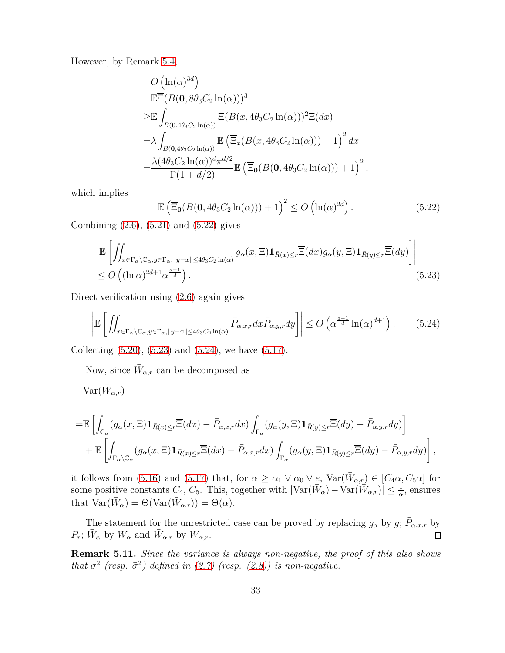However, by Remark [5.4,](#page-22-1)

$$
O\left(\ln(\alpha)^{3d}\right)
$$
  
\n
$$
= \mathbb{E}\overline{\Xi}(B(\mathbf{0}, 8\theta_3 C_2 \ln(\alpha)))^3
$$
  
\n
$$
\geq \mathbb{E}\int_{B(\mathbf{0}, 4\theta_3 C_2 \ln(\alpha))} \overline{\Xi}(B(x, 4\theta_3 C_2 \ln(\alpha)))^2 \overline{\Xi}(dx)
$$
  
\n
$$
= \lambda \int_{B(\mathbf{0}, 4\theta_3 C_2 \ln(\alpha))} \mathbb{E}\left(\overline{\Xi}_x(B(x, 4\theta_3 C_2 \ln(\alpha))) + 1\right)^2 dx
$$
  
\n
$$
= \frac{\lambda(4\theta_3 C_2 \ln(\alpha))^d \pi^{d/2}}{\Gamma(1+d/2)} \mathbb{E}\left(\overline{\Xi}_0(B(\mathbf{0}, 4\theta_3 C_2 \ln(\alpha))) + 1\right)^2,
$$

which implies

<span id="page-32-3"></span><span id="page-32-2"></span><span id="page-32-1"></span>
$$
\mathbb{E}\left(\overline{\Xi}_{0}(B(0,4\theta_{3}C_{2}\ln(\alpha)))+1\right)^{2} \leq O\left(\ln(\alpha)^{2d}\right). \tag{5.22}
$$

Combining [\(2.6\)](#page-7-0), [\(5.21\)](#page-31-1) and [\(5.22\)](#page-32-1) gives

$$
\left| \mathbb{E} \left[ \iint_{x \in \Gamma_\alpha \setminus \mathbb{C}_\alpha, y \in \Gamma_\alpha, ||y - x|| \le 4\theta_3 C_2 \ln(\alpha)} g_\alpha(x, \Xi) \mathbf{1}_{\bar{R}(x) \le r} \overline{\Xi}(dx) g_\alpha(y, \Xi) \mathbf{1}_{\bar{R}(y) \le r} \overline{\Xi}(dy) \right] \right|
$$
  
 
$$
\le O\left( (\ln \alpha)^{2d+1} \alpha^{\frac{d-1}{d}} \right). \tag{5.23}
$$

Direct verification using [\(2.6\)](#page-7-0) again gives

$$
\left| \mathbb{E} \left[ \iint_{x \in \Gamma_\alpha \setminus \mathbb{C}_\alpha, y \in \Gamma_\alpha, \|y - x\| \le 4\theta_3 C_2 \ln(\alpha)} \bar{P}_{\alpha, x, r} dx \bar{P}_{\alpha, y, r} dy \right] \right| \le O\left( \alpha^{\frac{d-1}{d}} \ln(\alpha)^{d+1} \right). \tag{5.24}
$$

Collecting [\(5.20\)](#page-31-2), [\(5.23\)](#page-32-2) and [\(5.24\)](#page-32-3), we have [\(5.17\)](#page-30-2).

Now, since  $\bar{W}_{\alpha,r}$  can be decomposed as

 $\text{Var}(\bar{W}_{\alpha,r})$ 

$$
= \mathbb{E}\left[\int_{\mathbb{C}_{\alpha}}(g_{\alpha}(x,\Xi)\mathbf{1}_{\bar{R}(x)\leq r}\overline{\Xi}(dx) - \bar{P}_{\alpha,x,r}dx)\int_{\Gamma_{\alpha}}(g_{\alpha}(y,\Xi)\mathbf{1}_{\bar{R}(y)\leq r}\overline{\Xi}(dy) - \bar{P}_{\alpha,y,r}dy)\right] + \mathbb{E}\left[\int_{\Gamma_{\alpha}\setminus\mathbb{C}_{\alpha}}(g_{\alpha}(x,\Xi)\mathbf{1}_{\bar{R}(x)\leq r}\overline{\Xi}(dx) - \bar{P}_{\alpha,x,r}dx)\int_{\Gamma_{\alpha}}(g_{\alpha}(y,\Xi)\mathbf{1}_{\bar{R}(y)\leq r}\overline{\Xi}(dy) - \bar{P}_{\alpha,y,r}dy)\right],
$$

it follows from [\(5.16\)](#page-30-3) and [\(5.17\)](#page-30-2) that, for  $\alpha \geq \alpha_1 \vee \alpha_0 \vee e$ ,  $Var(\bar{W}_{\alpha,r}) \in [C_4\alpha, C_5\alpha]$  for some positive constants  $C_4$ ,  $C_5$ . This, together with  $|\text{Var}(\bar{W}_\alpha) - \text{Var}(\bar{W}_{\alpha,r})| \leq \frac{1}{\alpha}$ , ensures that  $\text{Var}(\bar{W}_{\alpha}) = \Theta(\text{Var}(\bar{W}_{\alpha,r})) = \Theta(\alpha).$ 

The statement for the unrestricted case can be proved by replacing  $g_{\alpha}$  by  $g$ ;  $\bar{P}_{\alpha,x,r}$  by  $P_r$ ;  $\bar{W}_\alpha$  by  $W_\alpha$  and  $\bar{W}_{\alpha,r}$  by  $W_{\alpha,r}$ .  $\Box$ 

<span id="page-32-0"></span>**Remark 5.11.** *Since the variance is always non-negative, the proof of this also shows that*  $\sigma^2$  (resp.  $\bar{\sigma}^2$ ) defined in [\(2.7\)](#page-7-2) (resp. [\(2.8\)](#page-7-3)) is non-negative.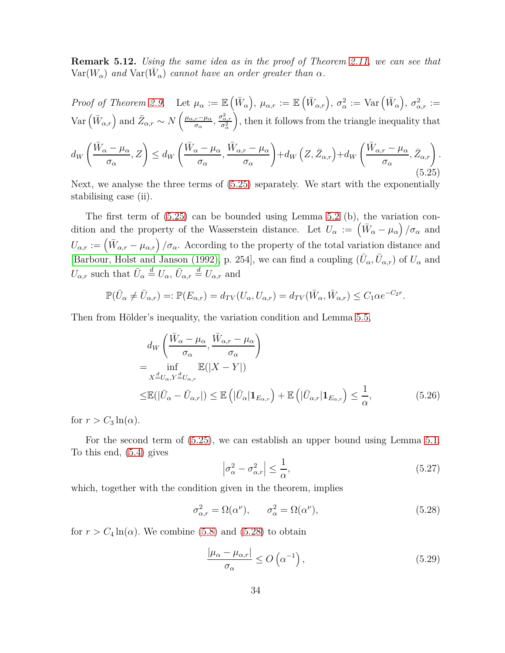**Remark 5.12.** *Using the same idea as in the proof of Theorem 2.11, we can see that*  $Var(W_\alpha)$  and  $Var(\overline{W}_\alpha)$  cannot have an order greater than  $\alpha$ .

*Proof of Theorem [2.9.](#page-9-0)* Let  $\mu_{\alpha} := \mathbb{E}(\bar{W}_{\alpha}), \mu_{\alpha,r} := \mathbb{E}(\bar{W}_{\alpha,r}), \sigma_{\alpha}^{2} := \text{Var}(\bar{W}_{\alpha}), \sigma_{\alpha,r}^{2} :=$  $\text{Var}\left(\bar{W}_{\alpha,r}\right)$  and  $\bar{Z}_{\alpha,r} \sim N\left(\frac{\mu_{\alpha,r}-\mu_{\alpha}}{\sigma_{\alpha}}, \frac{\sigma_{\alpha,r}^2}{\sigma_{\alpha}^2}\right)$ , then it follows from the triangle inequality that

<span id="page-33-0"></span>
$$
d_{W}\left(\frac{\bar{W}_{\alpha}-\mu_{\alpha}}{\sigma_{\alpha}},Z\right) \leq d_{W}\left(\frac{\bar{W}_{\alpha}-\mu_{\alpha}}{\sigma_{\alpha}},\frac{\bar{W}_{\alpha,r}-\mu_{\alpha}}{\sigma_{\alpha}}\right) + d_{W}\left(Z,\bar{Z}_{\alpha,r}\right) + d_{W}\left(\frac{\bar{W}_{\alpha,r}-\mu_{\alpha}}{\sigma_{\alpha}},\bar{Z}_{\alpha,r}\right).
$$
\n
$$
(5.25)
$$

Next, we analyse the three terms of [\(5.25\)](#page-33-0) separately. We start with the exponentially stabilising case (ii).

The first term of  $(5.25)$  can be bounded using Lemma 5.2 (b), the variation condition and the property of the Wasserstein distance. Let  $U_{\alpha} := (\bar{W}_{\alpha} - \mu_{\alpha})/\sigma_{\alpha}$  and  $U_{\alpha,r} := (\bar{W}_{\alpha,r} - \mu_{\alpha,r})/\sigma_\alpha$ . According to the property of the total variation distance and [\[Barbour, Holst and Janson \(1992\),](#page-38-5) p. 254], we can find a coupling  $(\bar{U}_{\alpha}, \bar{U}_{\alpha,r})$  of  $U_{\alpha}$  and  $U_{\alpha,r}$  such that  $\bar{U}_{\alpha} \stackrel{d}{=} U_{\alpha}$ ,  $\bar{U}_{\alpha,r} \stackrel{d}{=} U_{\alpha,r}$  and

$$
\mathbb{P}(\bar{U}_{\alpha} \neq \bar{U}_{\alpha,r}) =: \mathbb{P}(E_{\alpha,r}) = d_{TV}(U_{\alpha}, U_{\alpha,r}) = d_{TV}(\bar{W}_{\alpha}, \bar{W}_{\alpha,r}) \leq C_1 \alpha e^{-C_2 r}.
$$

Then from Hölder's inequality, the variation condition and Lemma 5.5,

$$
d_{W}\left(\frac{\bar{W}_{\alpha} - \mu_{\alpha}}{\sigma_{\alpha}}, \frac{\bar{W}_{\alpha,r} - \mu_{\alpha}}{\sigma_{\alpha}}\right)
$$
  
= 
$$
\inf_{X \stackrel{d}{=} U_{\alpha}, Y \stackrel{d}{=} U_{\alpha,r}} \mathbb{E}(|X - Y|)
$$
  

$$
\leq \mathbb{E}(|\bar{U}_{\alpha} - \bar{U}_{\alpha,r}|) \leq \mathbb{E}\left(|\bar{U}_{\alpha}|\mathbf{1}_{E_{\alpha,r}}\right) + \mathbb{E}\left(|\bar{U}_{\alpha,r}|\mathbf{1}_{E_{\alpha,r}}\right) \leq \frac{1}{\alpha}, \qquad (5.26)
$$

for  $r > C_3 \ln(\alpha)$ .

For the second term of [\(5.25\)](#page-33-0), we can establish an upper bound using Lemma [5.1.](#page-21-1) To this end, [\(5.4\)](#page-24-0) gives

<span id="page-33-4"></span><span id="page-33-2"></span>
$$
\left|\sigma_{\alpha}^{2} - \sigma_{\alpha,r}^{2}\right| \le \frac{1}{\alpha},\tag{5.27}
$$

which, together with the condition given in the theorem, implies

<span id="page-33-1"></span>
$$
\sigma_{\alpha,r}^2 = \Omega(\alpha^{\nu}), \qquad \sigma_{\alpha}^2 = \Omega(\alpha^{\nu}), \tag{5.28}
$$

for  $r > C_4 \ln(\alpha)$ . We combine [\(5.8\)](#page-24-4) and [\(5.28\)](#page-33-1) to obtain

<span id="page-33-3"></span>
$$
\frac{|\mu_{\alpha} - \mu_{\alpha,r}|}{\sigma_{\alpha}} \le O\left(\alpha^{-1}\right),\tag{5.29}
$$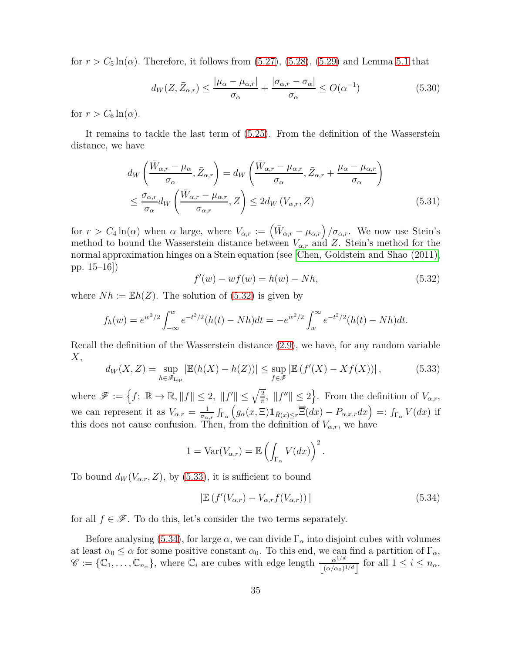for  $r > C_5 \ln(\alpha)$ . Therefore, it follows from  $(5.27)$ ,  $(5.28)$ ,  $(5.29)$  and Lemma [5.1](#page-21-1) that

<span id="page-34-4"></span>
$$
d_W(Z, \bar{Z}_{\alpha,r}) \le \frac{|\mu_\alpha - \mu_{\alpha,r}|}{\sigma_\alpha} + \frac{|\sigma_{\alpha,r} - \sigma_\alpha|}{\sigma_\alpha} \le O(\alpha^{-1})
$$
(5.30)

for  $r > C_6 \ln(\alpha)$ .

It remains to tackle the last term of [\(5.25\)](#page-33-0). From the definition of the Wasserstein distance, we have

$$
d_{W}\left(\frac{\bar{W}_{\alpha,r} - \mu_{\alpha}}{\sigma_{\alpha}}, \bar{Z}_{\alpha,r}\right) = d_{W}\left(\frac{\bar{W}_{\alpha,r} - \mu_{\alpha,r}}{\sigma_{\alpha}}, \bar{Z}_{\alpha,r} + \frac{\mu_{\alpha} - \mu_{\alpha,r}}{\sigma_{\alpha}}\right)
$$
  

$$
\leq \frac{\sigma_{\alpha,r}}{\sigma_{\alpha}} d_{W}\left(\frac{\bar{W}_{\alpha,r} - \mu_{\alpha,r}}{\sigma_{\alpha,r}}, Z\right) \leq 2d_{W}\left(V_{\alpha,r}, Z\right)
$$
(5.31)

for  $r > C_4 \ln(\alpha)$  when  $\alpha$  large, where  $V_{\alpha,r} := \left(\bar{W}_{\alpha,r} - \mu_{\alpha,r}\right)/\sigma_{\alpha,r}$ . We now use Stein's method to bound the Wasserstein distance between *Vα,r* and *Z*. Stein's method for the normal approximation hinges on a Stein equation (see [Chen, [Goldstein and Shao \(2011\),](#page-39-14) pp. 15–16])

<span id="page-34-3"></span><span id="page-34-0"></span>
$$
f'(w) - wf(w) = h(w) - Nh,
$$
\n(5.32)

where  $Nh := \mathbb{E}h(Z)$ . The solution of [\(5.32\)](#page-34-0) is given by

$$
f_h(w) = e^{w^2/2} \int_{-\infty}^w e^{-t^2/2} (h(t) - Nh) dt = -e^{w^2/2} \int_w^{\infty} e^{-t^2/2} (h(t) - Nh) dt.
$$

Recall the definition of the Wasserstein distance [\(2.9\)](#page-8-0), we have, for any random variable *X*,

<span id="page-34-1"></span>
$$
d_W(X, Z) = \sup_{h \in \mathscr{F}_{\text{Lip}}} |\mathbb{E}(h(X) - h(Z))| \le \sup_{f \in \mathscr{F}} |\mathbb{E}(f'(X) - Xf(X))|, \tag{5.33}
$$

where  $\mathscr{F} := \left\{ f: \ \mathbb{R} \to \mathbb{R}, \|f\| \leq 2, \ \|f'\| \leq \sqrt{\frac{2}{\pi}}, \ \|f''\| \leq 2 \right\}$ . From the definition of  $V_{\alpha,r}$ , we can represent it as  $V_{\alpha,r} = \frac{1}{\sigma_{\alpha}}$ *σα,r* R Γ*α*  $(g_{\alpha}(x,\Xi)\mathbf{1}_{\bar{R}(x)\leq r}\overline{\Xi}(dx)-P_{\alpha,x,r}dx) =: \int_{\Gamma_{\alpha}}V(dx)$  if this does not cause confusion. Then, from the definition of  $V_{\alpha,r}$ , we have

$$
1 = \text{Var}(V_{\alpha,r}) = \mathbb{E}\left(\int_{\Gamma_{\alpha}} V(dx)\right)^2.
$$

To bound  $d_W(V_{\alpha,r}, Z)$ , by [\(5.33\)](#page-34-1), it is sufficient to bound

<span id="page-34-2"></span>
$$
\left| \mathbb{E} \left( f'(V_{\alpha,r}) - V_{\alpha,r} f(V_{\alpha,r}) \right) \right| \tag{5.34}
$$

for all  $f \in \mathscr{F}$ . To do this, let's consider the two terms separately.

Before analysing [\(5.34\)](#page-34-2), for large  $\alpha$ , we can divide  $\Gamma_{\alpha}$  into disjoint cubes with volumes at least  $\alpha_0 \leq \alpha$  for some positive constant  $\alpha_0$ . To this end, we can find a partition of  $\Gamma_\alpha$ ,  $\mathscr{C} := \{ \mathbb{C}_1, \ldots, \mathbb{C}_{n_\alpha} \}$ , where  $\mathbb{C}_i$  are cubes with edge length  $\frac{\alpha^{1/d}}{|\alpha(\alpha_0)|}$  $\frac{\alpha^{1/a}}{\left[\left(\alpha/\alpha_0\right)^{1/d}\right]}$  for all  $1 \leq i \leq n_\alpha$ .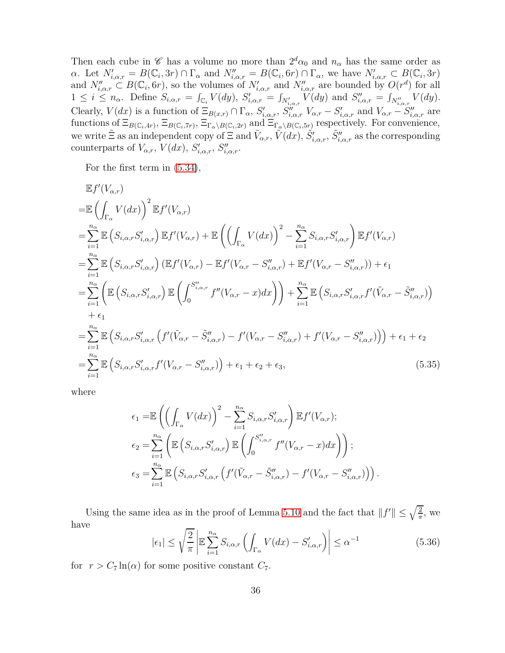Then each cube in  $\mathscr C$  has a volume no more than  $2^d\alpha_0$  and  $n_\alpha$  has the same order as  $\alpha$ . Let  $N'_{i,\alpha,r} = B(\mathbb{C}_i, 3r) \cap \Gamma_\alpha$  and  $N''_{i,\alpha,r} = B(\mathbb{C}_i, 6r) \cap \Gamma_\alpha$ , we have  $N'_{i,\alpha,r} \subset B(\mathbb{C}_i, 3r)$ and  $N''_{i,\alpha,r} \subset B(\mathbb{C}_i, 6r)$ , so the volumes of  $N'_{i,\alpha,r}$  and  $N''_{i,\alpha,r}$  are bounded by  $O(r^d)$  for all  $1 \leq i \leq n_{\alpha}$ . Define  $S_{i,\alpha,r} = \int_{\mathbb{C}_i} V(dy)$ ,  $S'_{i,\alpha,r} = \int_{N'_{i,\alpha,r}} V(dy)$  and  $S''_{i,\alpha,r} = \int_{N''_{i,\alpha,r}} V(dy)$ . Clearly,  $V(dx)$  is a function of  $\Xi_{B(x,r)} \cap \Gamma_{\alpha}$ ,  $S'_{i,\alpha,r}$ ,  $S''_{i,\alpha,r}$ ,  $V_{\alpha,r} - S'_{i,\alpha,r}$  and  $V_{\alpha,r} - S''_{i,\alpha,r}$  are functions of  $\Xi_{B(\mathbb{C}_i,4r)}$ ,  $\Xi_{B(\mathbb{C}_i,7r)}$ ,  $\Xi_{\Gamma_\alpha\setminus B(\mathbb{C}_i,2r)}$  and  $\Xi_{\Gamma_\alpha\setminus B(\mathbb{C}_i,5r)}$  respectively. For convenience, we write  $\tilde{\Xi}$  as an independent copy of  $\Xi$  and  $\tilde{V}_{\alpha,r}$ ,  $\tilde{V}(dx)$ ,  $\tilde{S}'_{i,\alpha,r}$ ,  $\tilde{S}''_{i,\alpha,r}$  as the corresponding counterparts of  $V_{\alpha,r}$ ,  $V(dx)$ ,  $S'_{i,\alpha,r}$ ,  $S''_{i,\alpha,r}$ .

For the first term in [\(5.34\)](#page-34-2),

$$
\mathbb{E}f'(V_{\alpha,r})
$$
\n
$$
= \mathbb{E}\left(\int_{\Gamma_{\alpha}} V(dx)\right)^{2} \mathbb{E}f'(V_{\alpha,r})
$$
\n
$$
= \sum_{i=1}^{n_{\alpha}} \mathbb{E}\left(S_{i,\alpha,r}S'_{i,\alpha,r}\right) \mathbb{E}f'(V_{\alpha,r}) + \mathbb{E}\left(\left(\int_{\Gamma_{\alpha}} V(dx)\right)^{2} - \sum_{i=1}^{n_{\alpha}} S_{i,\alpha,r}S'_{i,\alpha,r}\right) \mathbb{E}f'(V_{\alpha,r})
$$
\n
$$
= \sum_{i=1}^{n_{\alpha}} \mathbb{E}\left(S_{i,\alpha,r}S'_{i,\alpha,r}\right) \left(\mathbb{E}f'(V_{\alpha,r}) - \mathbb{E}f'(V_{\alpha,r} - S''_{i,\alpha,r}) + \mathbb{E}f'(V_{\alpha,r} - S''_{i,\alpha,r})\right) + \epsilon_{1}
$$
\n
$$
= \sum_{i=1}^{n_{\alpha}} \left(\mathbb{E}\left(S_{i,\alpha,r}S'_{i,\alpha,r}\right) \mathbb{E}\left(\int_{0}^{S''_{i,\alpha,r}} f''(V_{\alpha,r} - x)dx\right)\right) + \sum_{i=1}^{n_{\alpha}} \mathbb{E}\left(S_{i,\alpha,r}S'_{i,\alpha,r}f'(\tilde{V}_{\alpha,r} - \tilde{S}''_{i,\alpha,r})\right)
$$
\n
$$
+ \epsilon_{1}
$$
\n
$$
= \sum_{i=1}^{n_{\alpha}} \mathbb{E}\left(S_{i,\alpha,r}S'_{i,\alpha,r}\left(f'(\tilde{V}_{\alpha,r} - \tilde{S}''_{i,\alpha,r}) - f'(V_{\alpha,r} - S''_{i,\alpha,r}) + f'(V_{\alpha,r} - S''_{i,\alpha,r})\right)\right) + \epsilon_{1} + \epsilon_{2}
$$
\n
$$
= \sum_{i=1}^{n_{\alpha}} \mathbb{E}\left(S_{i,\alpha,r}S'_{i,\alpha,r}f'(V_{\alpha,r} - S''_{i,\alpha,r})\right) + \epsilon_{1} + \epsilon_{2} + \epsilon_{3},
$$
\n(5.35)

where

<span id="page-35-0"></span>
$$
\epsilon_1 = \mathbb{E}\left(\left(\int_{\Gamma_{\alpha}} V(dx)\right)^2 - \sum_{i=1}^{n_{\alpha}} S_{i,\alpha,r} S'_{i,\alpha,r}\right) \mathbb{E}f'(V_{\alpha,r});
$$
  
\n
$$
\epsilon_2 = \sum_{i=1}^{n_{\alpha}} \left(\mathbb{E}\left(S_{i,\alpha,r} S'_{i,\alpha,r}\right) \mathbb{E}\left(\int_0^{S''_{i,\alpha,r}} f''(V_{\alpha,r} - x) dx\right)\right);
$$
  
\n
$$
\epsilon_3 = \sum_{i=1}^{n_{\alpha}} \mathbb{E}\left(S_{i,\alpha,r} S'_{i,\alpha,r} \left(f'(\tilde{V}_{\alpha,r} - \tilde{S}''_{i,\alpha,r}) - f'(V_{\alpha,r} - S''_{i,\alpha,r})\right)\right).
$$

Using the same idea as in the proof of Lemma 5.10 and the fact that  $||f'|| \leq \sqrt{\frac{2}{\pi}}$ , we have

<span id="page-35-1"></span>
$$
|\epsilon_1| \le \sqrt{\frac{2}{\pi}} \left| \mathbb{E} \sum_{i=1}^{n_{\alpha}} S_{i,\alpha,r} \left( \int_{\Gamma_{\alpha}} V(dx) - S'_{i,\alpha,r} \right) \right| \le \alpha^{-1}
$$
 (5.36)

for  $r > C_7 \ln(\alpha)$  for some positive constant  $C_7$ .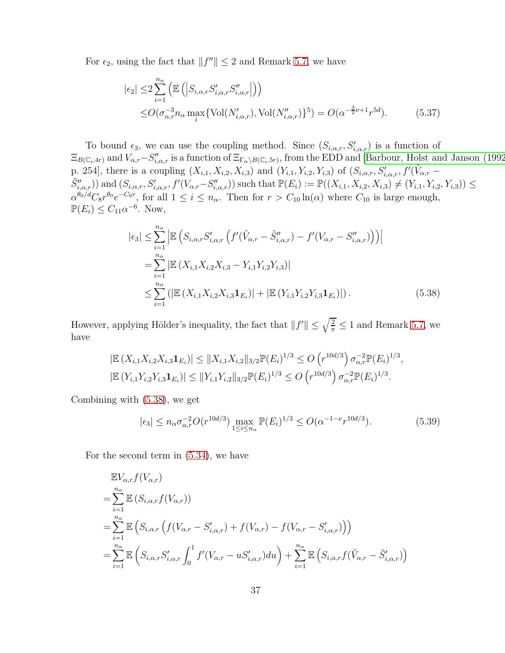For  $\epsilon_2$ , using the fact that  $||f''|| \leq 2$  and Remark [5.7,](#page-23-3) we have

<span id="page-36-2"></span>
$$
|\epsilon_2| \leq 2 \sum_{i=1}^{n_{\alpha}} \left( \mathbb{E} \left( \left| S_{i,\alpha,r} S'_{i,\alpha,r} S''_{i,\alpha,r} \right| \right) \right)
$$
  
 
$$
\leq O(\sigma_{\alpha,r}^{-3} n_{\alpha} \max_{i} \{ \text{Vol}(N'_{i,\alpha,r}), \text{Vol}(N''_{i,\alpha,r}) \}^{5}) = O(\alpha^{-\frac{3}{2}\nu + 1} r^{5d}). \tag{5.37}
$$

To bound  $\epsilon_3$ , we can use the coupling method. Since  $(S_{i,\alpha,r}, S'_{i,\alpha,r})$  is a function of  $\Xi_{B(\mathbb{C}_i,4r)}$  and  $V_{\alpha,r}-S''_{i,\alpha,r}$  is a function of  $\Xi_{\Gamma_\alpha\setminus B(\mathbb{C}_i,5r)}$ , from the EDD and [\[Barbour, Holst and Janson \(1992\),](#page-38-5) p. 254], there is a coupling  $(X_{i,1}, X_{i,2}, X_{i,3})$  and  $(Y_{i,1}, Y_{i,2}, Y_{i,3})$  of  $(S_{i,\alpha,r}, S'_{i,\alpha,r}, f'(\tilde{V}_{\alpha,r} (\tilde{S}''_{i,\alpha,r})$  and  $(S_{i,\alpha,r},S'_{i,\alpha,r},f'(V_{\alpha,r}-S''_{i,\alpha,r}))$  such that  $\mathbb{P}(E_i) := \mathbb{P}((X_{i,1},X_{i,2},X_{i,3}) \neq (Y_{i,1},Y_{i,2},Y_{i,3})) \leq$  $\alpha^{\theta_0/d}C_8r^{\theta_0}e^{-C_9r}$ , for all  $1 \leq i \leq n_\alpha$ . Then for  $r > C_{10}\ln(\alpha)$  where  $C_{10}$  is large enough,  $\mathbb{P}(E_i) \leq C_{11} \alpha^{-6}$ . Now,

<span id="page-36-0"></span>
$$
|\epsilon_{3}| \leq \sum_{i=1}^{n_{\alpha}} \left| \mathbb{E} \left( S_{i,\alpha,r} S'_{i,\alpha,r} \left( f'(\tilde{V}_{\alpha,r} - \tilde{S}''_{i,\alpha,r}) - f'(V_{\alpha,r} - S''_{i,\alpha,r}) \right) \right) \right|
$$
  
\n
$$
= \sum_{i=1}^{n_{\alpha}} \left| \mathbb{E} \left( X_{i,1} X_{i,2} X_{i,3} - Y_{i,1} Y_{i,2} Y_{i,3} \right) \right|
$$
  
\n
$$
\leq \sum_{i=1}^{n_{\alpha}} \left( \left| \mathbb{E} \left( X_{i,1} X_{i,2} X_{i,3} \mathbf{1}_{E_i} \right) \right| + \left| \mathbb{E} \left( Y_{i,1} Y_{i,2} Y_{i,3} \mathbf{1}_{E_i} \right) \right| \right).
$$
 (5.38)

However, applying Hölder's inequality, the fact that  $||f'|| \leq \sqrt{\frac{2}{\pi}} \leq 1$  and Remark [5.7,](#page-23-3) we have

$$
|\mathbb{E}\left(X_{i,1}X_{i,2}X_{i,3}\mathbf{1}_{E_i}\right)| \leq \|X_{i,1}X_{i,2}\|_{3/2}\mathbb{P}(E_i)^{1/3} \leq O\left(r^{10d/3}\right)\sigma_{\alpha,r}^{-2}\mathbb{P}(E_i)^{1/3},
$$
  

$$
|\mathbb{E}\left(Y_{i,1}Y_{i,2}Y_{i,3}\mathbf{1}_{E_i}\right)| \leq \|Y_{i,1}Y_{i,2}\|_{3/2}\mathbb{P}(E_i)^{1/3} \leq O\left(r^{10d/3}\right)\sigma_{\alpha,r}^{-2}\mathbb{P}(E_i)^{1/3}.
$$

Combining with [\(5.38\)](#page-36-0), we get

<span id="page-36-1"></span>
$$
|\epsilon_3| \le n_\alpha \sigma_{\alpha,r}^{-2} O(r^{10d/3}) \max_{1 \le i \le n_\alpha} \mathbb{P}(E_i)^{1/3} \le O(\alpha^{-1-\nu} r^{10d/3}). \tag{5.39}
$$

For the second term in [\(5.34\)](#page-34-2), we have

$$
\mathbb{E}V_{\alpha,r}f(V_{\alpha,r})
$$
\n
$$
= \sum_{i=1}^{n_{\alpha}} \mathbb{E}\left(S_{i,\alpha,r}f(V_{\alpha,r})\right)
$$
\n
$$
= \sum_{i=1}^{n_{\alpha}} \mathbb{E}\left(S_{i,\alpha,r}\left(f(V_{\alpha,r} - S'_{i,\alpha,r}) + f(V_{\alpha,r}) - f(V_{\alpha,r} - S'_{i,\alpha,r})\right)\right)
$$
\n
$$
= \sum_{i=1}^{n_{\alpha}} \mathbb{E}\left(S_{i,\alpha,r}S'_{i,\alpha,r}\int_{0}^{1}f'(V_{\alpha,r} - uS'_{i,\alpha,r})du\right) + \sum_{i=1}^{n_{\alpha}} \mathbb{E}\left(S_{i,\alpha,r}f(\tilde{V}_{\alpha,r} - \tilde{S}'_{i,\alpha,r})\right)
$$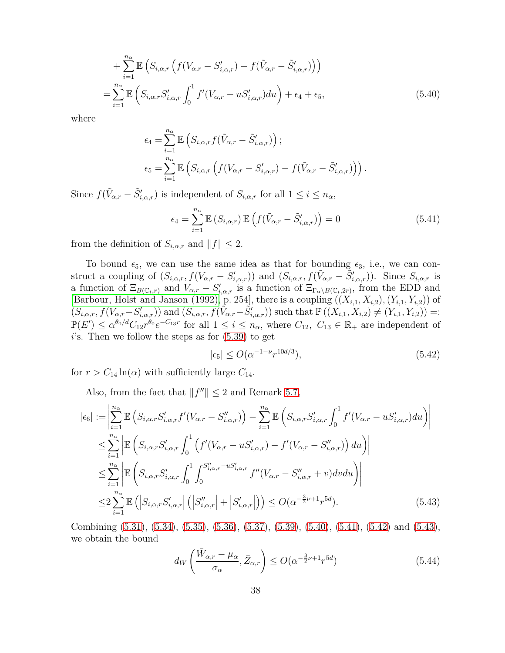$$
+\sum_{i=1}^{n_{\alpha}} \mathbb{E}\left(S_{i,\alpha,r}\left(f(V_{\alpha,r}-S'_{i,\alpha,r})-f(\tilde{V}_{\alpha,r}-\tilde{S}'_{i,\alpha,r})\right)\right)
$$
  

$$
=\sum_{i=1}^{n_{\alpha}} \mathbb{E}\left(S_{i,\alpha,r}S'_{i,\alpha,r}\int_{0}^{1}f'(V_{\alpha,r}-uS'_{i,\alpha,r})du\right)+\epsilon_{4}+\epsilon_{5},
$$
 (5.40)

where

$$
\epsilon_4 = \sum_{i=1}^{n_{\alpha}} \mathbb{E} \left( S_{i,\alpha,r} f(\tilde{V}_{\alpha,r} - \tilde{S}'_{i,\alpha,r}) \right);
$$
  

$$
\epsilon_5 = \sum_{i=1}^{n_{\alpha}} \mathbb{E} \left( S_{i,\alpha,r} \left( f(V_{\alpha,r} - S'_{i,\alpha,r}) - f(\tilde{V}_{\alpha,r} - \tilde{S}'_{i,\alpha,r}) \right) \right).
$$

Since  $f(\tilde{V}_{\alpha,r} - \tilde{S}'_{i,\alpha,r})$  is independent of  $S_{i,\alpha,r}$  for all  $1 \leq i \leq n_\alpha$ ,

<span id="page-37-1"></span><span id="page-37-0"></span>
$$
\epsilon_4 = \sum_{i=1}^{n_{\alpha}} \mathbb{E}\left(S_{i,\alpha,r}\right) \mathbb{E}\left(f(\tilde{V}_{\alpha,r} - \tilde{S}'_{i,\alpha,r})\right) = 0 \tag{5.41}
$$

from the definition of  $S_{i,\alpha,r}$  and  $||f|| \leq 2$ .

To bound  $\epsilon_5$ , we can use the same idea as that for bounding  $\epsilon_3$ , i.e., we can construct a coupling of  $(S_{i,\alpha,r}, f(V_{\alpha,r} - S'_{i,\alpha,r}))$  and  $(S_{i,\alpha,r}, f(\tilde{V}_{\alpha,r} - \tilde{S}'_{i,\alpha,r}))$ . Since  $S_{i,\alpha,r}$  is a function of  $\Xi_{B(\mathbb{C}_i,r)}$  and  $V_{\alpha,r} - S'_{i,\alpha,r}$  is a function of  $\Xi_{\Gamma_\alpha \setminus B(\mathbb{C}_i,2r)}$ , from the EDD and  $[\text{Barbour, Holst and Janson (1992), p. 254]$ , there is a coupling  $((X_{i,1}, X_{i,2}), (Y_{i,1}, Y_{i,2}))$  of  $(S_{i,\alpha,r},f(V_{\alpha,r}-S'_{i,\alpha,r}))$  and  $(S_{i,\alpha,r},f(\tilde{V}_{\alpha,r}-\tilde{S}'_{i,\alpha,r}))$  such that  $\mathbb{P}((X_{i,1},X_{i,2})\neq (Y_{i,1},Y_{i,2}))$  =:  $\mathbb{P}(E') \leq \alpha^{\theta_0/d} C_{12} r^{\theta_0} e^{-C_{13}r}$  for all  $1 \leq i \leq n_\alpha$ , where  $C_{12}$ ,  $C_{13} \in \mathbb{R}_+$  are independent of *i*'s. Then we follow the steps as for [\(5.39\)](#page-36-1) to get

<span id="page-37-2"></span>
$$
|\epsilon_5| \le O(\alpha^{-1-\nu} r^{10d/3}),\tag{5.42}
$$

for  $r > C_{14} \ln(\alpha)$  with sufficiently large  $C_{14}$ .

Also, from the fact that  $||f''|| \le 2$  and Remark [5.7,](#page-23-3)

$$
|\epsilon_{6}| := \left| \sum_{i=1}^{n_{\alpha}} \mathbb{E} \left( S_{i,\alpha,r} S'_{i,\alpha,r} f'(V_{\alpha,r} - S''_{i,\alpha,r}) \right) - \sum_{i=1}^{n_{\alpha}} \mathbb{E} \left( S_{i,\alpha,r} S'_{i,\alpha,r} \int_{0}^{1} f'(V_{\alpha,r} - u S'_{i,\alpha,r}) du \right) \right|
$$
  
\n
$$
\leq \sum_{i=1}^{n_{\alpha}} \left| \mathbb{E} \left( S_{i,\alpha,r} S'_{i,\alpha,r} \int_{0}^{1} \left( f'(V_{\alpha,r} - u S'_{i,\alpha,r}) - f'(V_{\alpha,r} - S''_{i,\alpha,r}) \right) du \right) \right|
$$
  
\n
$$
\leq \sum_{i=1}^{n_{\alpha}} \left| \mathbb{E} \left( S_{i,\alpha,r} S'_{i,\alpha,r} \int_{0}^{1} \int_{0}^{S''_{i,\alpha,r} - u S'_{i,\alpha,r}} f''(V_{\alpha,r} - S''_{i,\alpha,r} + v) dv du \right) \right|
$$
  
\n
$$
\leq 2 \sum_{i=1}^{n_{\alpha}} \mathbb{E} \left( \left| S_{i,\alpha,r} S'_{i,\alpha,r} \right| \left( \left| S''_{i,\alpha,r} \right| + \left| S'_{i,\alpha,r} \right| \right) \right) \leq O(\alpha^{-\frac{3}{2}\nu + 1} r^{5d}). \tag{5.43}
$$

Combining [\(5.31\)](#page-34-3), [\(5.34\)](#page-34-2), [\(5.35\)](#page-35-0), [\(5.36\)](#page-35-1), [\(5.37\)](#page-36-2), [\(5.39\)](#page-36-1), [\(5.40\)](#page-37-0), [\(5.41\)](#page-37-1), [\(5.42\)](#page-37-2) and [\(5.43\)](#page-37-3), we obtain the bound

<span id="page-37-4"></span><span id="page-37-3"></span>
$$
d_W\left(\frac{\bar{W}_{\alpha,r} - \mu_\alpha}{\sigma_\alpha}, \bar{Z}_{\alpha,r}\right) \le O(\alpha^{-\frac{3}{2}\nu + 1}r^{5d})\tag{5.44}
$$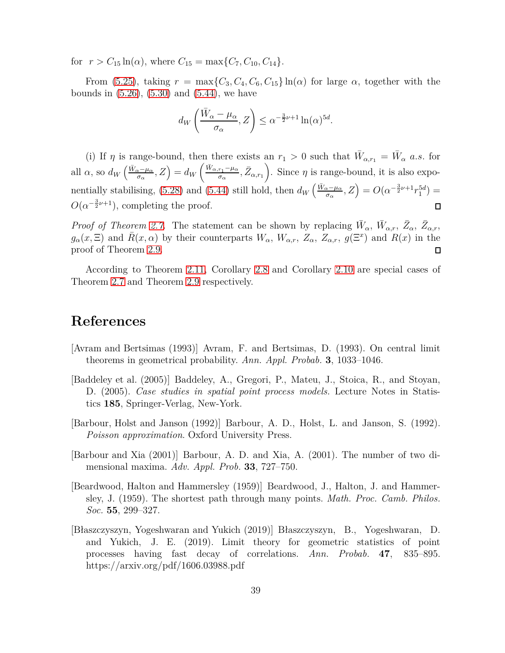for  $r > C_{15} \ln(\alpha)$ , where  $C_{15} = \max\{C_7, C_{10}, C_{14}\}.$ 

From [\(5.25\)](#page-33-0), taking  $r = \max\{C_3, C_4, C_6, C_{15}\}\ln(\alpha)$  for large  $\alpha$ , together with the bounds in  $(5.26)$ ,  $(5.30)$  and  $(5.44)$ , we have

$$
d_W\left(\frac{\bar{W}_{\alpha} - \mu_{\alpha}}{\sigma_{\alpha}}, Z\right) \leq \alpha^{-\frac{3}{2}\nu + 1} \ln(\alpha)^{5d}.
$$

(i) If *η* is range-bound, then there exists an  $r_1 > 0$  such that  $\bar{W}_{\alpha,r_1} = \bar{W}_{\alpha}$  *a.s.* for all  $\alpha$ , so  $d_W\left(\frac{\bar{W}_{\alpha} - \mu_{\alpha}}{\sigma_{\alpha}}, Z\right) = d_W\left(\frac{\bar{W}_{\alpha, r_1} - \mu_{\alpha}}{\sigma_{\alpha}}\right)$ ). Since  $\eta$  is range-bound, it is also expo- $\frac{r_1 - \mu_\alpha}{\sigma_\alpha}, \bar{Z}_{\alpha, r_1}$ nentially stabilising, [\(5.28\)](#page-33-1) and [\(5.44\)](#page-37-4) still hold, then  $d_W\left(\frac{\bar{W}_{\alpha}-\mu_{\alpha}}{\sigma_{\alpha}},Z\right) = O(\alpha^{-\frac{3}{2}\nu+1}r_1^{5d})$  $O(\alpha^{-\frac{3}{2}\nu+1})$ , completing the proof.  $\Box$ 

*Proof of Theorem [2.7.](#page-8-1)* The statement can be shown by replacing  $\bar{W}_{\alpha}$ ,  $\bar{W}_{\alpha,r}$ ,  $\bar{Z}_{\alpha}$ ,  $\bar{Z}_{\alpha,r}$ ,  $g_{\alpha}(x,\Xi)$  and  $\bar{R}(x,\alpha)$  by their counterparts  $W_{\alpha}$ ,  $W_{\alpha,r}$ ,  $Z_{\alpha}$ ,  $Z_{\alpha,r}$ ,  $g(\Xi^x)$  and  $\bar{R}(x)$  in the proof of Theorem [2.9.](#page-9-0)  $\Box$ 

According to Theorem 2.11, Corollary [2.8](#page-8-2) and Corollary [2.10](#page-9-1) are special cases of Theorem [2.7](#page-8-1) and Theorem [2.9](#page-9-0) respectively.

# **References**

- <span id="page-38-2"></span>[Avram and Bertsimas (1993)] Avram, F. and Bertsimas, D. (1993). On central limit theorems in geometrical probability. *Ann. Appl. Probab.* **3**, 1033–1046.
- <span id="page-38-4"></span>[Baddeley et al. (2005)] Baddeley, A., Gregori, P., Mateu, J., Stoica, R., and Stoyan, D. (2005). *Case studies in spatial point process models.* Lecture Notes in Statistics **185**, Springer-Verlag, New-York.
- <span id="page-38-5"></span>[Barbour, Holst and Janson (1992)] Barbour, A. D., Holst, L. and Janson, S. (1992). *Poisson approximation*. Oxford University Press.
- <span id="page-38-3"></span>[Barbour and Xia (2001)] Barbour, A. D. and Xia, A. (2001). The number of two dimensional maxima. *Adv. Appl. Prob.* **33**, 727–750.
- <span id="page-38-1"></span>[Beardwood, Halton and Hammersley (1959)] Beardwood, J., Halton, J. and Hammersley, J. (1959). The shortest path through many points. *Math. Proc. Camb. Philos. Soc.* **55**, 299–327.
- <span id="page-38-0"></span>[Błaszczyszyn, Yogeshwaran and Yukich (2019)] Błaszczyszyn, B., Yogeshwaran, D. and Yukich, J. E. (2019). Limit theory for geometric statistics of point processes having fast decay of correlations. *Ann. Probab.* **47**, 835–895. https://arxiv.org/pdf/1606.03988.pdf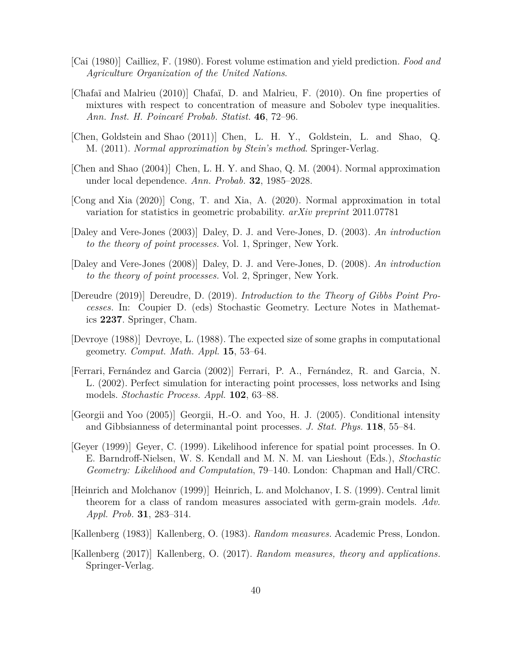- <span id="page-39-12"></span>[Cai (1980)] Cailliez, F. (1980). Forest volume estimation and yield prediction. *Food and Agriculture Organization of the United Nations*.
- <span id="page-39-13"></span>[Chafaï and Malrieu (2010)] Chafaï, D. and Malrieu, F. (2010). On fine properties of mixtures with respect to concentration of measure and Sobolev type inequalities. *Ann. Inst. H. Poincaré Probab. Statist.* **46**, 72–96.
- <span id="page-39-14"></span>[Chen, Goldstein and Shao (2011)] Chen, L. H. Y., Goldstein, L. and Shao, Q. M. (2011). *Normal approximation by Stein's method*. Springer-Verlag.
- <span id="page-39-0"></span>[Chen and Shao (2004)] Chen, L. H. Y. and Shao, Q. M. (2004). Normal approximation under local dependence. *Ann. Probab.* **32**, 1985–2028.
- <span id="page-39-4"></span>[Cong and Xia (2020)] Cong, T. and Xia, A. (2020). Normal approximation in total variation for statistics in geometric probability. *arXiv preprint* 2011.07781
- <span id="page-39-5"></span>[Daley and Vere-Jones (2003)] Daley, D. J. and Vere-Jones, D. (2003). *An introduction to the theory of point processes.* Vol. 1, Springer, New York.
- <span id="page-39-3"></span>[Daley and Vere-Jones (2008)] Daley, D. J. and Vere-Jones, D. (2008). *An introduction to the theory of point processes.* Vol. 2, Springer, New York.
- <span id="page-39-6"></span>[Dereudre (2019)] Dereudre, D. (2019). *Introduction to the Theory of Gibbs Point Processes.* In: Coupier D. (eds) Stochastic Geometry. Lecture Notes in Mathematics **2237**. Springer, Cham.
- <span id="page-39-11"></span>[Devroye (1988)] Devroye, L. (1988). The expected size of some graphs in computational geometry. *Comput. Math. Appl.* **15**, 53–64.
- <span id="page-39-9"></span>[Ferrari, Fernández and Garcia (2002)] Ferrari, P. A., Fernández, R. and Garcia, N. L. (2002). Perfect simulation for interacting point processes, loss networks and Ising models. *Stochastic Process. Appl.* **102**, 63–88.
- <span id="page-39-7"></span>[Georgii and Yoo (2005)] Georgii, H.-O. and Yoo, H. J. (2005). Conditional intensity and Gibbsianness of determinantal point processes. *J. Stat. Phys.* **118**, 55–84.
- <span id="page-39-8"></span>[Geyer (1999)] Geyer, C. (1999). Likelihood inference for spatial point processes. In O. E. Barndroff-Nielsen, W. S. Kendall and M. N. M. van Lieshout (Eds.), *Stochastic Geometry: Likelihood and Computation*, 79–140. London: Chapman and Hall/CRC.
- <span id="page-39-10"></span>[Heinrich and Molchanov (1999)] Heinrich, L. and Molchanov, I. S. (1999). Central limit theorem for a class of random measures associated with germ-grain models. *Adv. Appl. Prob.* **31**, 283–314.
- <span id="page-39-1"></span>[Kallenberg (1983)] Kallenberg, O. (1983). *Random measures.* Academic Press, London.
- <span id="page-39-2"></span>[Kallenberg (2017)] Kallenberg, O. (2017). *Random measures, theory and applications.* Springer-Verlag.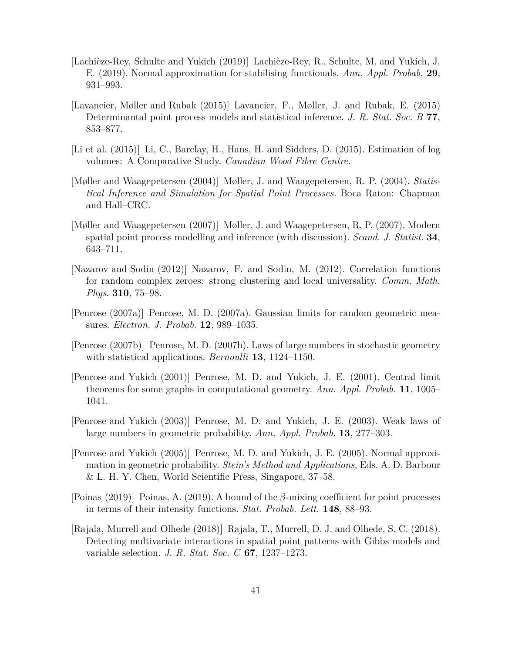- <span id="page-40-0"></span>[Lachièze-Rey, Schulte and Yukich (2019)] Lachièze-Rey, R., Schulte, M. and Yukich, J. E. (2019). Normal approximation for stabilising functionals. *Ann. Appl. Probab.* **29**, 931–993.
- <span id="page-40-9"></span>[Lavancier, Møller and Rubak (2015)] Lavancier, F., Møller, J. and Rubak, E. (2015) Determinantal point process models and statistical inference. *J. R. Stat. Soc. B* **77**, 853–877.
- <span id="page-40-12"></span>[Li et al. (2015)] Li, C., Barclay, H., Hans, H. and Sidders, D. (2015). Estimation of log volumes: A Comparative Study. *Canadian Wood Fibre Centre.*
- <span id="page-40-7"></span>[Møller and Waagepetersen (2004)] Møller, J. and Waagepetersen, R. P. (2004). *Statistical Inference and Simulation for Spatial Point Processes.* Boca Raton: Chapman and Hall–CRC.
- <span id="page-40-8"></span>[Møller and Waagepetersen (2007)] Møller, J. and Waagepetersen, R. P. (2007). Modern spatial point process modelling and inference (with discussion). *Scand. J. Statist.* **34**, 643–711.
- <span id="page-40-1"></span>[Nazarov and Sodin (2012)] Nazarov, F. and Sodin, M. (2012). Correlation functions for random complex zeroes: strong clustering and local universality. *Comm. Math. Phys.* **310**, 75–98.
- <span id="page-40-5"></span>[Penrose (2007a)] Penrose, M. D. (2007a). Gaussian limits for random geometric measures. *Electron. J. Probab.* **12**, 989–1035.
- <span id="page-40-6"></span>[Penrose (2007b)] Penrose, M. D. (2007b). Laws of large numbers in stochastic geometry with statistical applications. *Bernoulli* **13**, 1124–1150.
- <span id="page-40-2"></span>[Penrose and Yukich (2001)] Penrose, M. D. and Yukich, J. E. (2001). Central limit theorems for some graphs in computational geometry. *Ann. Appl. Probab.* **11**, 1005– 1041.
- <span id="page-40-3"></span>[Penrose and Yukich (2003)] Penrose, M. D. and Yukich, J. E. (2003). Weak laws of large numbers in geometric probability. *Ann. Appl. Probab.* **13**, 277–303.
- <span id="page-40-4"></span>[Penrose and Yukich (2005)] Penrose, M. D. and Yukich, J. E. (2005). Normal approximation in geometric probability. *Stein's Method and Applications*, Eds. A. D. Barbour & L. H. Y. Chen, World Scientific Press, Singapore, 37–58.
- <span id="page-40-11"></span>[Poinas (2019)] Poinas, A. (2019). A bound of the *β*-mixing coefficient for point processes in terms of their intensity functions. *Stat. Probab. Lett.* **148**, 88–93.
- <span id="page-40-10"></span>[Rajala, Murrell and Olhede (2018)] Rajala, T., Murrell, D. J. and Olhede, S. C. (2018). Detecting multivariate interactions in spatial point patterns with Gibbs models and variable selection. *J. R. Stat. Soc. C* **67**, 1237–1273.